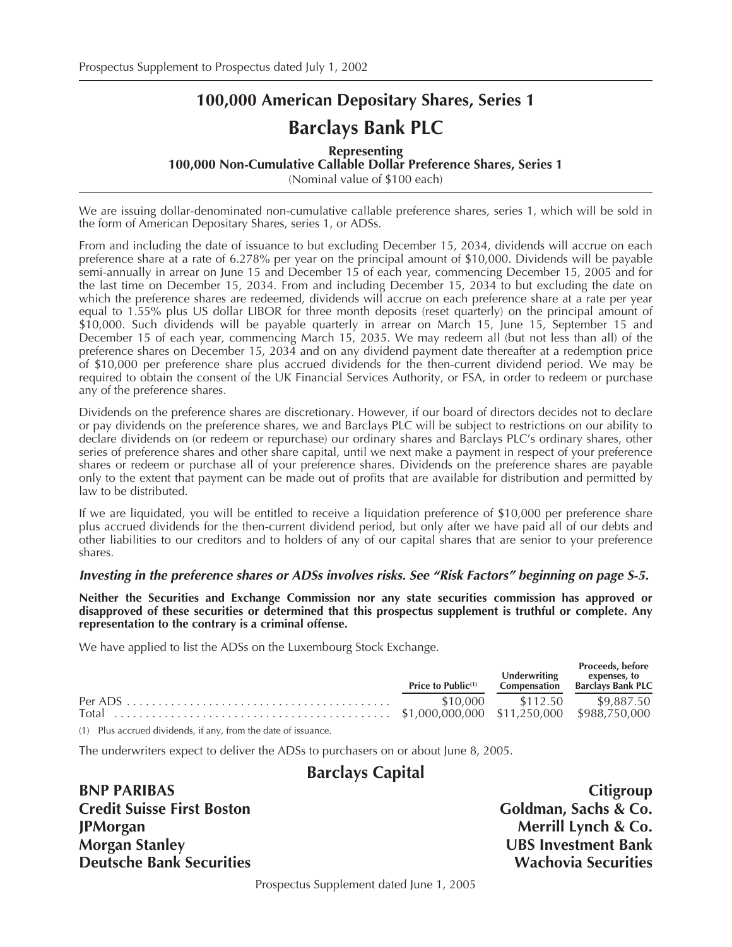# **100,000 American Depositary Shares, Series 1 Barclays Bank PLC**

**Representing 100,000 Non-Cumulative Callable Dollar Preference Shares, Series 1** (Nominal value of \$100 each)

We are issuing dollar-denominated non-cumulative callable preference shares, series 1, which will be sold in the form of American Depositary Shares, series 1, or ADSs.

From and including the date of issuance to but excluding December 15, 2034, dividends will accrue on each preference share at a rate of 6.278% per year on the principal amount of \$10,000. Dividends will be payable semi-annually in arrear on June 15 and December 15 of each year, commencing December 15, 2005 and for the last time on December 15, 2034. From and including December 15, 2034 to but excluding the date on which the preference shares are redeemed, dividends will accrue on each preference share at a rate per year equal to 1.55% plus US dollar LIBOR for three month deposits (reset quarterly) on the principal amount of \$10,000. Such dividends will be payable quarterly in arrear on March 15, June 15, September 15 and December 15 of each year, commencing March 15, 2035. We may redeem all (but not less than all) of the preference shares on December 15, 2034 and on any dividend payment date thereafter at a redemption price of \$10,000 per preference share plus accrued dividends for the then-current dividend period. We may be required to obtain the consent of the UK Financial Services Authority, or FSA, in order to redeem or purchase any of the preference shares.

Dividends on the preference shares are discretionary. However, if our board of directors decides not to declare or pay dividends on the preference shares, we and Barclays PLC will be subject to restrictions on our ability to declare dividends on (or redeem or repurchase) our ordinary shares and Barclays PLC's ordinary shares, other series of preference shares and other share capital, until we next make a payment in respect of your preference shares or redeem or purchase all of your preference shares. Dividends on the preference shares are payable only to the extent that payment can be made out of profits that are available for distribution and permitted by law to be distributed.

If we are liquidated, you will be entitled to receive a liquidation preference of \$10,000 per preference share plus accrued dividends for the then-current dividend period, but only after we have paid all of our debts and other liabilities to our creditors and to holders of any of our capital shares that are senior to your preference shares.

## *Investing in the preference shares or ADSs involves risks. See "Risk Factors" beginning on page S-5.*

**Neither the Securities and Exchange Commission nor any state securities commission has approved or disapproved of these securities or determined that this prospectus supplement is truthful or complete. Any representation to the contrary is a criminal offense.**

We have applied to list the ADSs on the Luxembourg Stock Exchange.

|                                                                | Price to Public <sup>(1)</sup> | Proceeds, before<br>Underwriting expenses, to<br>Compensation Barclays Bank PLC |
|----------------------------------------------------------------|--------------------------------|---------------------------------------------------------------------------------|
|                                                                |                                |                                                                                 |
|                                                                |                                |                                                                                 |
| (1) Plus accrued dividends, if any, from the date of issuance. |                                |                                                                                 |

The underwriters expect to deliver the ADSs to purchasers on or about June 8, 2005.

## **Barclays Capital**

**BNP PARIBAS** Citigroup Credit Suisse First Boston Goldman, Sachs & Co. **JPMorgan** Merrill Lynch & Co. **Morgan Stanley UBS Investment Bank Deutsche Bank Securities Construction Construction Construction Construction Construction Construction Construction Construction Construction Construction Construction Construction Construction Construction Construction C** 

Prospectus Supplement dated June 1, 2005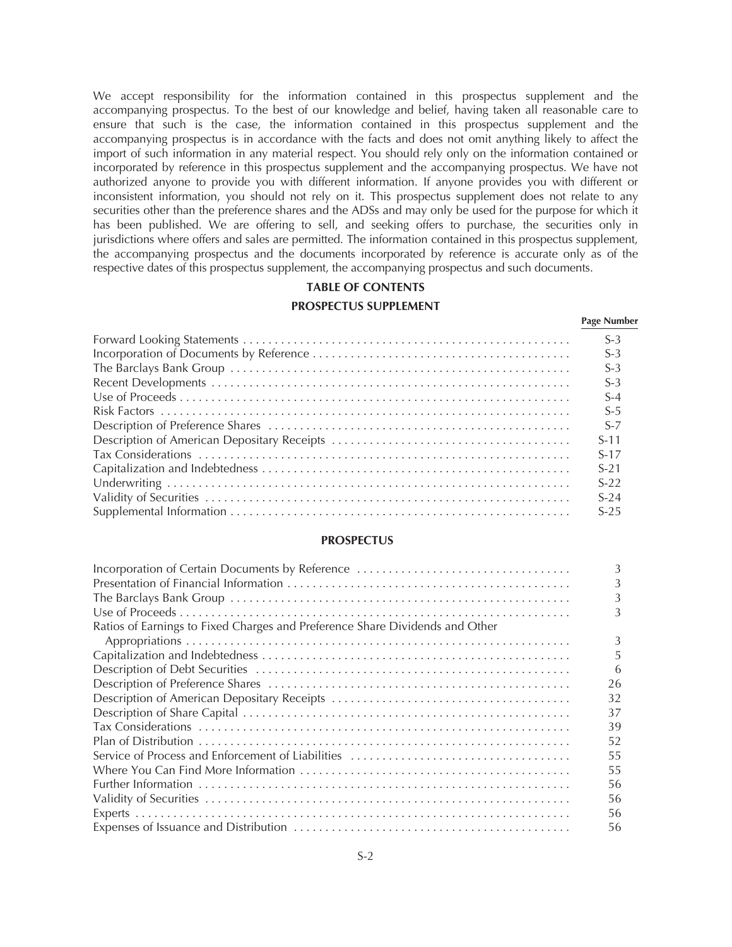We accept responsibility for the information contained in this prospectus supplement and the accompanying prospectus. To the best of our knowledge and belief, having taken all reasonable care to ensure that such is the case, the information contained in this prospectus supplement and the accompanying prospectus is in accordance with the facts and does not omit anything likely to affect the import of such information in any material respect. You should rely only on the information contained or incorporated by reference in this prospectus supplement and the accompanying prospectus. We have not authorized anyone to provide you with different information. If anyone provides you with different or inconsistent information, you should not rely on it. This prospectus supplement does not relate to any securities other than the preference shares and the ADSs and may only be used for the purpose for which it has been published. We are offering to sell, and seeking offers to purchase, the securities only in jurisdictions where offers and sales are permitted. The information contained in this prospectus supplement, the accompanying prospectus and the documents incorporated by reference is accurate only as of the respective dates of this prospectus supplement, the accompanying prospectus and such documents.

## **TABLE OF CONTENTS**

## **PROSPECTUS SUPPLEMENT**

**Page Number**

| $S-3$  |
|--------|
| $S-3$  |
| $S-3$  |
| $S-3$  |
| $S-4$  |
| $S-5$  |
| $S-7$  |
| $S-11$ |
| $S-17$ |
| $S-21$ |
| $S-22$ |
| $S-24$ |
| $S-25$ |
|        |

#### **PROSPECTUS**

|                                                                              | 3  |
|------------------------------------------------------------------------------|----|
|                                                                              |    |
|                                                                              |    |
|                                                                              | 3  |
| Ratios of Earnings to Fixed Charges and Preference Share Dividends and Other |    |
|                                                                              | 3  |
|                                                                              | 5. |
|                                                                              | 6  |
|                                                                              | 26 |
|                                                                              | 32 |
|                                                                              | 37 |
|                                                                              | 39 |
|                                                                              | 52 |
|                                                                              | 55 |
|                                                                              | 55 |
|                                                                              | 56 |
|                                                                              | 56 |
|                                                                              | 56 |
|                                                                              | 56 |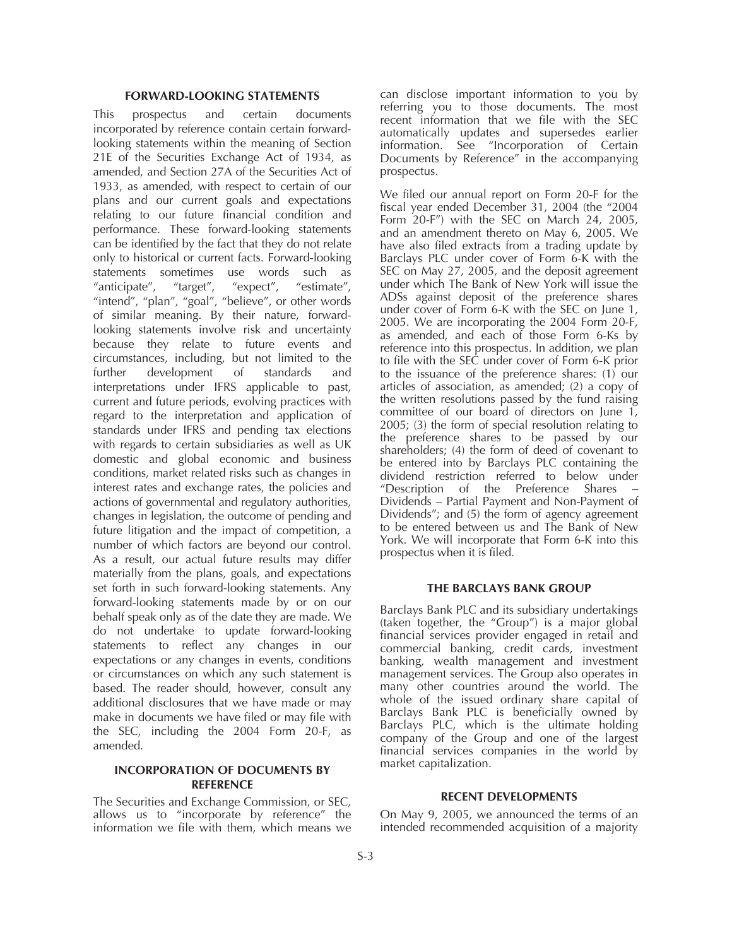#### **FORWARD-LOOKING STATEMENTS**

This prospectus and certain documents incorporated by reference contain certain forwardlooking statements within the meaning of Section 21E of the Securities Exchange Act of 1934, as amended, and Section 27A of the Securities Act of 1933, as amended, with respect to certain of our plans and our current goals and expectations relating to our future financial condition and performance. These forward-looking statements can be identified by the fact that they do not relate only to historical or current facts. Forward-looking statements sometimes use words such as "anticipate", "target", "expect", "estimate", "intend", "plan", "goal", "believe", or other words of similar meaning. By their nature, forwardlooking statements involve risk and uncertainty because they relate to future events and circumstances, including, but not limited to the further development of standards and interpretations under IFRS applicable to past, current and future periods, evolving practices with regard to the interpretation and application of standards under IFRS and pending tax elections with regards to certain subsidiaries as well as UK domestic and global economic and business conditions, market related risks such as changes in interest rates and exchange rates, the policies and actions of governmental and regulatory authorities, changes in legislation, the outcome of pending and future litigation and the impact of competition, a number of which factors are beyond our control. As a result, our actual future results may differ materially from the plans, goals, and expectations set forth in such forward-looking statements. Any forward-looking statements made by or on our behalf speak only as of the date they are made. We do not undertake to update forward-looking statements to reflect any changes in our expectations or any changes in events, conditions or circumstances on which any such statement is based. The reader should, however, consult any additional disclosures that we have made or may make in documents we have filed or may file with the SEC, including the 2004 Form 20-F, as amended.

## **INCORPORATION OF DOCUMENTS BY REFERENCE**

The Securities and Exchange Commission, or SEC, allows us to "incorporate by reference" the information we file with them, which means we can disclose important information to you by referring you to those documents. The most recent information that we file with the SEC automatically updates and supersedes earlier information. See "Incorporation of Certain Documents by Reference" in the accompanying prospectus.

We filed our annual report on Form 20-F for the fiscal year ended December 31, 2004 (the "2004 Form 20-F") with the SEC on March 24, 2005, and an amendment thereto on May 6, 2005. We have also filed extracts from a trading update by Barclays PLC under cover of Form 6-K with the SEC on May 27, 2005, and the deposit agreement under which The Bank of New York will issue the ADSs against deposit of the preference shares under cover of Form 6-K with the SEC on June 1, 2005. We are incorporating the 2004 Form 20-F, as amended, and each of those Form 6-Ks by reference into this prospectus. In addition, we plan to file with the SEC under cover of Form 6-K prior to the issuance of the preference shares: (1) our articles of association, as amended; (2) a copy of the written resolutions passed by the fund raising committee of our board of directors on June 1, 2005; (3) the form of special resolution relating to the preference shares to be passed by our shareholders; (4) the form of deed of covenant to be entered into by Barclays PLC containing the dividend restriction referred to below under "Description of the Preference Shares – Dividends – Partial Payment and Non-Payment of Dividends"; and (5) the form of agency agreement to be entered between us and The Bank of New York. We will incorporate that Form 6-K into this prospectus when it is filed.

#### **THE BARCLAYS BANK GROUP**

Barclays Bank PLC and its subsidiary undertakings (taken together, the "Group") is a major global financial services provider engaged in retail and commercial banking, credit cards, investment banking, wealth management and investment management services. The Group also operates in many other countries around the world. The whole of the issued ordinary share capital of Barclays Bank PLC is beneficially owned by Barclays PLC, which is the ultimate holding company of the Group and one of the largest financial services companies in the world by market capitalization.

#### **RECENT DEVELOPMENTS**

On May 9, 2005, we announced the terms of an intended recommended acquisition of a majority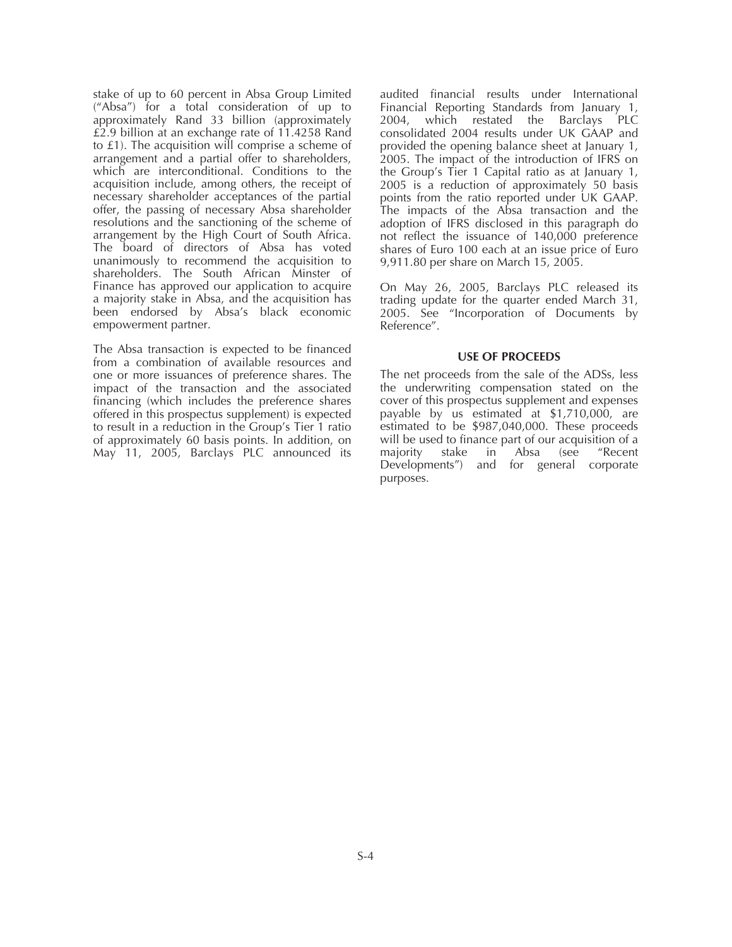stake of up to 60 percent in Absa Group Limited ("Absa") for a total consideration of up to approximately Rand 33 billion (approximately £2.9 billion at an exchange rate of 11.4258 Rand to £1). The acquisition will comprise a scheme of arrangement and a partial offer to shareholders, which are interconditional. Conditions to the acquisition include, among others, the receipt of necessary shareholder acceptances of the partial offer, the passing of necessary Absa shareholder resolutions and the sanctioning of the scheme of arrangement by the High Court of South Africa. The board of directors of Absa has voted unanimously to recommend the acquisition to shareholders. The South African Minster of Finance has approved our application to acquire a majority stake in Absa, and the acquisition has been endorsed by Absa's black economic empowerment partner.

The Absa transaction is expected to be financed from a combination of available resources and one or more issuances of preference shares. The impact of the transaction and the associated financing (which includes the preference shares offered in this prospectus supplement) is expected to result in a reduction in the Group's Tier 1 ratio of approximately 60 basis points. In addition, on May 11, 2005, Barclays PLC announced its

audited financial results under International Financial Reporting Standards from January 1, 2004, which restated the Barclays PLC consolidated 2004 results under UK GAAP and provided the opening balance sheet at January 1, 2005. The impact of the introduction of IFRS on the Group's Tier 1 Capital ratio as at January 1, 2005 is a reduction of approximately 50 basis points from the ratio reported under UK GAAP. The impacts of the Absa transaction and the adoption of IFRS disclosed in this paragraph do not reflect the issuance of 140,000 preference shares of Euro 100 each at an issue price of Euro 9,911.80 per share on March 15, 2005.

On May 26, 2005, Barclays PLC released its trading update for the quarter ended March 31, 2005. See "Incorporation of Documents by Reference".

#### **USE OF PROCEEDS**

The net proceeds from the sale of the ADSs, less the underwriting compensation stated on the cover of this prospectus supplement and expenses payable by us estimated at \$1,710,000, are estimated to be \$987,040,000. These proceeds will be used to finance part of our acquisition of a<br>majority stake in Absa (see "Recent majority stake in Developments") and for general corporate purposes.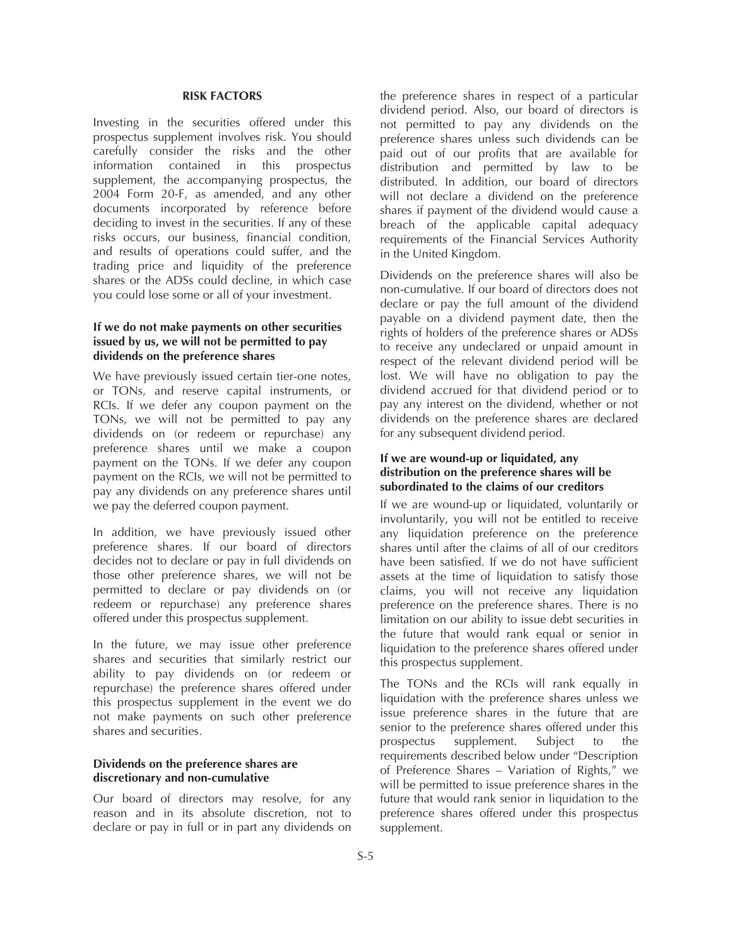#### **RISK FACTORS**

Investing in the securities offered under this prospectus supplement involves risk. You should carefully consider the risks and the other information contained in this prospectus supplement, the accompanying prospectus, the 2004 Form 20-F, as amended, and any other documents incorporated by reference before deciding to invest in the securities. If any of these risks occurs, our business, financial condition, and results of operations could suffer, and the trading price and liquidity of the preference shares or the ADSs could decline, in which case you could lose some or all of your investment.

## **If we do not make payments on other securities issued by us, we will not be permitted to pay dividends on the preference shares**

We have previously issued certain tier-one notes, or TONs, and reserve capital instruments, or RCIs. If we defer any coupon payment on the TONs, we will not be permitted to pay any dividends on (or redeem or repurchase) any preference shares until we make a coupon payment on the TONs. If we defer any coupon payment on the RCIs, we will not be permitted to pay any dividends on any preference shares until we pay the deferred coupon payment.

In addition, we have previously issued other preference shares. If our board of directors decides not to declare or pay in full dividends on those other preference shares, we will not be permitted to declare or pay dividends on (or redeem or repurchase) any preference shares offered under this prospectus supplement.

In the future, we may issue other preference shares and securities that similarly restrict our ability to pay dividends on (or redeem or repurchase) the preference shares offered under this prospectus supplement in the event we do not make payments on such other preference shares and securities.

## **Dividends on the preference shares are discretionary and non-cumulative**

Our board of directors may resolve, for any reason and in its absolute discretion, not to declare or pay in full or in part any dividends on

the preference shares in respect of a particular dividend period. Also, our board of directors is not permitted to pay any dividends on the preference shares unless such dividends can be paid out of our profits that are available for distribution and permitted by law to be distributed. In addition, our board of directors will not declare a dividend on the preference shares if payment of the dividend would cause a breach of the applicable capital adequacy requirements of the Financial Services Authority in the United Kingdom.

Dividends on the preference shares will also be non-cumulative. If our board of directors does not declare or pay the full amount of the dividend payable on a dividend payment date, then the rights of holders of the preference shares or ADSs to receive any undeclared or unpaid amount in respect of the relevant dividend period will be lost. We will have no obligation to pay the dividend accrued for that dividend period or to pay any interest on the dividend, whether or not dividends on the preference shares are declared for any subsequent dividend period.

## **If we are wound-up or liquidated, any distribution on the preference shares will be subordinated to the claims of our creditors**

If we are wound-up or liquidated, voluntarily or involuntarily, you will not be entitled to receive any liquidation preference on the preference shares until after the claims of all of our creditors have been satisfied. If we do not have sufficient assets at the time of liquidation to satisfy those claims, you will not receive any liquidation preference on the preference shares. There is no limitation on our ability to issue debt securities in the future that would rank equal or senior in liquidation to the preference shares offered under this prospectus supplement.

The TONs and the RCIs will rank equally in liquidation with the preference shares unless we issue preference shares in the future that are senior to the preference shares offered under this prospectus supplement. Subject to the requirements described below under "Description of Preference Shares – Variation of Rights," we will be permitted to issue preference shares in the future that would rank senior in liquidation to the preference shares offered under this prospectus supplement.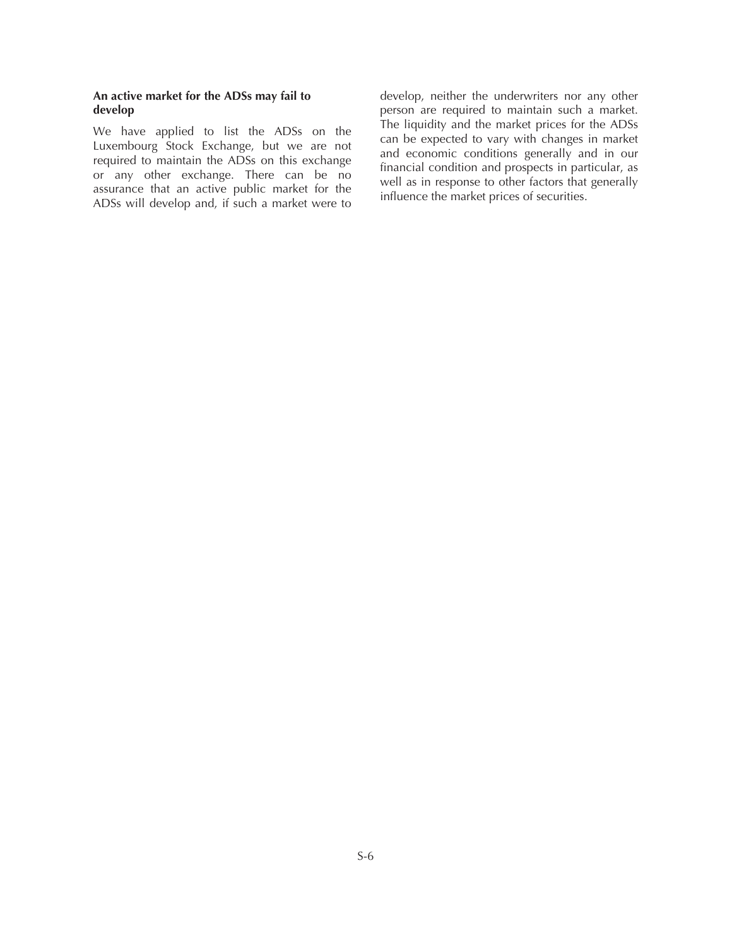## **An active market for the ADSs may fail to develop**

We have applied to list the ADSs on the Luxembourg Stock Exchange, but we are not required to maintain the ADSs on this exchange or any other exchange. There can be no assurance that an active public market for the ADSs will develop and, if such a market were to develop, neither the underwriters nor any other person are required to maintain such a market. The liquidity and the market prices for the ADSs can be expected to vary with changes in market and economic conditions generally and in our financial condition and prospects in particular, as well as in response to other factors that generally influence the market prices of securities.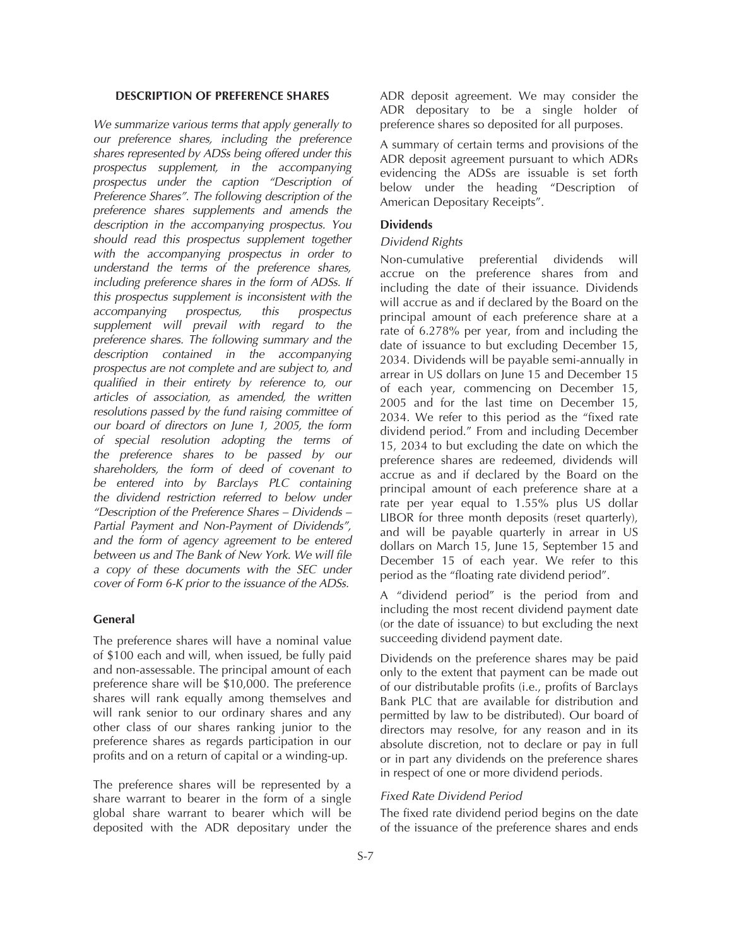#### **DESCRIPTION OF PREFERENCE SHARES**

*We summarize various terms that apply generally to our preference shares, including the preference shares represented by ADSs being offered under this prospectus supplement, in the accompanying prospectus under the caption "Description of Preference Shares". The following description of the preference shares supplements and amends the description in the accompanying prospectus. You should read this prospectus supplement together with the accompanying prospectus in order to understand the terms of the preference shares, including preference shares in the form of ADSs. If this prospectus supplement is inconsistent with the accompanying prospectus, this prospectus supplement will prevail with regard to the preference shares. The following summary and the description contained in the accompanying prospectus are not complete and are subject to, and qualified in their entirety by reference to, our articles of association, as amended, the written resolutions passed by the fund raising committee of our board of directors on June 1, 2005, the form of special resolution adopting the terms of the preference shares to be passed by our shareholders, the form of deed of covenant to be entered into by Barclays PLC containing the dividend restriction referred to below under "Description of the Preference Shares – Dividends – Partial Payment and Non-Payment of Dividends", and the form of agency agreement to be entered between us and The Bank of New York. We will file a copy of these documents with the SEC under cover of Form 6-K prior to the issuance of the ADSs.*

## **General**

The preference shares will have a nominal value of \$100 each and will, when issued, be fully paid and non-assessable. The principal amount of each preference share will be \$10,000. The preference shares will rank equally among themselves and will rank senior to our ordinary shares and any other class of our shares ranking junior to the preference shares as regards participation in our profits and on a return of capital or a winding-up.

The preference shares will be represented by a share warrant to bearer in the form of a single global share warrant to bearer which will be deposited with the ADR depositary under the ADR deposit agreement. We may consider the ADR depositary to be a single holder of preference shares so deposited for all purposes.

A summary of certain terms and provisions of the ADR deposit agreement pursuant to which ADRs evidencing the ADSs are issuable is set forth below under the heading "Description of American Depositary Receipts".

### **Dividends**

#### *Dividend Rights*

Non-cumulative preferential dividends will accrue on the preference shares from and including the date of their issuance. Dividends will accrue as and if declared by the Board on the principal amount of each preference share at a rate of 6.278% per year, from and including the date of issuance to but excluding December 15, 2034. Dividends will be payable semi-annually in arrear in US dollars on June 15 and December 15 of each year, commencing on December 15, 2005 and for the last time on December 15, 2034. We refer to this period as the "fixed rate dividend period." From and including December 15, 2034 to but excluding the date on which the preference shares are redeemed, dividends will accrue as and if declared by the Board on the principal amount of each preference share at a rate per year equal to 1.55% plus US dollar LIBOR for three month deposits (reset quarterly), and will be payable quarterly in arrear in US dollars on March 15, June 15, September 15 and December 15 of each year. We refer to this period as the "floating rate dividend period".

A "dividend period" is the period from and including the most recent dividend payment date (or the date of issuance) to but excluding the next succeeding dividend payment date.

Dividends on the preference shares may be paid only to the extent that payment can be made out of our distributable profits (i.e., profits of Barclays Bank PLC that are available for distribution and permitted by law to be distributed). Our board of directors may resolve, for any reason and in its absolute discretion, not to declare or pay in full or in part any dividends on the preference shares in respect of one or more dividend periods.

## *Fixed Rate Dividend Period*

The fixed rate dividend period begins on the date of the issuance of the preference shares and ends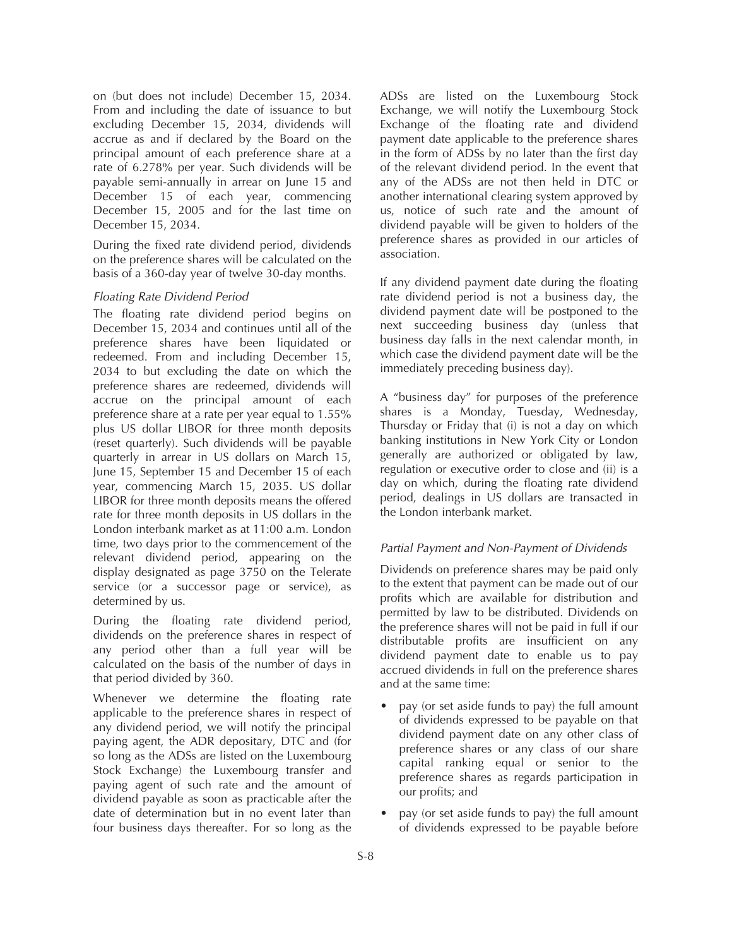on (but does not include) December 15, 2034. From and including the date of issuance to but excluding December 15, 2034, dividends will accrue as and if declared by the Board on the principal amount of each preference share at a rate of 6.278% per year. Such dividends will be payable semi-annually in arrear on June 15 and December 15 of each year, commencing December 15, 2005 and for the last time on December 15, 2034.

During the fixed rate dividend period, dividends on the preference shares will be calculated on the basis of a 360-day year of twelve 30-day months.

## *Floating Rate Dividend Period*

The floating rate dividend period begins on December 15, 2034 and continues until all of the preference shares have been liquidated or redeemed. From and including December 15, 2034 to but excluding the date on which the preference shares are redeemed, dividends will accrue on the principal amount of each preference share at a rate per year equal to 1.55% plus US dollar LIBOR for three month deposits (reset quarterly). Such dividends will be payable quarterly in arrear in US dollars on March 15, June 15, September 15 and December 15 of each year, commencing March 15, 2035. US dollar LIBOR for three month deposits means the offered rate for three month deposits in US dollars in the London interbank market as at 11:00 a.m. London time, two days prior to the commencement of the relevant dividend period, appearing on the display designated as page 3750 on the Telerate service (or a successor page or service), as determined by us.

During the floating rate dividend period, dividends on the preference shares in respect of any period other than a full year will be calculated on the basis of the number of days in that period divided by 360.

Whenever we determine the floating rate applicable to the preference shares in respect of any dividend period, we will notify the principal paying agent, the ADR depositary, DTC and (for so long as the ADSs are listed on the Luxembourg Stock Exchange) the Luxembourg transfer and paying agent of such rate and the amount of dividend payable as soon as practicable after the date of determination but in no event later than four business days thereafter. For so long as the

ADSs are listed on the Luxembourg Stock Exchange, we will notify the Luxembourg Stock Exchange of the floating rate and dividend payment date applicable to the preference shares in the form of ADSs by no later than the first day of the relevant dividend period. In the event that any of the ADSs are not then held in DTC or another international clearing system approved by us, notice of such rate and the amount of dividend payable will be given to holders of the preference shares as provided in our articles of association.

If any dividend payment date during the floating rate dividend period is not a business day, the dividend payment date will be postponed to the next succeeding business day (unless that business day falls in the next calendar month, in which case the dividend payment date will be the immediately preceding business day).

A "business day" for purposes of the preference shares is a Monday, Tuesday, Wednesday, Thursday or Friday that (i) is not a day on which banking institutions in New York City or London generally are authorized or obligated by law, regulation or executive order to close and (ii) is a day on which, during the floating rate dividend period, dealings in US dollars are transacted in the London interbank market.

#### *Partial Payment and Non-Payment of Dividends*

Dividends on preference shares may be paid only to the extent that payment can be made out of our profits which are available for distribution and permitted by law to be distributed. Dividends on the preference shares will not be paid in full if our distributable profits are insufficient on any dividend payment date to enable us to pay accrued dividends in full on the preference shares and at the same time:

- pay (or set aside funds to pay) the full amount of dividends expressed to be payable on that dividend payment date on any other class of preference shares or any class of our share capital ranking equal or senior to the preference shares as regards participation in our profits; and
- pay (or set aside funds to pay) the full amount of dividends expressed to be payable before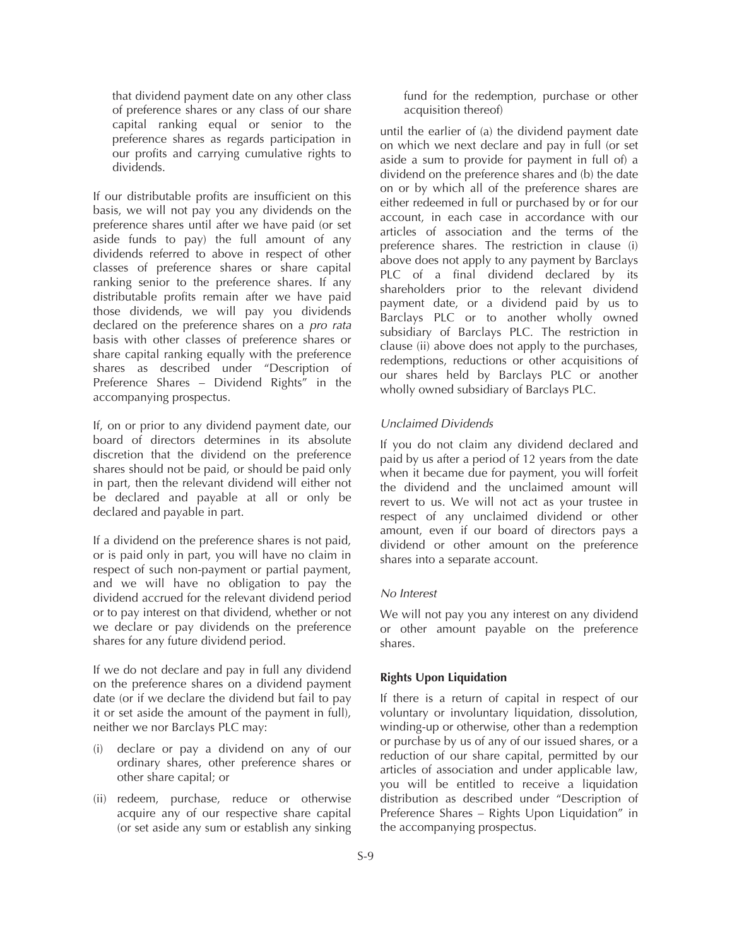that dividend payment date on any other class of preference shares or any class of our share capital ranking equal or senior to the preference shares as regards participation in our profits and carrying cumulative rights to dividends.

If our distributable profits are insufficient on this basis, we will not pay you any dividends on the preference shares until after we have paid (or set aside funds to pay) the full amount of any dividends referred to above in respect of other classes of preference shares or share capital ranking senior to the preference shares. If any distributable profits remain after we have paid those dividends, we will pay you dividends declared on the preference shares on a *pro rata* basis with other classes of preference shares or share capital ranking equally with the preference shares as described under "Description of Preference Shares – Dividend Rights" in the accompanying prospectus.

If, on or prior to any dividend payment date, our board of directors determines in its absolute discretion that the dividend on the preference shares should not be paid, or should be paid only in part, then the relevant dividend will either not be declared and payable at all or only be declared and payable in part.

If a dividend on the preference shares is not paid, or is paid only in part, you will have no claim in respect of such non-payment or partial payment, and we will have no obligation to pay the dividend accrued for the relevant dividend period or to pay interest on that dividend, whether or not we declare or pay dividends on the preference shares for any future dividend period.

If we do not declare and pay in full any dividend on the preference shares on a dividend payment date (or if we declare the dividend but fail to pay it or set aside the amount of the payment in full), neither we nor Barclays PLC may:

- (i) declare or pay a dividend on any of our ordinary shares, other preference shares or other share capital; or
- (ii) redeem, purchase, reduce or otherwise acquire any of our respective share capital (or set aside any sum or establish any sinking

fund for the redemption, purchase or other acquisition thereof)

until the earlier of (a) the dividend payment date on which we next declare and pay in full (or set aside a sum to provide for payment in full of) a dividend on the preference shares and (b) the date on or by which all of the preference shares are either redeemed in full or purchased by or for our account, in each case in accordance with our articles of association and the terms of the preference shares. The restriction in clause (i) above does not apply to any payment by Barclays PLC of a final dividend declared by its shareholders prior to the relevant dividend payment date, or a dividend paid by us to Barclays PLC or to another wholly owned subsidiary of Barclays PLC. The restriction in clause (ii) above does not apply to the purchases, redemptions, reductions or other acquisitions of our shares held by Barclays PLC or another wholly owned subsidiary of Barclays PLC.

## *Unclaimed Dividends*

If you do not claim any dividend declared and paid by us after a period of 12 years from the date when it became due for payment, you will forfeit the dividend and the unclaimed amount will revert to us. We will not act as your trustee in respect of any unclaimed dividend or other amount, even if our board of directors pays a dividend or other amount on the preference shares into a separate account.

#### *No Interest*

We will not pay you any interest on any dividend or other amount payable on the preference shares.

## **Rights Upon Liquidation**

If there is a return of capital in respect of our voluntary or involuntary liquidation, dissolution, winding-up or otherwise, other than a redemption or purchase by us of any of our issued shares, or a reduction of our share capital, permitted by our articles of association and under applicable law, you will be entitled to receive a liquidation distribution as described under "Description of Preference Shares – Rights Upon Liquidation" in the accompanying prospectus.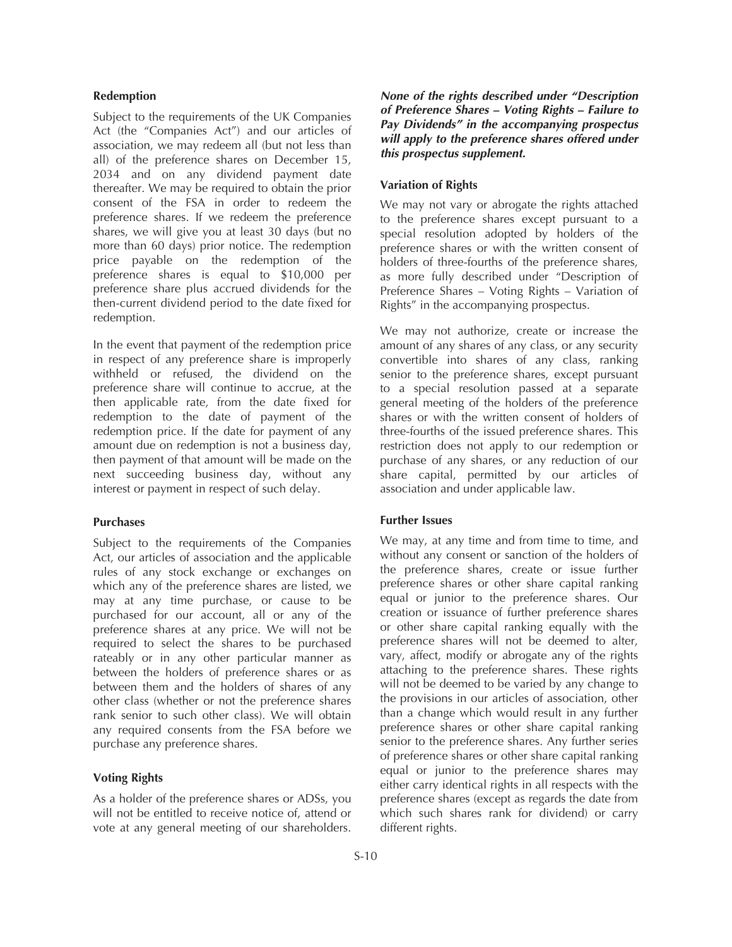#### **Redemption**

Subject to the requirements of the UK Companies Act (the "Companies Act") and our articles of association, we may redeem all (but not less than all) of the preference shares on December 15, 2034 and on any dividend payment date thereafter. We may be required to obtain the prior consent of the FSA in order to redeem the preference shares. If we redeem the preference shares, we will give you at least 30 days (but no more than 60 days) prior notice. The redemption price payable on the redemption of the preference shares is equal to \$10,000 per preference share plus accrued dividends for the then-current dividend period to the date fixed for redemption.

In the event that payment of the redemption price in respect of any preference share is improperly withheld or refused, the dividend on the preference share will continue to accrue, at the then applicable rate, from the date fixed for redemption to the date of payment of the redemption price. If the date for payment of any amount due on redemption is not a business day, then payment of that amount will be made on the next succeeding business day, without any interest or payment in respect of such delay.

#### **Purchases**

Subject to the requirements of the Companies Act, our articles of association and the applicable rules of any stock exchange or exchanges on which any of the preference shares are listed, we may at any time purchase, or cause to be purchased for our account, all or any of the preference shares at any price. We will not be required to select the shares to be purchased rateably or in any other particular manner as between the holders of preference shares or as between them and the holders of shares of any other class (whether or not the preference shares rank senior to such other class). We will obtain any required consents from the FSA before we purchase any preference shares.

#### **Voting Rights**

As a holder of the preference shares or ADSs, you will not be entitled to receive notice of, attend or vote at any general meeting of our shareholders.

*None of the rights described under "Description of Preference Shares – Voting Rights – Failure to Pay Dividends" in the accompanying prospectus will apply to the preference shares offered under this prospectus supplement.*

#### **Variation of Rights**

We may not vary or abrogate the rights attached to the preference shares except pursuant to a special resolution adopted by holders of the preference shares or with the written consent of holders of three-fourths of the preference shares, as more fully described under "Description of Preference Shares – Voting Rights – Variation of Rights" in the accompanying prospectus.

We may not authorize, create or increase the amount of any shares of any class, or any security convertible into shares of any class, ranking senior to the preference shares, except pursuant to a special resolution passed at a separate general meeting of the holders of the preference shares or with the written consent of holders of three-fourths of the issued preference shares. This restriction does not apply to our redemption or purchase of any shares, or any reduction of our share capital, permitted by our articles of association and under applicable law.

#### **Further Issues**

We may, at any time and from time to time, and without any consent or sanction of the holders of the preference shares, create or issue further preference shares or other share capital ranking equal or junior to the preference shares. Our creation or issuance of further preference shares or other share capital ranking equally with the preference shares will not be deemed to alter, vary, affect, modify or abrogate any of the rights attaching to the preference shares. These rights will not be deemed to be varied by any change to the provisions in our articles of association, other than a change which would result in any further preference shares or other share capital ranking senior to the preference shares. Any further series of preference shares or other share capital ranking equal or junior to the preference shares may either carry identical rights in all respects with the preference shares (except as regards the date from which such shares rank for dividend) or carry different rights.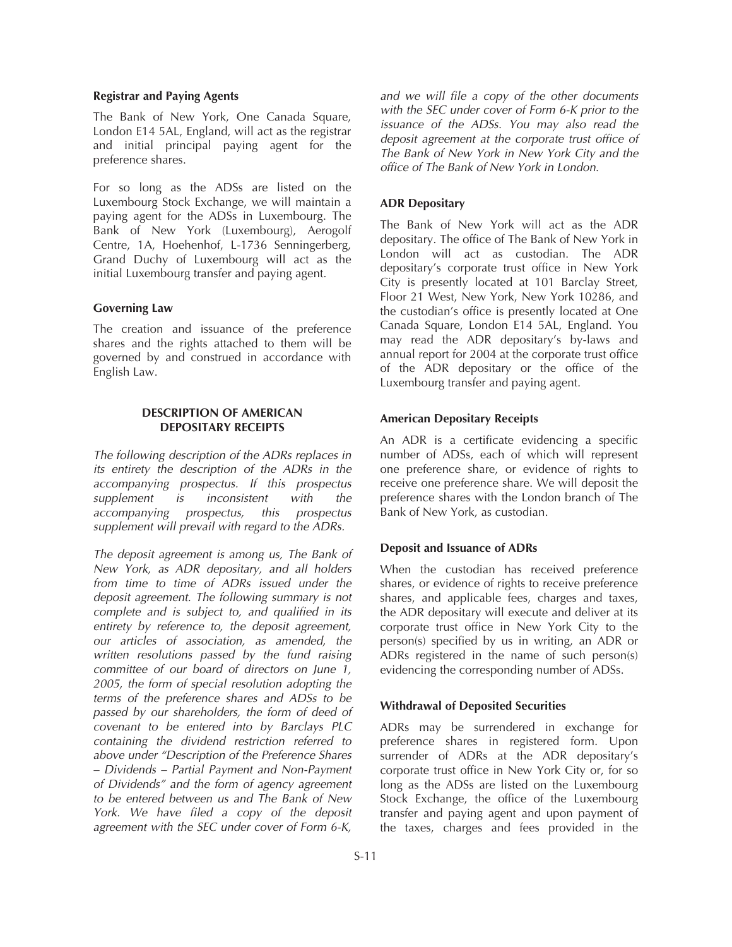#### **Registrar and Paying Agents**

The Bank of New York, One Canada Square, London E14 5AL, England, will act as the registrar and initial principal paying agent for the preference shares.

For so long as the ADSs are listed on the Luxembourg Stock Exchange, we will maintain a paying agent for the ADSs in Luxembourg. The Bank of New York (Luxembourg), Aerogolf Centre, 1A, Hoehenhof, L-1736 Senningerberg, Grand Duchy of Luxembourg will act as the initial Luxembourg transfer and paying agent.

#### **Governing Law**

The creation and issuance of the preference shares and the rights attached to them will be governed by and construed in accordance with English Law.

### **DESCRIPTION OF AMERICAN DEPOSITARY RECEIPTS**

*The following description of the ADRs replaces in its entirety the description of the ADRs in the accompanying prospectus. If this prospectus supplement is inconsistent with the accompanying prospectus, this prospectus supplement will prevail with regard to the ADRs.*

*The deposit agreement is among us, The Bank of New York, as ADR depositary, and all holders from time to time of ADRs issued under the deposit agreement. The following summary is not complete and is subject to, and qualified in its entirety by reference to, the deposit agreement, our articles of association, as amended, the written resolutions passed by the fund raising committee of our board of directors on June 1, 2005, the form of special resolution adopting the terms of the preference shares and ADSs to be passed by our shareholders, the form of deed of covenant to be entered into by Barclays PLC containing the dividend restriction referred to above under "Description of the Preference Shares – Dividends – Partial Payment and Non-Payment of Dividends" and the form of agency agreement to be entered between us and The Bank of New York. We have filed a copy of the deposit agreement with the SEC under cover of Form 6-K,*

*and we will file a copy of the other documents with the SEC under cover of Form 6-K prior to the issuance of the ADSs. You may also read the deposit agreement at the corporate trust office of The Bank of New York in New York City and the office of The Bank of New York in London.*

## **ADR Depositary**

The Bank of New York will act as the ADR depositary. The office of The Bank of New York in London will act as custodian. The ADR depositary's corporate trust office in New York City is presently located at 101 Barclay Street, Floor 21 West, New York, New York 10286, and the custodian's office is presently located at One Canada Square, London E14 5AL, England. You may read the ADR depositary's by-laws and annual report for 2004 at the corporate trust office of the ADR depositary or the office of the Luxembourg transfer and paying agent.

#### **American Depositary Receipts**

An ADR is a certificate evidencing a specific number of ADSs, each of which will represent one preference share, or evidence of rights to receive one preference share. We will deposit the preference shares with the London branch of The Bank of New York, as custodian.

## **Deposit and Issuance of ADRs**

When the custodian has received preference shares, or evidence of rights to receive preference shares, and applicable fees, charges and taxes, the ADR depositary will execute and deliver at its corporate trust office in New York City to the person(s) specified by us in writing, an ADR or ADRs registered in the name of such person(s) evidencing the corresponding number of ADSs.

## **Withdrawal of Deposited Securities**

ADRs may be surrendered in exchange for preference shares in registered form. Upon surrender of ADRs at the ADR depositary's corporate trust office in New York City or, for so long as the ADSs are listed on the Luxembourg Stock Exchange, the office of the Luxembourg transfer and paying agent and upon payment of the taxes, charges and fees provided in the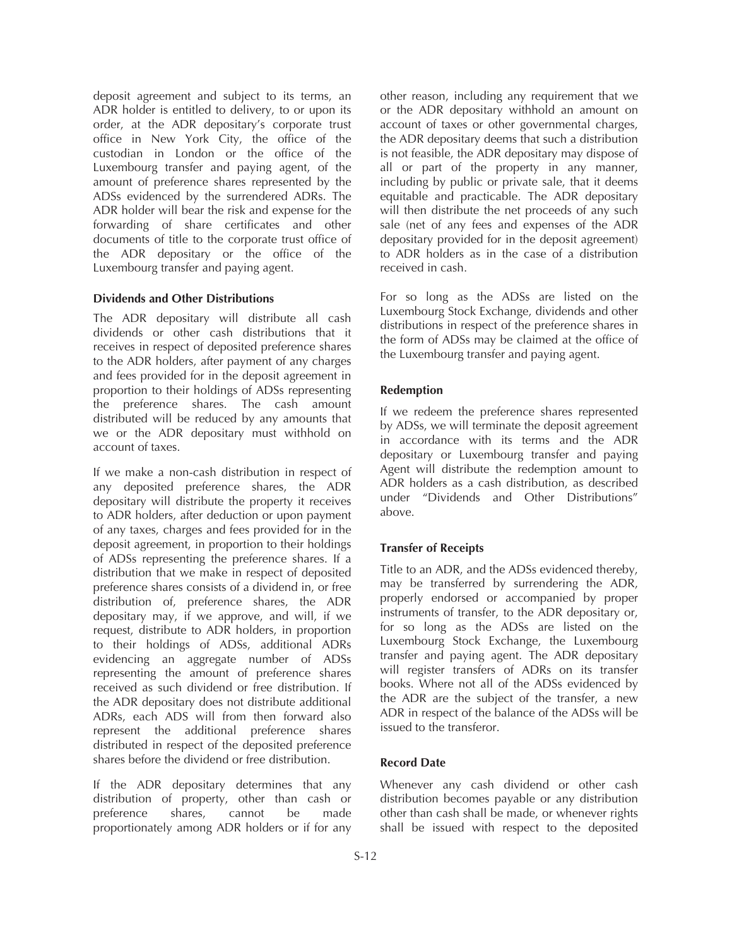deposit agreement and subject to its terms, an ADR holder is entitled to delivery, to or upon its order, at the ADR depositary's corporate trust office in New York City, the office of the custodian in London or the office of the Luxembourg transfer and paying agent, of the amount of preference shares represented by the ADSs evidenced by the surrendered ADRs. The ADR holder will bear the risk and expense for the forwarding of share certificates and other documents of title to the corporate trust office of the ADR depositary or the office of the Luxembourg transfer and paying agent.

## **Dividends and Other Distributions**

The ADR depositary will distribute all cash dividends or other cash distributions that it receives in respect of deposited preference shares to the ADR holders, after payment of any charges and fees provided for in the deposit agreement in proportion to their holdings of ADSs representing the preference shares. The cash amount distributed will be reduced by any amounts that we or the ADR depositary must withhold on account of taxes.

If we make a non-cash distribution in respect of any deposited preference shares, the ADR depositary will distribute the property it receives to ADR holders, after deduction or upon payment of any taxes, charges and fees provided for in the deposit agreement, in proportion to their holdings of ADSs representing the preference shares. If a distribution that we make in respect of deposited preference shares consists of a dividend in, or free distribution of, preference shares, the ADR depositary may, if we approve, and will, if we request, distribute to ADR holders, in proportion to their holdings of ADSs, additional ADRs evidencing an aggregate number of ADSs representing the amount of preference shares received as such dividend or free distribution. If the ADR depositary does not distribute additional ADRs, each ADS will from then forward also represent the additional preference shares distributed in respect of the deposited preference shares before the dividend or free distribution.

If the ADR depositary determines that any distribution of property, other than cash or preference shares, cannot be made proportionately among ADR holders or if for any

other reason, including any requirement that we or the ADR depositary withhold an amount on account of taxes or other governmental charges, the ADR depositary deems that such a distribution is not feasible, the ADR depositary may dispose of all or part of the property in any manner, including by public or private sale, that it deems equitable and practicable. The ADR depositary will then distribute the net proceeds of any such sale (net of any fees and expenses of the ADR depositary provided for in the deposit agreement) to ADR holders as in the case of a distribution received in cash.

For so long as the ADSs are listed on the Luxembourg Stock Exchange, dividends and other distributions in respect of the preference shares in the form of ADSs may be claimed at the office of the Luxembourg transfer and paying agent.

## **Redemption**

If we redeem the preference shares represented by ADSs, we will terminate the deposit agreement in accordance with its terms and the ADR depositary or Luxembourg transfer and paying Agent will distribute the redemption amount to ADR holders as a cash distribution, as described under "Dividends and Other Distributions" above.

#### **Transfer of Receipts**

Title to an ADR, and the ADSs evidenced thereby, may be transferred by surrendering the ADR, properly endorsed or accompanied by proper instruments of transfer, to the ADR depositary or, for so long as the ADSs are listed on the Luxembourg Stock Exchange, the Luxembourg transfer and paying agent. The ADR depositary will register transfers of ADRs on its transfer books. Where not all of the ADSs evidenced by the ADR are the subject of the transfer, a new ADR in respect of the balance of the ADSs will be issued to the transferor.

#### **Record Date**

Whenever any cash dividend or other cash distribution becomes payable or any distribution other than cash shall be made, or whenever rights shall be issued with respect to the deposited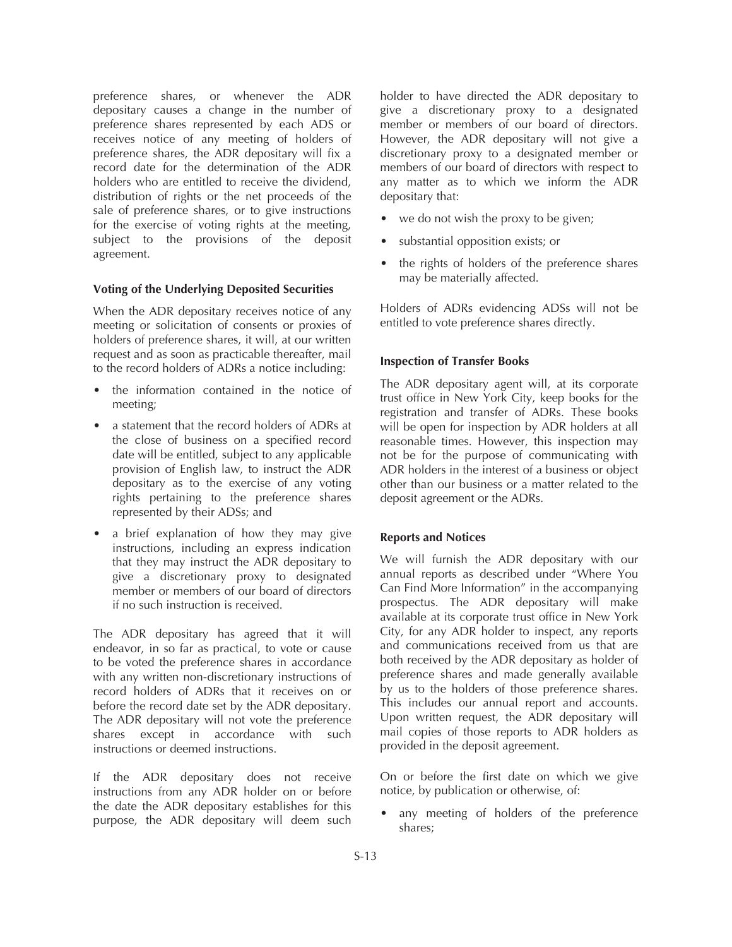preference shares, or whenever the ADR depositary causes a change in the number of preference shares represented by each ADS or receives notice of any meeting of holders of preference shares, the ADR depositary will fix a record date for the determination of the ADR holders who are entitled to receive the dividend, distribution of rights or the net proceeds of the sale of preference shares, or to give instructions for the exercise of voting rights at the meeting, subject to the provisions of the deposit agreement.

#### **Voting of the Underlying Deposited Securities**

When the ADR depositary receives notice of any meeting or solicitation of consents or proxies of holders of preference shares, it will, at our written request and as soon as practicable thereafter, mail to the record holders of ADRs a notice including:

- the information contained in the notice of meeting;
- a statement that the record holders of ADRs at the close of business on a specified record date will be entitled, subject to any applicable provision of English law, to instruct the ADR depositary as to the exercise of any voting rights pertaining to the preference shares represented by their ADSs; and
- a brief explanation of how they may give instructions, including an express indication that they may instruct the ADR depositary to give a discretionary proxy to designated member or members of our board of directors if no such instruction is received.

The ADR depositary has agreed that it will endeavor, in so far as practical, to vote or cause to be voted the preference shares in accordance with any written non-discretionary instructions of record holders of ADRs that it receives on or before the record date set by the ADR depositary. The ADR depositary will not vote the preference shares except in accordance with such instructions or deemed instructions.

If the ADR depositary does not receive instructions from any ADR holder on or before the date the ADR depositary establishes for this purpose, the ADR depositary will deem such

holder to have directed the ADR depositary to give a discretionary proxy to a designated member or members of our board of directors. However, the ADR depositary will not give a discretionary proxy to a designated member or members of our board of directors with respect to any matter as to which we inform the ADR depositary that:

- we do not wish the proxy to be given;
- substantial opposition exists; or
- the rights of holders of the preference shares may be materially affected.

Holders of ADRs evidencing ADSs will not be entitled to vote preference shares directly.

## **Inspection of Transfer Books**

The ADR depositary agent will, at its corporate trust office in New York City, keep books for the registration and transfer of ADRs. These books will be open for inspection by ADR holders at all reasonable times. However, this inspection may not be for the purpose of communicating with ADR holders in the interest of a business or object other than our business or a matter related to the deposit agreement or the ADRs.

## **Reports and Notices**

We will furnish the ADR depositary with our annual reports as described under "Where You Can Find More Information" in the accompanying prospectus. The ADR depositary will make available at its corporate trust office in New York City, for any ADR holder to inspect, any reports and communications received from us that are both received by the ADR depositary as holder of preference shares and made generally available by us to the holders of those preference shares. This includes our annual report and accounts. Upon written request, the ADR depositary will mail copies of those reports to ADR holders as provided in the deposit agreement.

On or before the first date on which we give notice, by publication or otherwise, of:

any meeting of holders of the preference shares;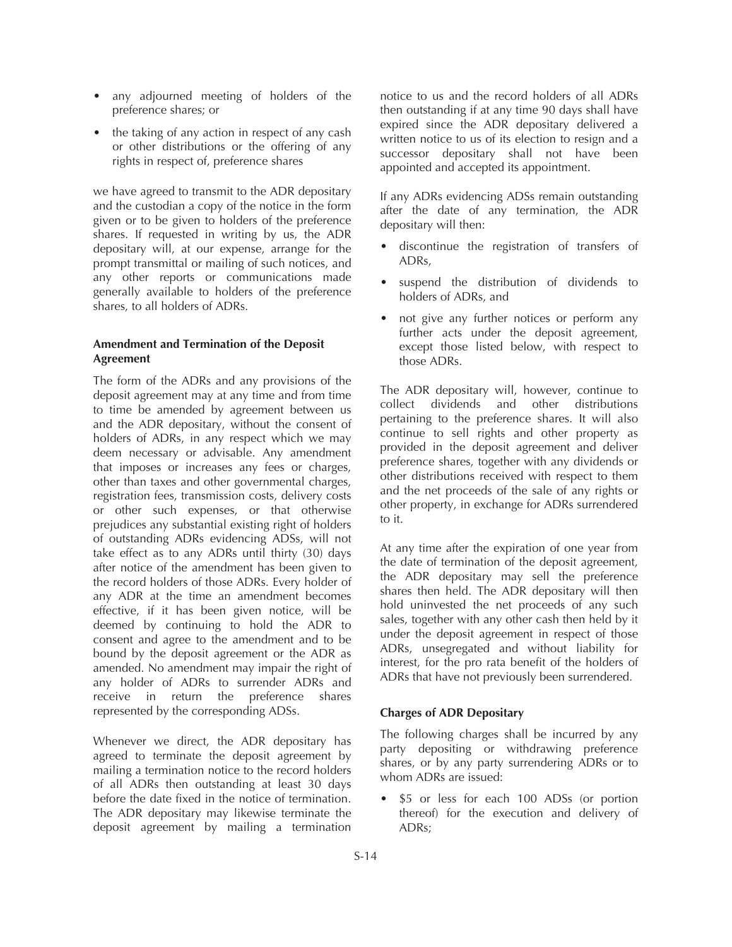- any adjourned meeting of holders of the preference shares; or
- the taking of any action in respect of any cash or other distributions or the offering of any rights in respect of, preference shares

we have agreed to transmit to the ADR depositary and the custodian a copy of the notice in the form given or to be given to holders of the preference shares. If requested in writing by us, the ADR depositary will, at our expense, arrange for the prompt transmittal or mailing of such notices, and any other reports or communications made generally available to holders of the preference shares, to all holders of ADRs.

## **Amendment and Termination of the Deposit Agreement**

The form of the ADRs and any provisions of the deposit agreement may at any time and from time to time be amended by agreement between us and the ADR depositary, without the consent of holders of ADRs, in any respect which we may deem necessary or advisable. Any amendment that imposes or increases any fees or charges, other than taxes and other governmental charges, registration fees, transmission costs, delivery costs or other such expenses, or that otherwise prejudices any substantial existing right of holders of outstanding ADRs evidencing ADSs, will not take effect as to any ADRs until thirty (30) days after notice of the amendment has been given to the record holders of those ADRs. Every holder of any ADR at the time an amendment becomes effective, if it has been given notice, will be deemed by continuing to hold the ADR to consent and agree to the amendment and to be bound by the deposit agreement or the ADR as amended. No amendment may impair the right of any holder of ADRs to surrender ADRs and receive in return the preference shares represented by the corresponding ADSs.

Whenever we direct, the ADR depositary has agreed to terminate the deposit agreement by mailing a termination notice to the record holders of all ADRs then outstanding at least 30 days before the date fixed in the notice of termination. The ADR depositary may likewise terminate the deposit agreement by mailing a termination

notice to us and the record holders of all ADRs then outstanding if at any time 90 days shall have expired since the ADR depositary delivered a written notice to us of its election to resign and a successor depositary shall not have been appointed and accepted its appointment.

If any ADRs evidencing ADSs remain outstanding after the date of any termination, the ADR depositary will then:

- discontinue the registration of transfers of ADRs,
- suspend the distribution of dividends to holders of ADRs, and
- not give any further notices or perform any further acts under the deposit agreement, except those listed below, with respect to those ADRs.

The ADR depositary will, however, continue to collect dividends and other distributions pertaining to the preference shares. It will also continue to sell rights and other property as provided in the deposit agreement and deliver preference shares, together with any dividends or other distributions received with respect to them and the net proceeds of the sale of any rights or other property, in exchange for ADRs surrendered to it.

At any time after the expiration of one year from the date of termination of the deposit agreement, the ADR depositary may sell the preference shares then held. The ADR depositary will then hold uninvested the net proceeds of any such sales, together with any other cash then held by it under the deposit agreement in respect of those ADRs, unsegregated and without liability for interest, for the pro rata benefit of the holders of ADRs that have not previously been surrendered.

## **Charges of ADR Depositary**

The following charges shall be incurred by any party depositing or withdrawing preference shares, or by any party surrendering ADRs or to whom ADRs are issued:

\$5 or less for each 100 ADSs (or portion thereof) for the execution and delivery of ADRs;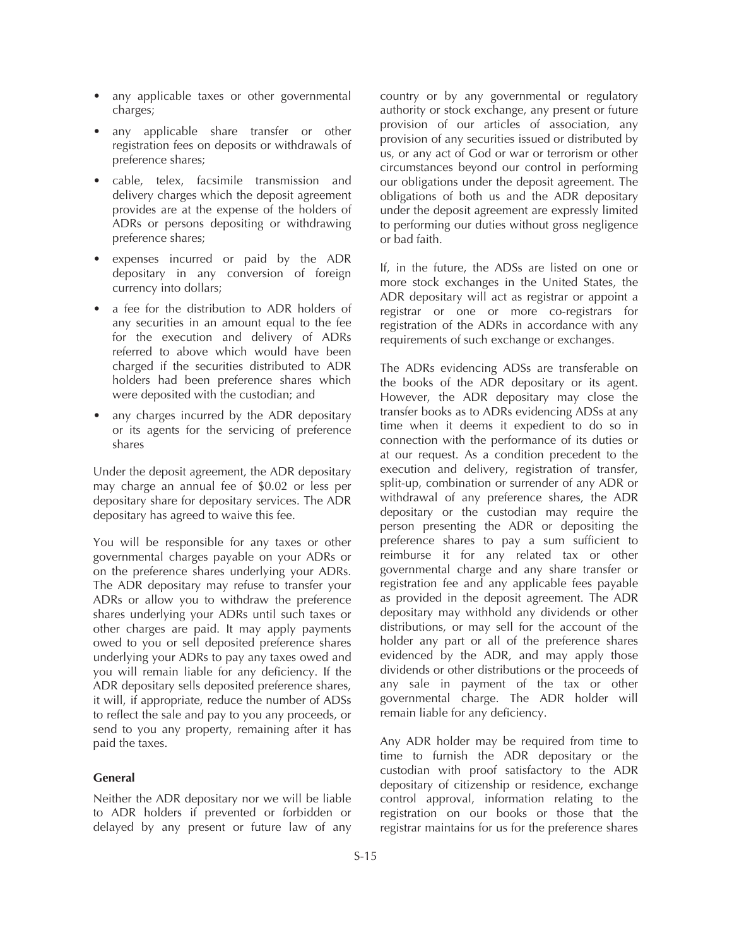- any applicable taxes or other governmental charges;
- any applicable share transfer or other registration fees on deposits or withdrawals of preference shares;
- cable, telex, facsimile transmission and delivery charges which the deposit agreement provides are at the expense of the holders of ADRs or persons depositing or withdrawing preference shares;
- expenses incurred or paid by the ADR depositary in any conversion of foreign currency into dollars;
- a fee for the distribution to ADR holders of any securities in an amount equal to the fee for the execution and delivery of ADRs referred to above which would have been charged if the securities distributed to ADR holders had been preference shares which were deposited with the custodian; and
- any charges incurred by the ADR depositary or its agents for the servicing of preference shares

Under the deposit agreement, the ADR depositary may charge an annual fee of \$0.02 or less per depositary share for depositary services. The ADR depositary has agreed to waive this fee.

You will be responsible for any taxes or other governmental charges payable on your ADRs or on the preference shares underlying your ADRs. The ADR depositary may refuse to transfer your ADRs or allow you to withdraw the preference shares underlying your ADRs until such taxes or other charges are paid. It may apply payments owed to you or sell deposited preference shares underlying your ADRs to pay any taxes owed and you will remain liable for any deficiency. If the ADR depositary sells deposited preference shares, it will, if appropriate, reduce the number of ADSs to reflect the sale and pay to you any proceeds, or send to you any property, remaining after it has paid the taxes.

## **General**

Neither the ADR depositary nor we will be liable to ADR holders if prevented or forbidden or delayed by any present or future law of any

country or by any governmental or regulatory authority or stock exchange, any present or future provision of our articles of association, any provision of any securities issued or distributed by us, or any act of God or war or terrorism or other circumstances beyond our control in performing our obligations under the deposit agreement. The obligations of both us and the ADR depositary under the deposit agreement are expressly limited to performing our duties without gross negligence or bad faith.

If, in the future, the ADSs are listed on one or more stock exchanges in the United States, the ADR depositary will act as registrar or appoint a registrar or one or more co-registrars for registration of the ADRs in accordance with any requirements of such exchange or exchanges.

The ADRs evidencing ADSs are transferable on the books of the ADR depositary or its agent. However, the ADR depositary may close the transfer books as to ADRs evidencing ADSs at any time when it deems it expedient to do so in connection with the performance of its duties or at our request. As a condition precedent to the execution and delivery, registration of transfer, split-up, combination or surrender of any ADR or withdrawal of any preference shares, the ADR depositary or the custodian may require the person presenting the ADR or depositing the preference shares to pay a sum sufficient to reimburse it for any related tax or other governmental charge and any share transfer or registration fee and any applicable fees payable as provided in the deposit agreement. The ADR depositary may withhold any dividends or other distributions, or may sell for the account of the holder any part or all of the preference shares evidenced by the ADR, and may apply those dividends or other distributions or the proceeds of any sale in payment of the tax or other governmental charge. The ADR holder will remain liable for any deficiency.

Any ADR holder may be required from time to time to furnish the ADR depositary or the custodian with proof satisfactory to the ADR depositary of citizenship or residence, exchange control approval, information relating to the registration on our books or those that the registrar maintains for us for the preference shares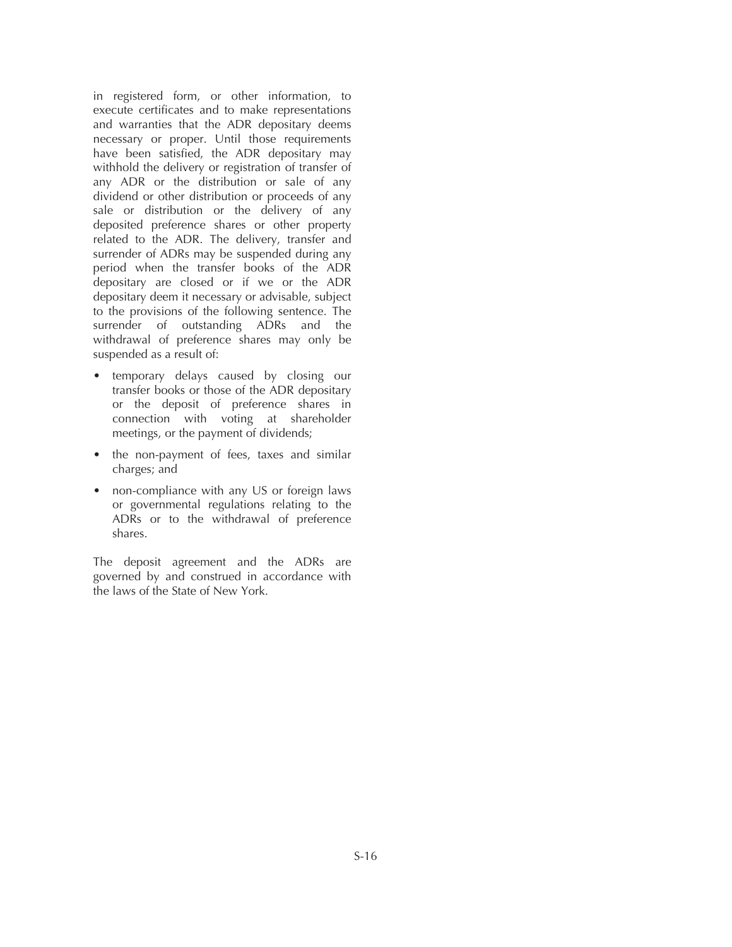in registered form, or other information, to execute certificates and to make representations and warranties that the ADR depositary deems necessary or proper. Until those requirements have been satisfied, the ADR depositary may withhold the delivery or registration of transfer of any ADR or the distribution or sale of any dividend or other distribution or proceeds of any sale or distribution or the delivery of any deposited preference shares or other property related to the ADR. The delivery, transfer and surrender of ADRs may be suspended during any period when the transfer books of the ADR depositary are closed or if we or the ADR depositary deem it necessary or advisable, subject to the provisions of the following sentence. The surrender of outstanding ADRs and the withdrawal of preference shares may only be suspended as a result of:

- temporary delays caused by closing our transfer books or those of the ADR depositary or the deposit of preference shares in connection with voting at shareholder meetings, or the payment of dividends;
- the non-payment of fees, taxes and similar charges; and
- non-compliance with any US or foreign laws or governmental regulations relating to the ADRs or to the withdrawal of preference shares.

The deposit agreement and the ADRs are governed by and construed in accordance with the laws of the State of New York.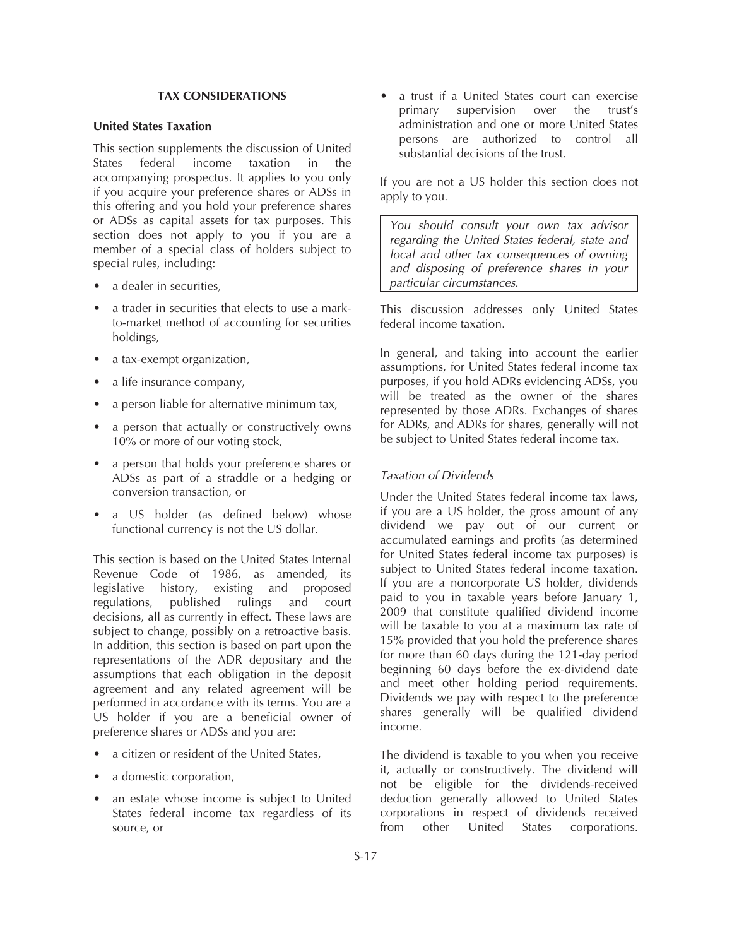### **TAX CONSIDERATIONS**

## **United States Taxation**

This section supplements the discussion of United States federal income taxation in the accompanying prospectus. It applies to you only if you acquire your preference shares or ADSs in this offering and you hold your preference shares or ADSs as capital assets for tax purposes. This section does not apply to you if you are a member of a special class of holders subject to special rules, including:

- a dealer in securities.
- a trader in securities that elects to use a markto-market method of accounting for securities holdings,
- a tax-exempt organization,
- a life insurance company,
- a person liable for alternative minimum tax,
- a person that actually or constructively owns 10% or more of our voting stock,
- a person that holds your preference shares or ADSs as part of a straddle or a hedging or conversion transaction, or
- a US holder (as defined below) whose functional currency is not the US dollar.

This section is based on the United States Internal Revenue Code of 1986, as amended, its legislative history, existing and proposed regulations, published rulings and court decisions, all as currently in effect. These laws are subject to change, possibly on a retroactive basis. In addition, this section is based on part upon the representations of the ADR depositary and the assumptions that each obligation in the deposit agreement and any related agreement will be performed in accordance with its terms. You are a US holder if you are a beneficial owner of preference shares or ADSs and you are:

- a citizen or resident of the United States,
- a domestic corporation,
- an estate whose income is subject to United States federal income tax regardless of its source, or

• a trust if a United States court can exercise primary supervision over the trust's administration and one or more United States persons are authorized to control all substantial decisions of the trust.

If you are not a US holder this section does not apply to you.

*You should consult your own tax advisor regarding the United States federal, state and local and other tax consequences of owning and disposing of preference shares in your particular circumstances.*

This discussion addresses only United States federal income taxation.

In general, and taking into account the earlier assumptions, for United States federal income tax purposes, if you hold ADRs evidencing ADSs, you will be treated as the owner of the shares represented by those ADRs. Exchanges of shares for ADRs, and ADRs for shares, generally will not be subject to United States federal income tax.

## *Taxation of Dividends*

Under the United States federal income tax laws, if you are a US holder, the gross amount of any dividend we pay out of our current or accumulated earnings and profits (as determined for United States federal income tax purposes) is subject to United States federal income taxation. If you are a noncorporate US holder, dividends paid to you in taxable years before January 1, 2009 that constitute qualified dividend income will be taxable to you at a maximum tax rate of 15% provided that you hold the preference shares for more than 60 days during the 121-day period beginning 60 days before the ex-dividend date and meet other holding period requirements. Dividends we pay with respect to the preference shares generally will be qualified dividend income.

The dividend is taxable to you when you receive it, actually or constructively. The dividend will not be eligible for the dividends-received deduction generally allowed to United States corporations in respect of dividends received from other United States corporations.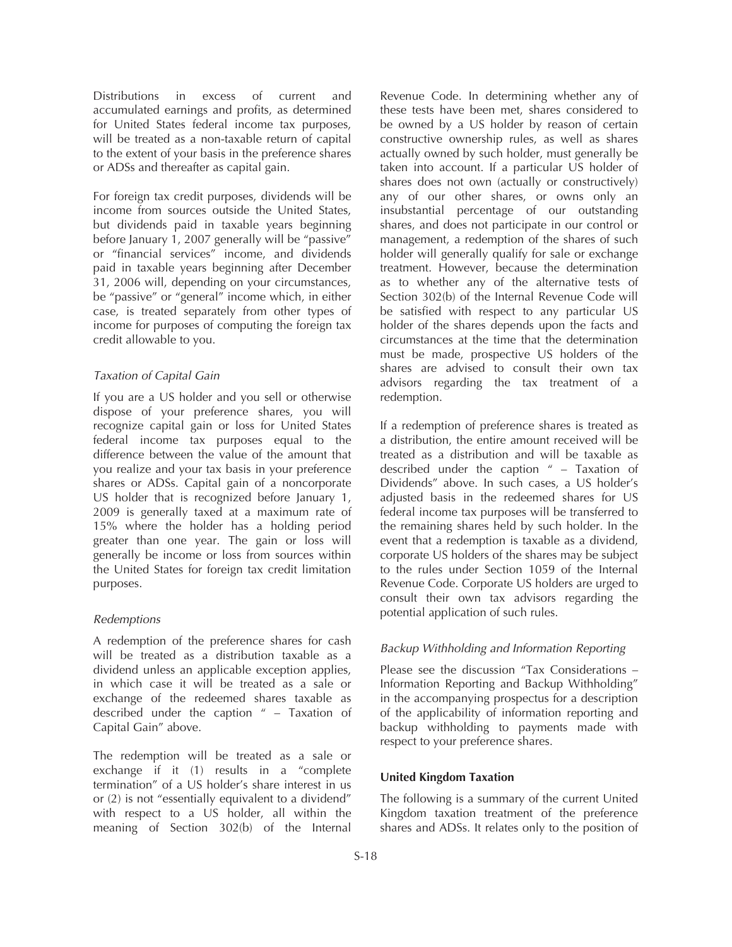Distributions in excess of current and accumulated earnings and profits, as determined for United States federal income tax purposes, will be treated as a non-taxable return of capital to the extent of your basis in the preference shares or ADSs and thereafter as capital gain.

For foreign tax credit purposes, dividends will be income from sources outside the United States, but dividends paid in taxable years beginning before January 1, 2007 generally will be "passive" or "financial services" income, and dividends paid in taxable years beginning after December 31, 2006 will, depending on your circumstances, be "passive" or "general" income which, in either case, is treated separately from other types of income for purposes of computing the foreign tax credit allowable to you.

## *Taxation of Capital Gain*

If you are a US holder and you sell or otherwise dispose of your preference shares, you will recognize capital gain or loss for United States federal income tax purposes equal to the difference between the value of the amount that you realize and your tax basis in your preference shares or ADSs. Capital gain of a noncorporate US holder that is recognized before January 1, 2009 is generally taxed at a maximum rate of 15% where the holder has a holding period greater than one year. The gain or loss will generally be income or loss from sources within the United States for foreign tax credit limitation purposes.

#### *Redemptions*

A redemption of the preference shares for cash will be treated as a distribution taxable as a dividend unless an applicable exception applies, in which case it will be treated as a sale or exchange of the redeemed shares taxable as described under the caption " – Taxation of Capital Gain" above.

The redemption will be treated as a sale or exchange if it (1) results in a "complete termination" of a US holder's share interest in us or (2) is not "essentially equivalent to a dividend" with respect to a US holder, all within the meaning of Section 302(b) of the Internal

Revenue Code. In determining whether any of these tests have been met, shares considered to be owned by a US holder by reason of certain constructive ownership rules, as well as shares actually owned by such holder, must generally be taken into account. If a particular US holder of shares does not own (actually or constructively) any of our other shares, or owns only an insubstantial percentage of our outstanding shares, and does not participate in our control or management, a redemption of the shares of such holder will generally qualify for sale or exchange treatment. However, because the determination as to whether any of the alternative tests of Section 302(b) of the Internal Revenue Code will be satisfied with respect to any particular US holder of the shares depends upon the facts and circumstances at the time that the determination must be made, prospective US holders of the shares are advised to consult their own tax advisors regarding the tax treatment of a redemption.

If a redemption of preference shares is treated as a distribution, the entire amount received will be treated as a distribution and will be taxable as described under the caption " – Taxation of Dividends" above. In such cases, a US holder's adjusted basis in the redeemed shares for US federal income tax purposes will be transferred to the remaining shares held by such holder. In the event that a redemption is taxable as a dividend, corporate US holders of the shares may be subject to the rules under Section 1059 of the Internal Revenue Code. Corporate US holders are urged to consult their own tax advisors regarding the potential application of such rules.

#### *Backup Withholding and Information Reporting*

Please see the discussion "Tax Considerations – Information Reporting and Backup Withholding" in the accompanying prospectus for a description of the applicability of information reporting and backup withholding to payments made with respect to your preference shares.

## **United Kingdom Taxation**

The following is a summary of the current United Kingdom taxation treatment of the preference shares and ADSs. It relates only to the position of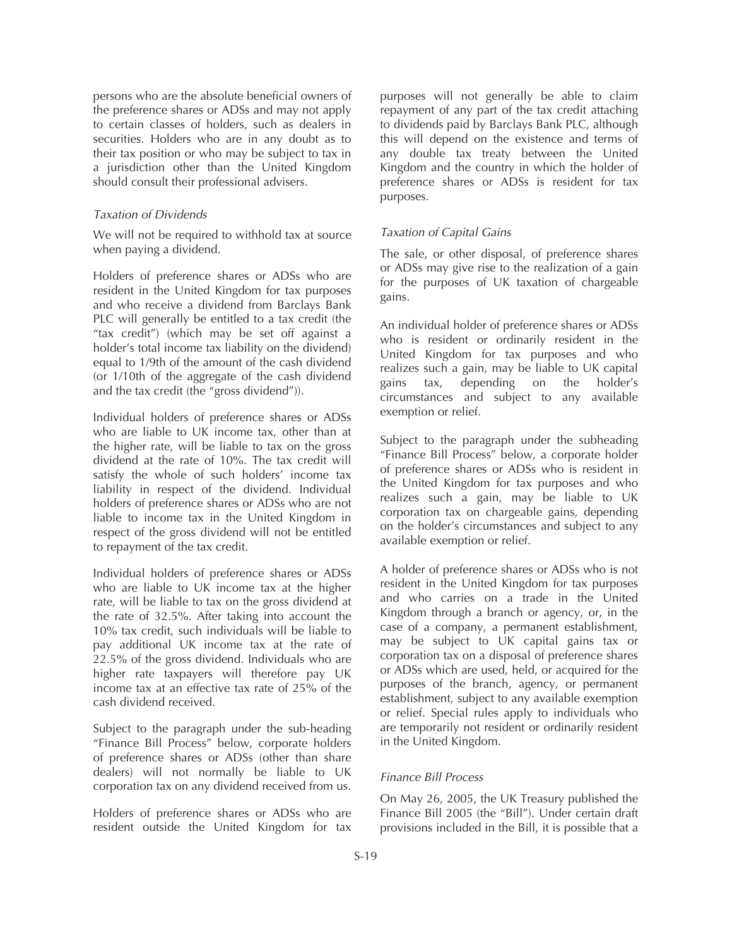persons who are the absolute beneficial owners of the preference shares or ADSs and may not apply to certain classes of holders, such as dealers in securities. Holders who are in any doubt as to their tax position or who may be subject to tax in a jurisdiction other than the United Kingdom should consult their professional advisers.

#### *Taxation of Dividends*

We will not be required to withhold tax at source when paying a dividend.

Holders of preference shares or ADSs who are resident in the United Kingdom for tax purposes and who receive a dividend from Barclays Bank PLC will generally be entitled to a tax credit (the "tax credit") (which may be set off against a holder's total income tax liability on the dividend) equal to 1/9th of the amount of the cash dividend (or 1/10th of the aggregate of the cash dividend and the tax credit (the "gross dividend")).

Individual holders of preference shares or ADSs who are liable to UK income tax, other than at the higher rate, will be liable to tax on the gross dividend at the rate of 10%. The tax credit will satisfy the whole of such holders' income tax liability in respect of the dividend. Individual holders of preference shares or ADSs who are not liable to income tax in the United Kingdom in respect of the gross dividend will not be entitled to repayment of the tax credit.

Individual holders of preference shares or ADSs who are liable to UK income tax at the higher rate, will be liable to tax on the gross dividend at the rate of 32.5%. After taking into account the 10% tax credit, such individuals will be liable to pay additional UK income tax at the rate of 22.5% of the gross dividend. Individuals who are higher rate taxpayers will therefore pay UK income tax at an effective tax rate of 25% of the cash dividend received.

Subject to the paragraph under the sub-heading "Finance Bill Process" below, corporate holders of preference shares or ADSs (other than share dealers) will not normally be liable to UK corporation tax on any dividend received from us.

Holders of preference shares or ADSs who are resident outside the United Kingdom for tax

purposes will not generally be able to claim repayment of any part of the tax credit attaching to dividends paid by Barclays Bank PLC, although this will depend on the existence and terms of any double tax treaty between the United Kingdom and the country in which the holder of preference shares or ADSs is resident for tax purposes.

#### *Taxation of Capital Gains*

The sale, or other disposal, of preference shares or ADSs may give rise to the realization of a gain for the purposes of UK taxation of chargeable gains.

An individual holder of preference shares or ADSs who is resident or ordinarily resident in the United Kingdom for tax purposes and who realizes such a gain, may be liable to UK capital gains tax, depending on the holder's circumstances and subject to any available exemption or relief.

Subject to the paragraph under the subheading "Finance Bill Process" below, a corporate holder of preference shares or ADSs who is resident in the United Kingdom for tax purposes and who realizes such a gain, may be liable to UK corporation tax on chargeable gains, depending on the holder's circumstances and subject to any available exemption or relief.

A holder of preference shares or ADSs who is not resident in the United Kingdom for tax purposes and who carries on a trade in the United Kingdom through a branch or agency, or, in the case of a company, a permanent establishment, may be subject to UK capital gains tax or corporation tax on a disposal of preference shares or ADSs which are used, held, or acquired for the purposes of the branch, agency, or permanent establishment, subject to any available exemption or relief. Special rules apply to individuals who are temporarily not resident or ordinarily resident in the United Kingdom.

#### *Finance Bill Process*

On May 26, 2005, the UK Treasury published the Finance Bill 2005 (the "Bill"). Under certain draft provisions included in the Bill, it is possible that a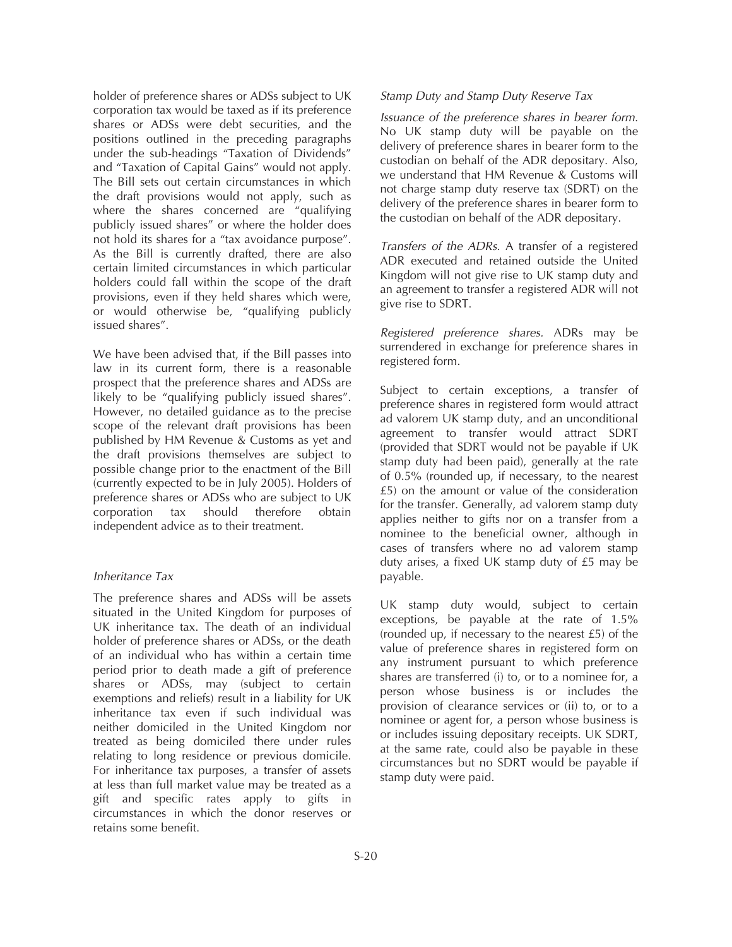holder of preference shares or ADSs subject to UK corporation tax would be taxed as if its preference shares or ADSs were debt securities, and the positions outlined in the preceding paragraphs under the sub-headings "Taxation of Dividends" and "Taxation of Capital Gains" would not apply. The Bill sets out certain circumstances in which the draft provisions would not apply, such as where the shares concerned are "qualifying" publicly issued shares" or where the holder does not hold its shares for a "tax avoidance purpose". As the Bill is currently drafted, there are also certain limited circumstances in which particular holders could fall within the scope of the draft provisions, even if they held shares which were, or would otherwise be, "qualifying publicly issued shares".

We have been advised that, if the Bill passes into law in its current form, there is a reasonable prospect that the preference shares and ADSs are likely to be "qualifying publicly issued shares". However, no detailed guidance as to the precise scope of the relevant draft provisions has been published by HM Revenue & Customs as yet and the draft provisions themselves are subject to possible change prior to the enactment of the Bill (currently expected to be in July 2005). Holders of preference shares or ADSs who are subject to UK corporation tax should therefore obtain independent advice as to their treatment.

#### *Inheritance Tax*

The preference shares and ADSs will be assets situated in the United Kingdom for purposes of UK inheritance tax. The death of an individual holder of preference shares or ADSs, or the death of an individual who has within a certain time period prior to death made a gift of preference shares or ADSs, may (subject to certain exemptions and reliefs) result in a liability for UK inheritance tax even if such individual was neither domiciled in the United Kingdom nor treated as being domiciled there under rules relating to long residence or previous domicile. For inheritance tax purposes, a transfer of assets at less than full market value may be treated as a gift and specific rates apply to gifts in circumstances in which the donor reserves or retains some benefit.

#### *Stamp Duty and Stamp Duty Reserve Tax*

*Issuance of the preference shares in bearer form.* No UK stamp duty will be payable on the delivery of preference shares in bearer form to the custodian on behalf of the ADR depositary. Also, we understand that HM Revenue & Customs will not charge stamp duty reserve tax (SDRT) on the delivery of the preference shares in bearer form to the custodian on behalf of the ADR depositary.

*Transfers of the ADRs.* A transfer of a registered ADR executed and retained outside the United Kingdom will not give rise to UK stamp duty and an agreement to transfer a registered ADR will not give rise to SDRT.

*Registered preference shares.* ADRs may be surrendered in exchange for preference shares in registered form.

Subject to certain exceptions, a transfer of preference shares in registered form would attract ad valorem UK stamp duty, and an unconditional agreement to transfer would attract SDRT (provided that SDRT would not be payable if UK stamp duty had been paid), generally at the rate of 0.5% (rounded up, if necessary, to the nearest £5) on the amount or value of the consideration for the transfer. Generally, ad valorem stamp duty applies neither to gifts nor on a transfer from a nominee to the beneficial owner, although in cases of transfers where no ad valorem stamp duty arises, a fixed UK stamp duty of £5 may be payable.

UK stamp duty would, subject to certain exceptions, be payable at the rate of 1.5% (rounded up, if necessary to the nearest £5) of the value of preference shares in registered form on any instrument pursuant to which preference shares are transferred (i) to, or to a nominee for, a person whose business is or includes the provision of clearance services or (ii) to, or to a nominee or agent for, a person whose business is or includes issuing depositary receipts. UK SDRT, at the same rate, could also be payable in these circumstances but no SDRT would be payable if stamp duty were paid.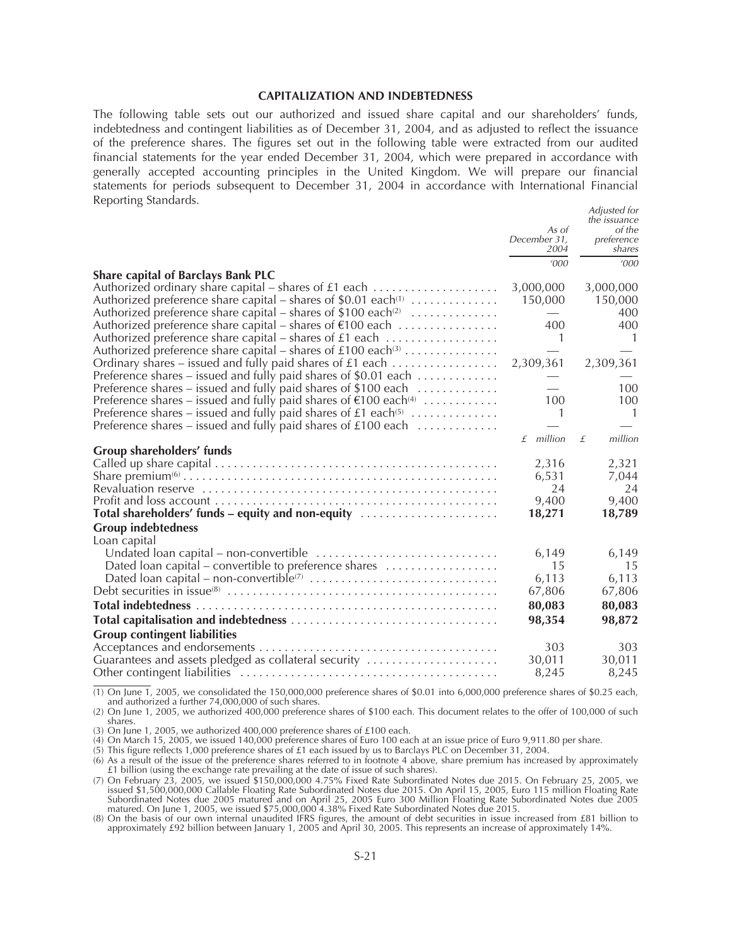#### **CAPITALIZATION AND INDEBTEDNESS**

The following table sets out our authorized and issued share capital and our shareholders' funds, indebtedness and contingent liabilities as of December 31, 2004, and as adjusted to reflect the issuance of the preference shares. The figures set out in the following table were extracted from our audited financial statements for the year ended December 31, 2004, which were prepared in accordance with generally accepted accounting principles in the United Kingdom. We will prepare our financial statements for periods subsequent to December 31, 2004 in accordance with International Financial Reporting Standards. *Adjusted for*

|                                                                                                                                       | As of<br>December 31.<br>2004   | Adjusted for<br>the <i>issuance</i><br>of the<br>preference<br>shares |
|---------------------------------------------------------------------------------------------------------------------------------------|---------------------------------|-----------------------------------------------------------------------|
|                                                                                                                                       | '000                            | '000                                                                  |
| <b>Share capital of Barclays Bank PLC</b>                                                                                             |                                 |                                                                       |
|                                                                                                                                       | 3,000,000                       | 3,000,000                                                             |
| Authorized preference share capital – shares of \$0.01 each <sup>(1)</sup> $\ldots$                                                   | 150,000                         | 150,000                                                               |
| Authorized preference share capital – shares of \$100 each <sup>(2)</sup> $\dots\dots\dots\dots\dots$                                 | $\hspace{0.1mm}-\hspace{0.1mm}$ | 400                                                                   |
| Authorized preference share capital – shares of €100 each                                                                             | 400                             | 400                                                                   |
| Authorized preference share capital – shares of £1 each<br>Authorized preference share capital – shares of $£100$ each <sup>(3)</sup> | 1                               | -1                                                                    |
| Ordinary shares – issued and fully paid shares of £1 each                                                                             | 2,309,361                       | 2,309,361                                                             |
| Preference shares – issued and fully paid shares of \$0.01 each                                                                       |                                 |                                                                       |
| Preference shares – issued and fully paid shares of \$100 each                                                                        |                                 | 100                                                                   |
| Preference shares – issued and fully paid shares of $\epsilon$ 100 each <sup>(4)</sup>                                                | 100                             | 100                                                                   |
| Preference shares – issued and fully paid shares of £1 each <sup>(5)</sup> $\dots\dots\dots\dots\dots$                                | 1                               | $\overline{1}$                                                        |
| Preference shares – issued and fully paid shares of $£100$ each $\ldots$                                                              |                                 |                                                                       |
|                                                                                                                                       | $f$ million                     | million<br>$\mathcal{F}$                                              |
| Group shareholders' funds                                                                                                             |                                 |                                                                       |
|                                                                                                                                       | 2,316                           | 2,321                                                                 |
|                                                                                                                                       | 6,531                           | 7,044                                                                 |
|                                                                                                                                       | 24                              | 24                                                                    |
|                                                                                                                                       | 9,400                           | 9,400                                                                 |
|                                                                                                                                       | 18,271                          | 18,789                                                                |
| <b>Group indebtedness</b>                                                                                                             |                                 |                                                                       |
| Loan capital                                                                                                                          |                                 |                                                                       |
|                                                                                                                                       | 6,149                           | 6,149                                                                 |
| Dated loan capital - convertible to preference shares                                                                                 | 15                              | 15                                                                    |
|                                                                                                                                       | 6,113<br>67,806                 | 6,113<br>67,806                                                       |
|                                                                                                                                       |                                 |                                                                       |
|                                                                                                                                       | 80,083                          | 80,083                                                                |
|                                                                                                                                       | 98,354                          | 98,872                                                                |
| <b>Group contingent liabilities</b>                                                                                                   |                                 |                                                                       |
|                                                                                                                                       | 303                             | 303                                                                   |
| Guarantees and assets pledged as collateral security                                                                                  | 30,011                          | 30,011                                                                |
|                                                                                                                                       | 8,245                           | 8,245                                                                 |

(1) On June 1, 2005, we consolidated the 150,000,000 preference shares of \$0.01 into 6,000,000 preference shares of \$0.25 each, and authorized a further 74,000,000 of such shares.

(2) On June 1, 2005, we authorized 400,000 preference shares of \$100 each. This document relates to the offer of 100,000 of such shares.

(3) On June 1, 2005, we authorized 400,000 preference shares of £100 each.

(4) On March 15, 2005, we issued 140,000 preference shares of Euro 100 each at an issue price of Euro 9,911.80 per share.

(5) This figure reflects 1,000 preference shares of £1 each issued by us to Barclays PLC on December 31, 2004.

(6) As a result of the issue of the preference shares referred to in footnote 4 above, share premium has increased by approximately £1 billion (using the exchange rate prevailing at the date of issue of such shares).

(7) On February 23, 2005, we issued \$150,000,000 4.75% Fixed Rate Subordinated Notes due 2015. On February 25, 2005, we<br>issued \$1,500,000,000 Callable Floating Rate Subordinated Notes due 2015. On April 15, 2005, Euro 115 Subordinated Notes due 2005 matured and on April 25, 2005 Euro 300 Million Floating Rate Subordinated Notes due 2005 matured. On June 1, 2005, we issued \$75,000,000 4.38% Fixed Rate Subordinated Notes due 2015.

(8) On the basis of our own internal unaudited IFRS figures, the amount of debt securities in issue increased from £81 billion to approximately £92 billion between January 1, 2005 and April 30, 2005. This represents an increase of approximately 14%.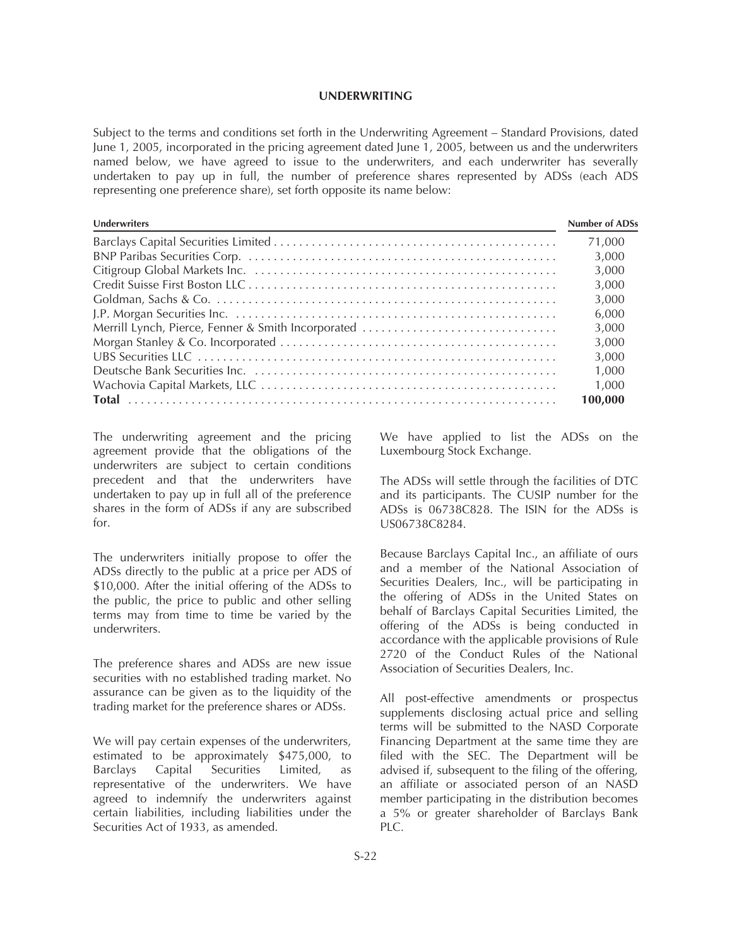#### **UNDERWRITING**

Subject to the terms and conditions set forth in the Underwriting Agreement – Standard Provisions, dated June 1, 2005, incorporated in the pricing agreement dated June 1, 2005, between us and the underwriters named below, we have agreed to issue to the underwriters, and each underwriter has severally undertaken to pay up in full, the number of preference shares represented by ADSs (each ADS representing one preference share), set forth opposite its name below:

| <b>Underwriters</b>                                | <b>Number of ADSs</b> |
|----------------------------------------------------|-----------------------|
|                                                    | 71.000                |
|                                                    | 3.000                 |
|                                                    | 3.000                 |
|                                                    | 3,000                 |
|                                                    | 3,000                 |
|                                                    | 6,000                 |
| Merrill Lynch, Pierce, Fenner & Smith Incorporated | 3.000                 |
|                                                    | 3.000                 |
|                                                    | 3.000                 |
|                                                    | 1.000                 |
|                                                    | 1.000                 |
|                                                    | 100.000               |

The underwriting agreement and the pricing agreement provide that the obligations of the underwriters are subject to certain conditions precedent and that the underwriters have undertaken to pay up in full all of the preference shares in the form of ADSs if any are subscribed for.

The underwriters initially propose to offer the ADSs directly to the public at a price per ADS of \$10,000. After the initial offering of the ADSs to the public, the price to public and other selling terms may from time to time be varied by the underwriters.

The preference shares and ADSs are new issue securities with no established trading market. No assurance can be given as to the liquidity of the trading market for the preference shares or ADSs.

We will pay certain expenses of the underwriters, estimated to be approximately \$475,000, to Barclays Capital Securities Limited, as representative of the underwriters. We have agreed to indemnify the underwriters against certain liabilities, including liabilities under the Securities Act of 1933, as amended.

We have applied to list the ADSs on the Luxembourg Stock Exchange.

The ADSs will settle through the facilities of DTC and its participants. The CUSIP number for the ADSs is 06738C828. The ISIN for the ADSs is US06738C8284.

Because Barclays Capital Inc., an affiliate of ours and a member of the National Association of Securities Dealers, Inc., will be participating in the offering of ADSs in the United States on behalf of Barclays Capital Securities Limited, the offering of the ADSs is being conducted in accordance with the applicable provisions of Rule 2720 of the Conduct Rules of the National Association of Securities Dealers, Inc.

All post-effective amendments or prospectus supplements disclosing actual price and selling terms will be submitted to the NASD Corporate Financing Department at the same time they are filed with the SEC. The Department will be advised if, subsequent to the filing of the offering, an affiliate or associated person of an NASD member participating in the distribution becomes a 5% or greater shareholder of Barclays Bank PLC.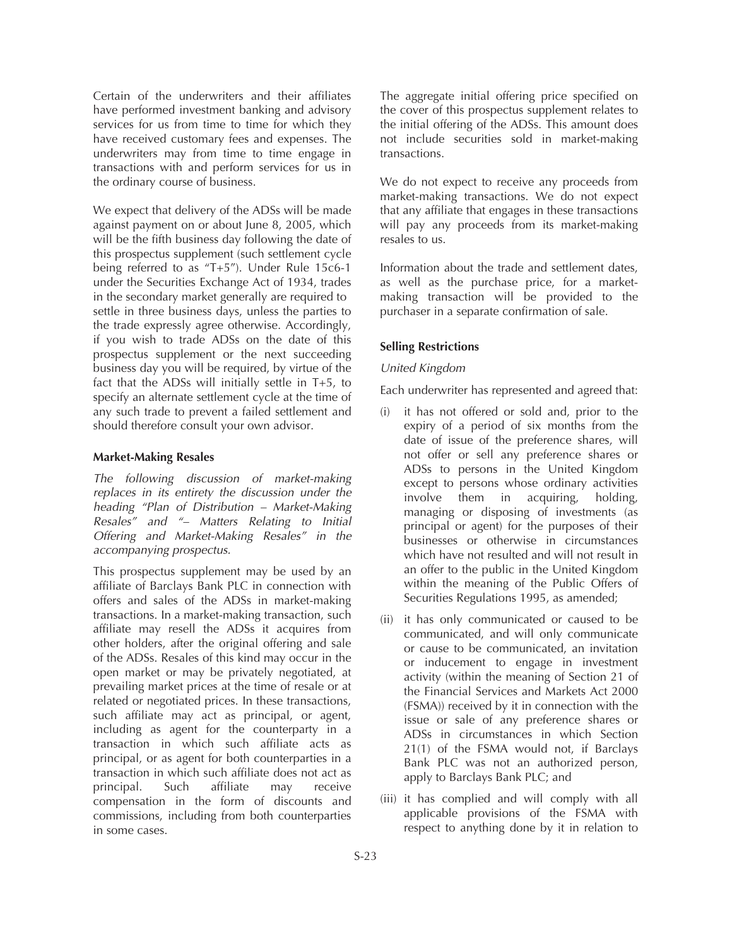Certain of the underwriters and their affiliates have performed investment banking and advisory services for us from time to time for which they have received customary fees and expenses. The underwriters may from time to time engage in transactions with and perform services for us in the ordinary course of business.

We expect that delivery of the ADSs will be made against payment on or about June 8, 2005, which will be the fifth business day following the date of this prospectus supplement (such settlement cycle being referred to as "T+5"). Under Rule 15c6-1 under the Securities Exchange Act of 1934, trades in the secondary market generally are required to settle in three business days, unless the parties to the trade expressly agree otherwise. Accordingly, if you wish to trade ADSs on the date of this prospectus supplement or the next succeeding business day you will be required, by virtue of the fact that the ADSs will initially settle in T+5, to specify an alternate settlement cycle at the time of any such trade to prevent a failed settlement and should therefore consult your own advisor.

#### **Market-Making Resales**

*The following discussion of market-making replaces in its entirety the discussion under the heading "Plan of Distribution – Market-Making Resales" and "– Matters Relating to Initial Offering and Market-Making Resales" in the accompanying prospectus.*

This prospectus supplement may be used by an affiliate of Barclays Bank PLC in connection with offers and sales of the ADSs in market-making transactions. In a market-making transaction, such affiliate may resell the ADSs it acquires from other holders, after the original offering and sale of the ADSs. Resales of this kind may occur in the open market or may be privately negotiated, at prevailing market prices at the time of resale or at related or negotiated prices. In these transactions, such affiliate may act as principal, or agent, including as agent for the counterparty in a transaction in which such affiliate acts as principal, or as agent for both counterparties in a transaction in which such affiliate does not act as principal. Such affiliate may receive compensation in the form of discounts and commissions, including from both counterparties in some cases.

The aggregate initial offering price specified on the cover of this prospectus supplement relates to the initial offering of the ADSs. This amount does not include securities sold in market-making transactions.

We do not expect to receive any proceeds from market-making transactions. We do not expect that any affiliate that engages in these transactions will pay any proceeds from its market-making resales to us.

Information about the trade and settlement dates, as well as the purchase price, for a marketmaking transaction will be provided to the purchaser in a separate confirmation of sale.

#### **Selling Restrictions**

#### *United Kingdom*

Each underwriter has represented and agreed that:

- (i) it has not offered or sold and, prior to the expiry of a period of six months from the date of issue of the preference shares, will not offer or sell any preference shares or ADSs to persons in the United Kingdom except to persons whose ordinary activities involve them in acquiring, holding, managing or disposing of investments (as principal or agent) for the purposes of their businesses or otherwise in circumstances which have not resulted and will not result in an offer to the public in the United Kingdom within the meaning of the Public Offers of Securities Regulations 1995, as amended;
- (ii) it has only communicated or caused to be communicated, and will only communicate or cause to be communicated, an invitation or inducement to engage in investment activity (within the meaning of Section 21 of the Financial Services and Markets Act 2000 (FSMA)) received by it in connection with the issue or sale of any preference shares or ADSs in circumstances in which Section 21(1) of the FSMA would not, if Barclays Bank PLC was not an authorized person, apply to Barclays Bank PLC; and
- (iii) it has complied and will comply with all applicable provisions of the FSMA with respect to anything done by it in relation to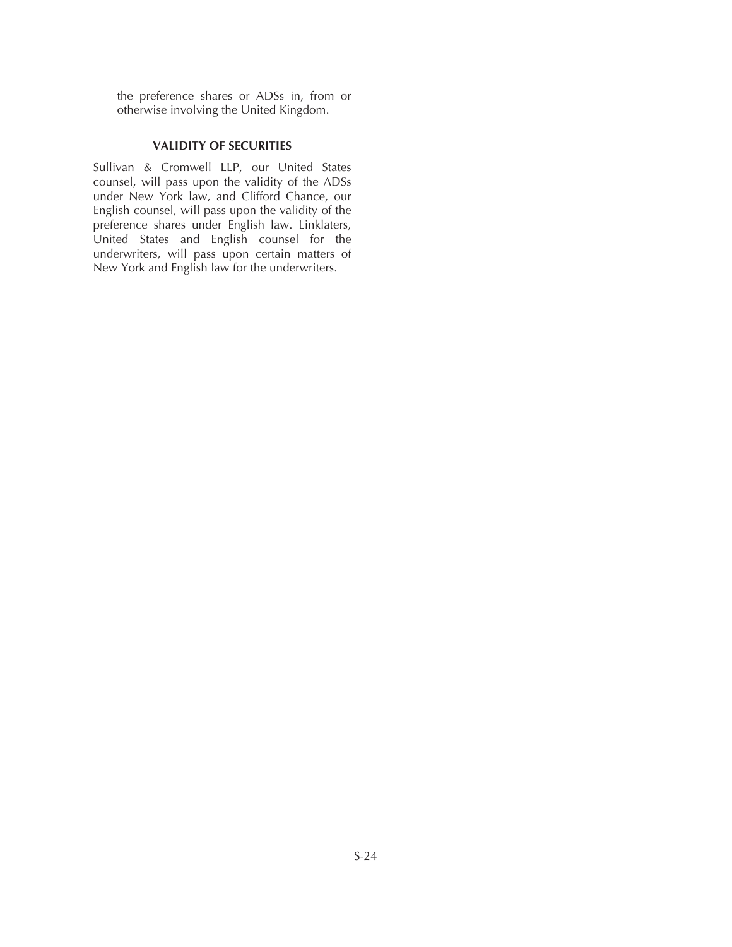the preference shares or ADSs in, from or otherwise involving the United Kingdom.

## **VALIDITY OF SECURITIES**

Sullivan & Cromwell LLP, our United States counsel, will pass upon the validity of the ADSs under New York law, and Clifford Chance, our English counsel, will pass upon the validity of the preference shares under English law. Linklaters, United States and English counsel for the underwriters, will pass upon certain matters of New York and English law for the underwriters.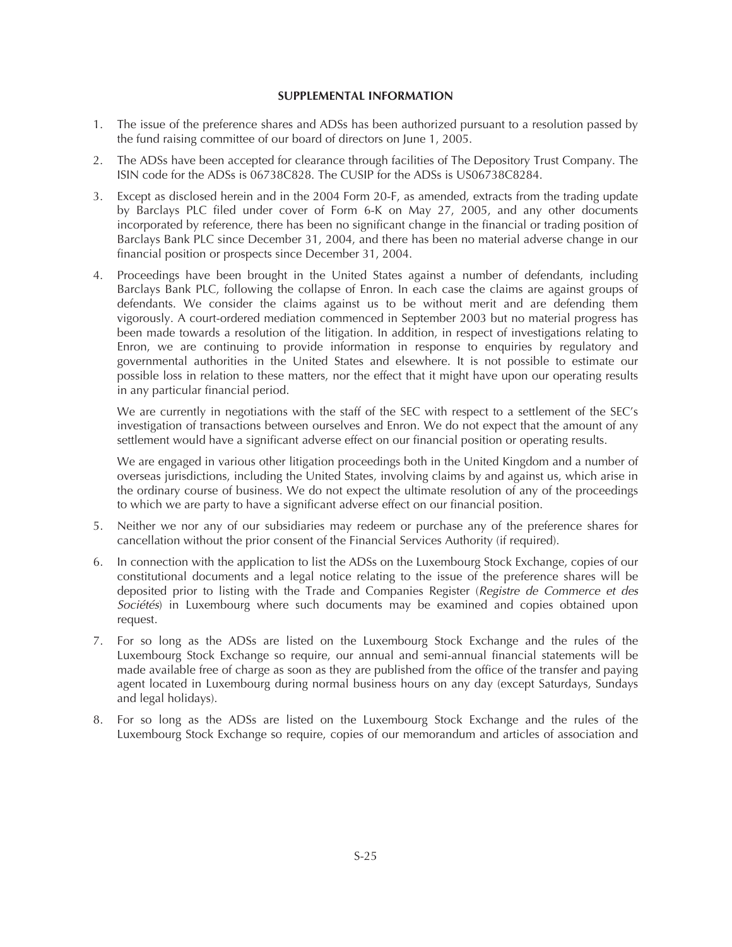## **SUPPLEMENTAL INFORMATION**

- 1. The issue of the preference shares and ADSs has been authorized pursuant to a resolution passed by the fund raising committee of our board of directors on June 1, 2005.
- 2. The ADSs have been accepted for clearance through facilities of The Depository Trust Company. The ISIN code for the ADSs is 06738C828. The CUSIP for the ADSs is US06738C8284.
- 3. Except as disclosed herein and in the 2004 Form 20-F, as amended, extracts from the trading update by Barclays PLC filed under cover of Form 6-K on May 27, 2005, and any other documents incorporated by reference, there has been no significant change in the financial or trading position of Barclays Bank PLC since December 31, 2004, and there has been no material adverse change in our financial position or prospects since December 31, 2004.
- 4. Proceedings have been brought in the United States against a number of defendants, including Barclays Bank PLC, following the collapse of Enron. In each case the claims are against groups of defendants. We consider the claims against us to be without merit and are defending them vigorously. A court-ordered mediation commenced in September 2003 but no material progress has been made towards a resolution of the litigation. In addition, in respect of investigations relating to Enron, we are continuing to provide information in response to enquiries by regulatory and governmental authorities in the United States and elsewhere. It is not possible to estimate our possible loss in relation to these matters, nor the effect that it might have upon our operating results in any particular financial period.

We are currently in negotiations with the staff of the SEC with respect to a settlement of the SEC's investigation of transactions between ourselves and Enron. We do not expect that the amount of any settlement would have a significant adverse effect on our financial position or operating results.

We are engaged in various other litigation proceedings both in the United Kingdom and a number of overseas jurisdictions, including the United States, involving claims by and against us, which arise in the ordinary course of business. We do not expect the ultimate resolution of any of the proceedings to which we are party to have a significant adverse effect on our financial position.

- 5. Neither we nor any of our subsidiaries may redeem or purchase any of the preference shares for cancellation without the prior consent of the Financial Services Authority (if required).
- 6. In connection with the application to list the ADSs on the Luxembourg Stock Exchange, copies of our constitutional documents and a legal notice relating to the issue of the preference shares will be deposited prior to listing with the Trade and Companies Register (*Registre de Commerce et des Sociétés*) in Luxembourg where such documents may be examined and copies obtained upon request.
- 7. For so long as the ADSs are listed on the Luxembourg Stock Exchange and the rules of the Luxembourg Stock Exchange so require, our annual and semi-annual financial statements will be made available free of charge as soon as they are published from the office of the transfer and paying agent located in Luxembourg during normal business hours on any day (except Saturdays, Sundays and legal holidays).
- 8. For so long as the ADSs are listed on the Luxembourg Stock Exchange and the rules of the Luxembourg Stock Exchange so require, copies of our memorandum and articles of association and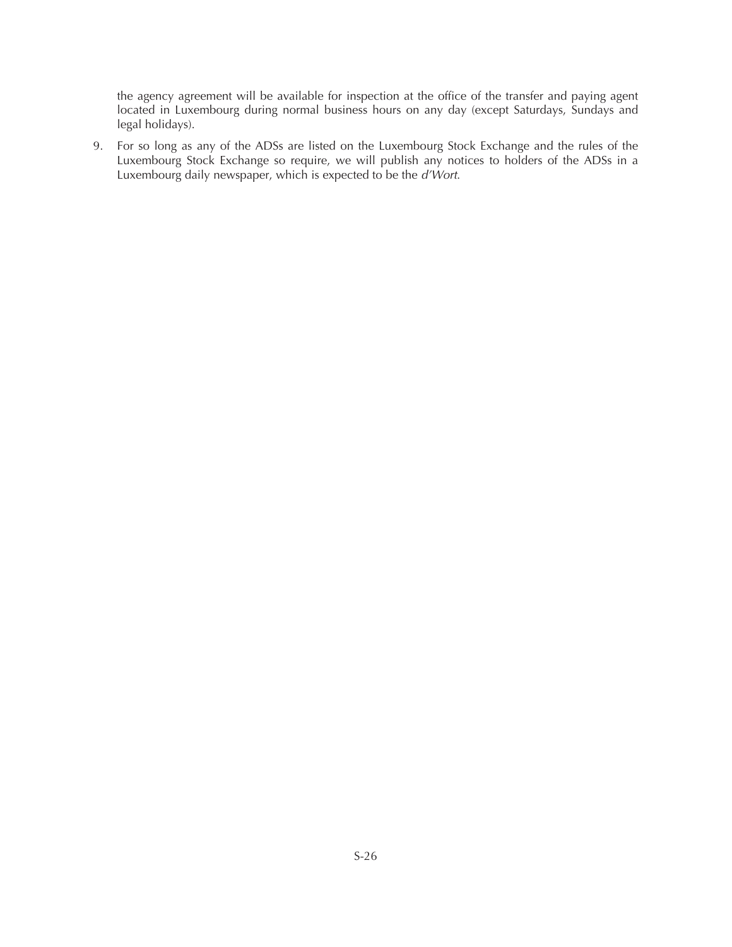the agency agreement will be available for inspection at the office of the transfer and paying agent located in Luxembourg during normal business hours on any day (except Saturdays, Sundays and legal holidays).

9. For so long as any of the ADSs are listed on the Luxembourg Stock Exchange and the rules of the Luxembourg Stock Exchange so require, we will publish any notices to holders of the ADSs in a Luxembourg daily newspaper, which is expected to be the *d'Wort*.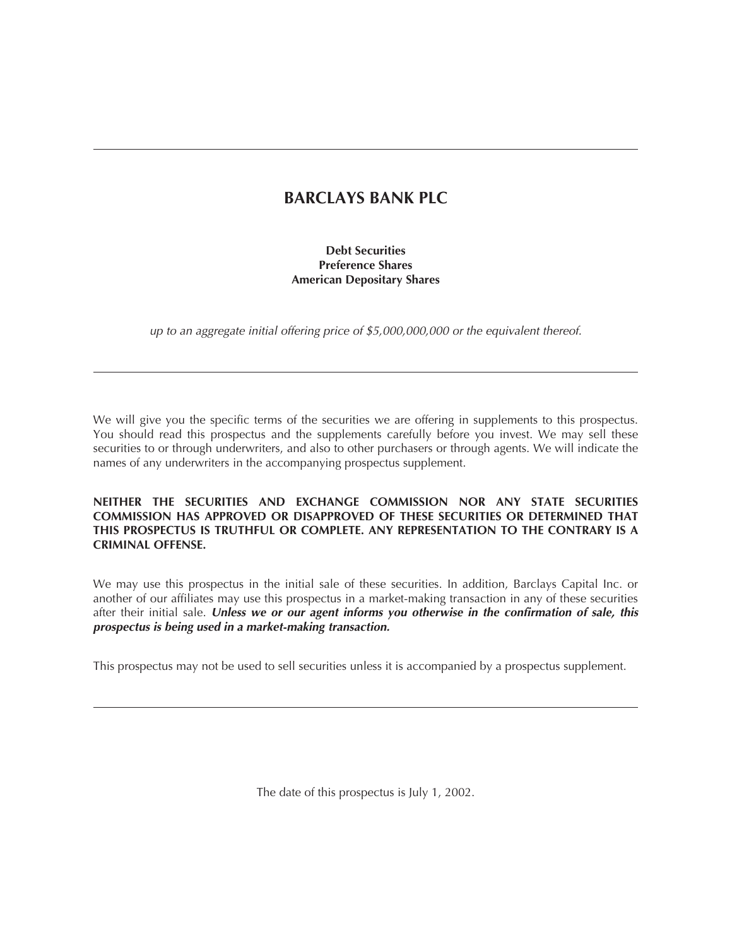## **BARCLAYS BANK PLC**

## **Debt Securities Preference Shares American Depositary Shares**

*up to an aggregate initial offering price of \$5,000,000,000 or the equivalent thereof.*

We will give you the specific terms of the securities we are offering in supplements to this prospectus. You should read this prospectus and the supplements carefully before you invest. We may sell these securities to or through underwriters, and also to other purchasers or through agents. We will indicate the names of any underwriters in the accompanying prospectus supplement.

## **NEITHER THE SECURITIES AND EXCHANGE COMMISSION NOR ANY STATE SECURITIES COMMISSION HAS APPROVED OR DISAPPROVED OF THESE SECURITIES OR DETERMINED THAT THIS PROSPECTUS IS TRUTHFUL OR COMPLETE. ANY REPRESENTATION TO THE CONTRARY IS A CRIMINAL OFFENSE.**

We may use this prospectus in the initial sale of these securities. In addition, Barclays Capital Inc. or another of our affiliates may use this prospectus in a market-making transaction in any of these securities after their initial sale. *Unless we or our agent informs you otherwise in the confirmation of sale, this prospectus is being used in a market-making transaction.*

This prospectus may not be used to sell securities unless it is accompanied by a prospectus supplement.

The date of this prospectus is July 1, 2002.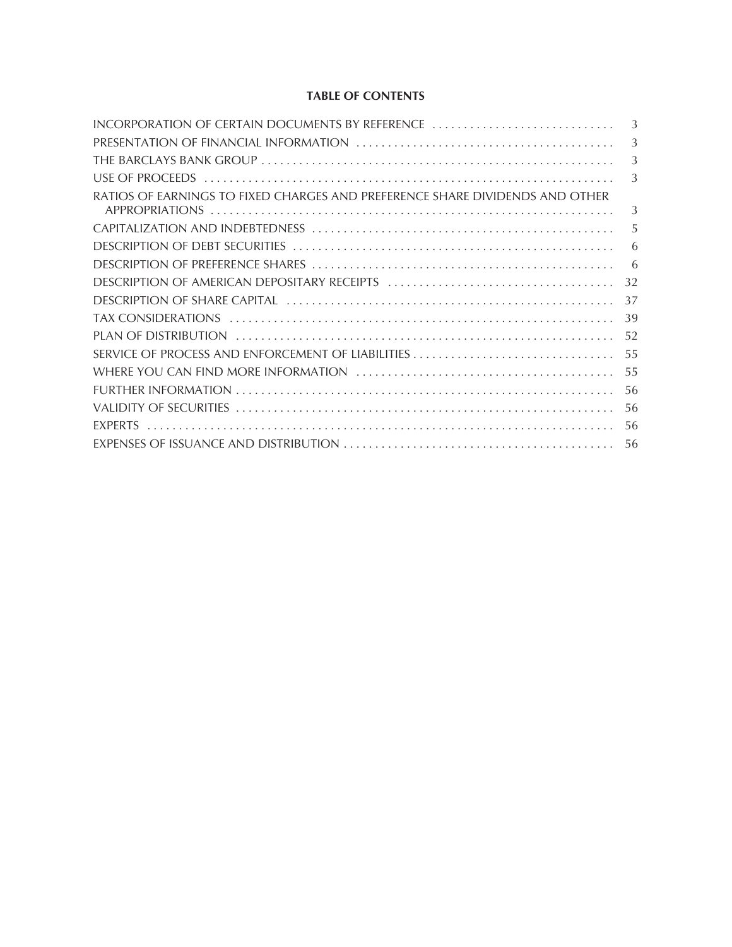## **TABLE OF CONTENTS**

| INCORPORATION OF CERTAIN DOCUMENTS BY REFERENCE                              | 3  |
|------------------------------------------------------------------------------|----|
|                                                                              | 3  |
|                                                                              | 3  |
|                                                                              | 3  |
| RATIOS OF EARNINGS TO FIXED CHARGES AND PREFERENCE SHARE DIVIDENDS AND OTHER | 3  |
|                                                                              | 5  |
|                                                                              | 6  |
|                                                                              | -6 |
|                                                                              | 32 |
|                                                                              | 37 |
|                                                                              | 39 |
|                                                                              | 52 |
|                                                                              | 55 |
|                                                                              | 55 |
|                                                                              | 56 |
|                                                                              | 56 |
|                                                                              | 56 |
|                                                                              | 56 |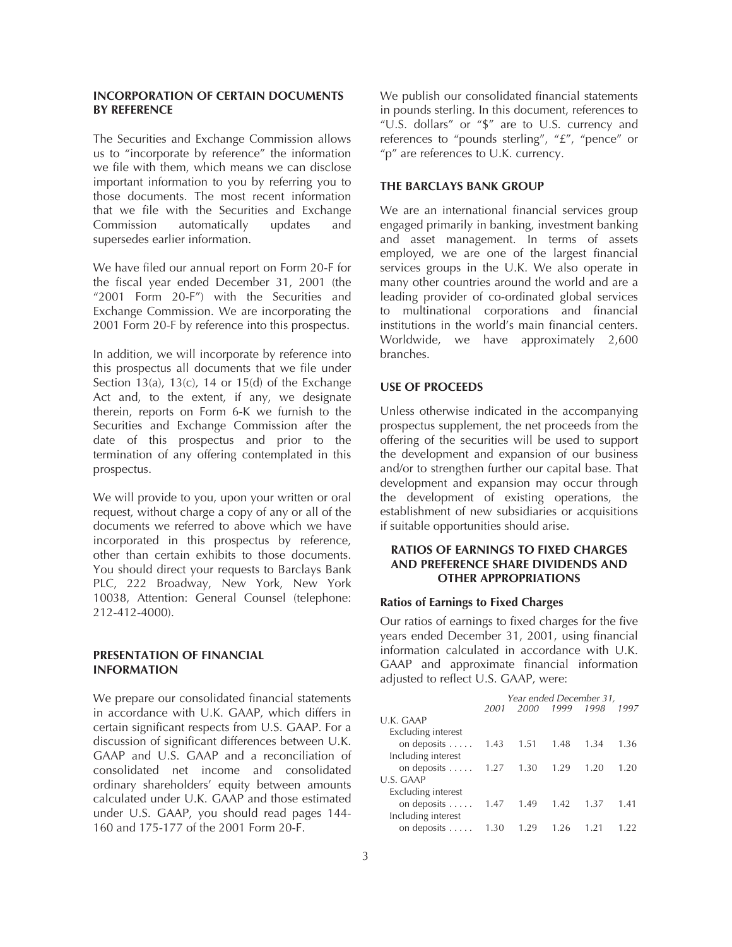## **INCORPORATION OF CERTAIN DOCUMENTS BY REFERENCE**

The Securities and Exchange Commission allows us to "incorporate by reference" the information we file with them, which means we can disclose important information to you by referring you to those documents. The most recent information that we file with the Securities and Exchange Commission automatically updates and supersedes earlier information.

We have filed our annual report on Form 20-F for the fiscal year ended December 31, 2001 (the "2001 Form 20-F") with the Securities and Exchange Commission. We are incorporating the 2001 Form 20-F by reference into this prospectus.

In addition, we will incorporate by reference into this prospectus all documents that we file under Section 13(a), 13(c), 14 or 15(d) of the Exchange Act and, to the extent, if any, we designate therein, reports on Form 6-K we furnish to the Securities and Exchange Commission after the date of this prospectus and prior to the termination of any offering contemplated in this prospectus.

We will provide to you, upon your written or oral request, without charge a copy of any or all of the documents we referred to above which we have incorporated in this prospectus by reference, other than certain exhibits to those documents. You should direct your requests to Barclays Bank PLC, 222 Broadway, New York, New York 10038, Attention: General Counsel (telephone: 212-412-4000).

## **PRESENTATION OF FINANCIAL INFORMATION**

We prepare our consolidated financial statements in accordance with U.K. GAAP, which differs in certain significant respects from U.S. GAAP. For a discussion of significant differences between U.K. GAAP and U.S. GAAP and a reconciliation of consolidated net income and consolidated ordinary shareholders' equity between amounts calculated under U.K. GAAP and those estimated under U.S. GAAP, you should read pages 144- 160 and 175-177 of the 2001 Form 20-F.

We publish our consolidated financial statements in pounds sterling. In this document, references to "U.S. dollars" or "\$" are to U.S. currency and references to "pounds sterling", "£", "pence" or "p" are references to U.K. currency.

## **THE BARCLAYS BANK GROUP**

We are an international financial services group engaged primarily in banking, investment banking and asset management. In terms of assets employed, we are one of the largest financial services groups in the U.K. We also operate in many other countries around the world and are a leading provider of co-ordinated global services to multinational corporations and financial institutions in the world's main financial centers. Worldwide, we have approximately 2,600 branches.

### **USE OF PROCEEDS**

Unless otherwise indicated in the accompanying prospectus supplement, the net proceeds from the offering of the securities will be used to support the development and expansion of our business and/or to strengthen further our capital base. That development and expansion may occur through the development of existing operations, the establishment of new subsidiaries or acquisitions if suitable opportunities should arise.

## **RATIOS OF EARNINGS TO FIXED CHARGES AND PREFERENCE SHARE DIVIDENDS AND OTHER APPROPRIATIONS**

#### **Ratios of Earnings to Fixed Charges**

Our ratios of earnings to fixed charges for the five years ended December 31, 2001, using financial information calculated in accordance with U.K. GAAP and approximate financial information adjusted to reflect U.S. GAAP, were:

| Year ended December 31, |      |      |      |      |
|-------------------------|------|------|------|------|
| 2001                    | 2000 | 1999 | 1998 | 1997 |
|                         |      |      |      |      |
|                         |      |      |      |      |
| 1.43                    | 1.51 | 1.48 | 1.34 | 1.36 |
|                         |      |      |      |      |
| 1.27                    | 1.30 | 1.29 | 1.20 | 1.20 |
|                         |      |      |      |      |
|                         |      |      |      |      |
| 1.47                    | 1.49 | 1.42 | 1.37 | 1.41 |
|                         |      |      |      |      |
| 1.30                    | 1.29 | 1.26 |      |      |
|                         |      |      |      |      |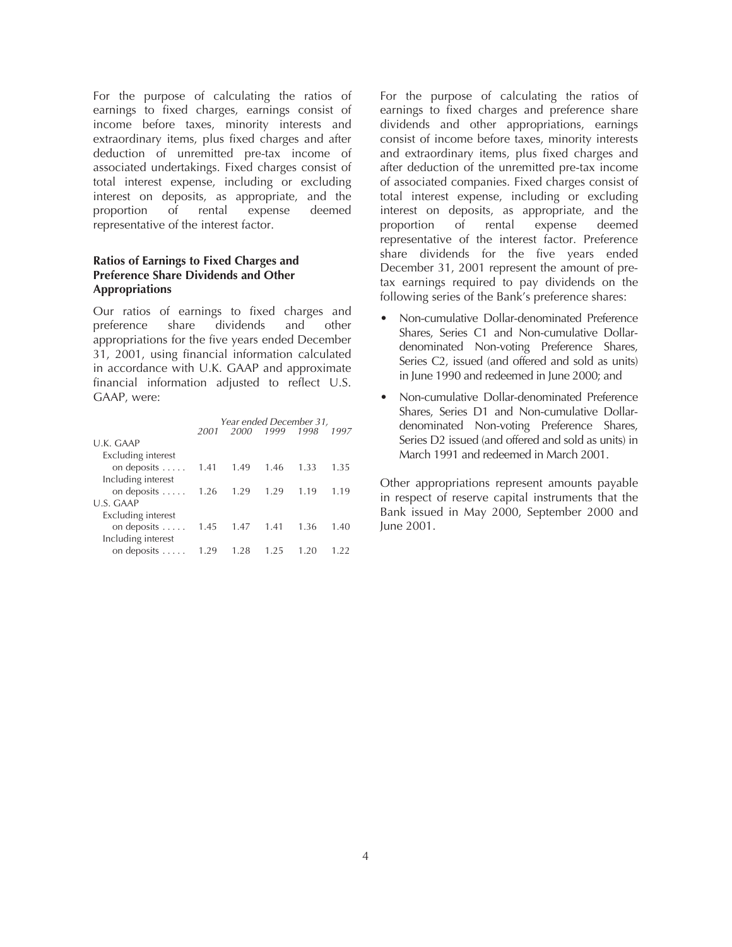For the purpose of calculating the ratios of earnings to fixed charges, earnings consist of income before taxes, minority interests and extraordinary items, plus fixed charges and after deduction of unremitted pre-tax income of associated undertakings. Fixed charges consist of total interest expense, including or excluding interest on deposits, as appropriate, and the proportion of rental expense deemed representative of the interest factor.

## **Ratios of Earnings to Fixed Charges and Preference Share Dividends and Other Appropriations**

Our ratios of earnings to fixed charges and preference share dividends and other appropriations for the five years ended December 31, 2001, using financial information calculated in accordance with U.K. GAAP and approximate financial information adjusted to reflect U.S. GAAP, were:

|                     | Year ended December 31, |      |      |      |      |
|---------------------|-------------------------|------|------|------|------|
|                     | 2001                    | 2000 | 1999 | 1998 | 1997 |
| U.K. GAAP           |                         |      |      |      |      |
| Excluding interest  |                         |      |      |      |      |
| on deposits $\dots$ | 1.41                    | 1.49 | 1.46 | 1.33 | 1.35 |
| Including interest  |                         |      |      |      |      |
| on deposits $\dots$ | 1.26                    | 1.29 | 1.29 | 1.19 | 1.19 |
| U.S. GAAP           |                         |      |      |      |      |
| Excluding interest  |                         |      |      |      |      |
| on deposits         | 1.45                    | 1.47 | 1.41 | 1.36 | 1.40 |
| Including interest  |                         |      |      |      |      |
| on deposits $\dots$ | 199                     | 1.28 | 195  | 120  | 1.22 |
|                     |                         |      |      |      |      |

For the purpose of calculating the ratios of earnings to fixed charges and preference share dividends and other appropriations, earnings consist of income before taxes, minority interests and extraordinary items, plus fixed charges and after deduction of the unremitted pre-tax income of associated companies. Fixed charges consist of total interest expense, including or excluding interest on deposits, as appropriate, and the proportion of rental expense deemed representative of the interest factor. Preference share dividends for the five years ended December 31, 2001 represent the amount of pretax earnings required to pay dividends on the following series of the Bank's preference shares:

- Non-cumulative Dollar-denominated Preference Shares, Series C1 and Non-cumulative Dollardenominated Non-voting Preference Shares, Series C2, issued (and offered and sold as units) in June 1990 and redeemed in June 2000; and
- Non-cumulative Dollar-denominated Preference Shares, Series D1 and Non-cumulative Dollardenominated Non-voting Preference Shares, Series D2 issued (and offered and sold as units) in March 1991 and redeemed in March 2001.

Other appropriations represent amounts payable in respect of reserve capital instruments that the Bank issued in May 2000, September 2000 and June 2001.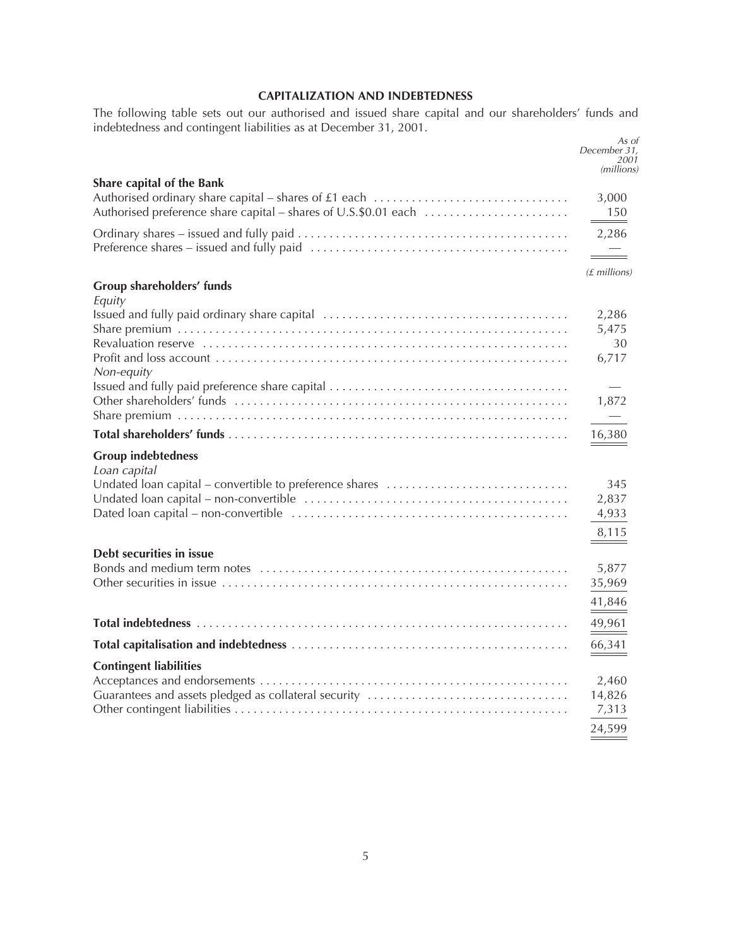## **CAPITALIZATION AND INDEBTEDNESS**

The following table sets out our authorised and issued share capital and our shareholders' funds and indebtedness and contingent liabilities as at December 31, 2001.

|                                                                                                                                                                                           | As oi<br>December 31,<br>2001<br>(millions) |
|-------------------------------------------------------------------------------------------------------------------------------------------------------------------------------------------|---------------------------------------------|
| Share capital of the Bank                                                                                                                                                                 |                                             |
| Authorised ordinary share capital – shares of £1 each $\ldots \ldots \ldots \ldots \ldots \ldots \ldots \ldots \ldots$<br>Authorised preference share capital – shares of U.S.\$0.01 each | 3,000<br>$\frac{150}{2}$                    |
|                                                                                                                                                                                           | 2,286<br>$\equiv$                           |
|                                                                                                                                                                                           | $(E$ millions)                              |
| Group shareholders' funds<br>Equity                                                                                                                                                       |                                             |
|                                                                                                                                                                                           | 2,286                                       |
|                                                                                                                                                                                           | 5,475                                       |
|                                                                                                                                                                                           | 30                                          |
| Non-equity                                                                                                                                                                                | 6,717                                       |
|                                                                                                                                                                                           |                                             |
|                                                                                                                                                                                           | 1,872                                       |
|                                                                                                                                                                                           | $\overline{\phantom{0}}$                    |
|                                                                                                                                                                                           | 16,380                                      |
| <b>Group indebtedness</b><br>Loan capital                                                                                                                                                 |                                             |
| Undated loan capital – convertible to preference shares                                                                                                                                   | 345                                         |
|                                                                                                                                                                                           | 2,837                                       |
|                                                                                                                                                                                           | 4,933                                       |
|                                                                                                                                                                                           | 8,115                                       |
| Debt securities in issue                                                                                                                                                                  |                                             |
|                                                                                                                                                                                           | 5,877                                       |
|                                                                                                                                                                                           | 35,969                                      |
|                                                                                                                                                                                           |                                             |
|                                                                                                                                                                                           | 41,846                                      |
|                                                                                                                                                                                           | 49,961                                      |
|                                                                                                                                                                                           | 66,341                                      |
| <b>Contingent liabilities</b>                                                                                                                                                             |                                             |
|                                                                                                                                                                                           | 2,460                                       |
| Guarantees and assets pledged as collateral security                                                                                                                                      | 14,826                                      |
|                                                                                                                                                                                           | 7,313                                       |
|                                                                                                                                                                                           | 24,599                                      |
|                                                                                                                                                                                           |                                             |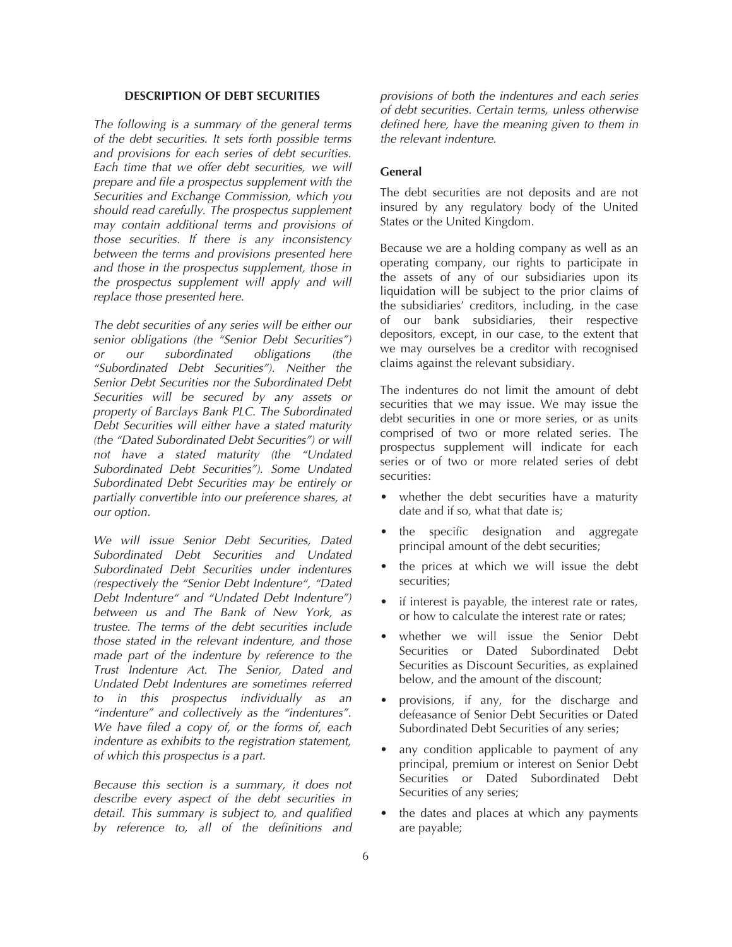## **DESCRIPTION OF DEBT SECURITIES**

*The following is a summary of the general terms of the debt securities. It sets forth possible terms and provisions for each series of debt securities. Each time that we offer debt securities, we will prepare and file a prospectus supplement with the Securities and Exchange Commission, which you should read carefully. The prospectus supplement may contain additional terms and provisions of those securities. If there is any inconsistency between the terms and provisions presented here and those in the prospectus supplement, those in the prospectus supplement will apply and will replace those presented here.*

*The debt securities of any series will be either our senior obligations (the "Senior Debt Securities") or our subordinated obligations (the "Subordinated Debt Securities"). Neither the Senior Debt Securities nor the Subordinated Debt Securities will be secured by any assets or property of Barclays Bank PLC. The Subordinated Debt Securities will either have a stated maturity (the "Dated Subordinated Debt Securities") or will not have a stated maturity (the "Undated Subordinated Debt Securities"). Some Undated Subordinated Debt Securities may be entirely or partially convertible into our preference shares, at our option.*

*We will issue Senior Debt Securities, Dated Subordinated Debt Securities and Undated Subordinated Debt Securities under indentures (respectively the "Senior Debt Indenture", "Dated Debt Indenture" and "Undated Debt Indenture") between us and The Bank of New York, as trustee. The terms of the debt securities include those stated in the relevant indenture, and those made part of the indenture by reference to the Trust Indenture Act. The Senior, Dated and Undated Debt Indentures are sometimes referred to in this prospectus individually as an "indenture" and collectively as the "indentures". We have filed a copy of, or the forms of, each indenture as exhibits to the registration statement, of which this prospectus is a part.*

*Because this section is a summary, it does not describe every aspect of the debt securities in detail. This summary is subject to, and qualified by reference to, all of the definitions and*

*provisions of both the indentures and each series of debt securities. Certain terms, unless otherwise defined here, have the meaning given to them in the relevant indenture.*

## **General**

The debt securities are not deposits and are not insured by any regulatory body of the United States or the United Kingdom.

Because we are a holding company as well as an operating company, our rights to participate in the assets of any of our subsidiaries upon its liquidation will be subject to the prior claims of the subsidiaries' creditors, including, in the case of our bank subsidiaries, their respective depositors, except, in our case, to the extent that we may ourselves be a creditor with recognised claims against the relevant subsidiary.

The indentures do not limit the amount of debt securities that we may issue. We may issue the debt securities in one or more series, or as units comprised of two or more related series. The prospectus supplement will indicate for each series or of two or more related series of debt securities:

- whether the debt securities have a maturity date and if so, what that date is;
- the specific designation and aggregate principal amount of the debt securities;
- the prices at which we will issue the debt securities;
- if interest is payable, the interest rate or rates, or how to calculate the interest rate or rates;
- whether we will issue the Senior Debt Securities or Dated Subordinated Debt Securities as Discount Securities, as explained below, and the amount of the discount;
- provisions, if any, for the discharge and defeasance of Senior Debt Securities or Dated Subordinated Debt Securities of any series;
- any condition applicable to payment of any principal, premium or interest on Senior Debt Securities or Dated Subordinated Debt Securities of any series;
- the dates and places at which any payments are payable;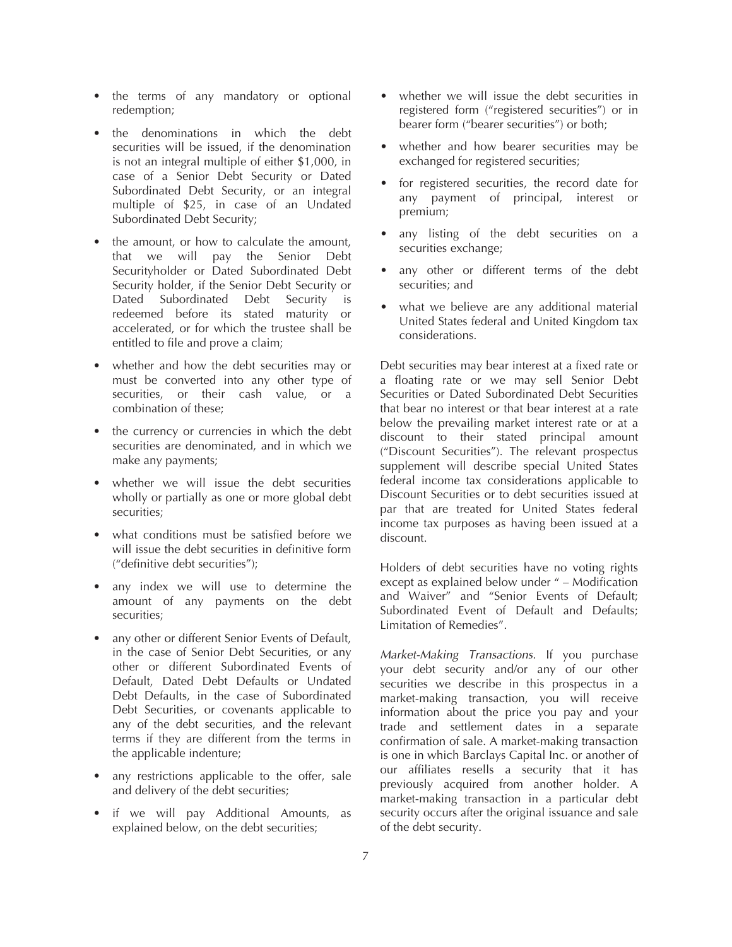- the terms of any mandatory or optional redemption;
- the denominations in which the debt securities will be issued, if the denomination is not an integral multiple of either \$1,000, in case of a Senior Debt Security or Dated Subordinated Debt Security, or an integral multiple of \$25, in case of an Undated Subordinated Debt Security;
- the amount, or how to calculate the amount, that we will pay the Senior Debt Securityholder or Dated Subordinated Debt Security holder, if the Senior Debt Security or Dated Subordinated Debt Security is redeemed before its stated maturity or accelerated, or for which the trustee shall be entitled to file and prove a claim;
- whether and how the debt securities may or must be converted into any other type of securities, or their cash value, or a combination of these;
- the currency or currencies in which the debt securities are denominated, and in which we make any payments;
- whether we will issue the debt securities wholly or partially as one or more global debt securities;
- what conditions must be satisfied before we will issue the debt securities in definitive form ("definitive debt securities");
- any index we will use to determine the amount of any payments on the debt securities;
- any other or different Senior Events of Default, in the case of Senior Debt Securities, or any other or different Subordinated Events of Default, Dated Debt Defaults or Undated Debt Defaults, in the case of Subordinated Debt Securities, or covenants applicable to any of the debt securities, and the relevant terms if they are different from the terms in the applicable indenture;
- any restrictions applicable to the offer, sale and delivery of the debt securities;
- if we will pay Additional Amounts, as explained below, on the debt securities;
- whether we will issue the debt securities in registered form ("registered securities") or in bearer form ("bearer securities") or both;
- whether and how bearer securities may be exchanged for registered securities;
- for registered securities, the record date for any payment of principal, interest or premium;
- any listing of the debt securities on a securities exchange;
- any other or different terms of the debt securities; and
- what we believe are any additional material United States federal and United Kingdom tax considerations.

Debt securities may bear interest at a fixed rate or a floating rate or we may sell Senior Debt Securities or Dated Subordinated Debt Securities that bear no interest or that bear interest at a rate below the prevailing market interest rate or at a discount to their stated principal amount ("Discount Securities"). The relevant prospectus supplement will describe special United States federal income tax considerations applicable to Discount Securities or to debt securities issued at par that are treated for United States federal income tax purposes as having been issued at a discount.

Holders of debt securities have no voting rights except as explained below under " – Modification and Waiver" and "Senior Events of Default; Subordinated Event of Default and Defaults; Limitation of Remedies".

*Market-Making Transactions*. If you purchase your debt security and/or any of our other securities we describe in this prospectus in a market-making transaction, you will receive information about the price you pay and your trade and settlement dates in a separate confirmation of sale. A market-making transaction is one in which Barclays Capital Inc. or another of our affiliates resells a security that it has previously acquired from another holder. A market-making transaction in a particular debt security occurs after the original issuance and sale of the debt security.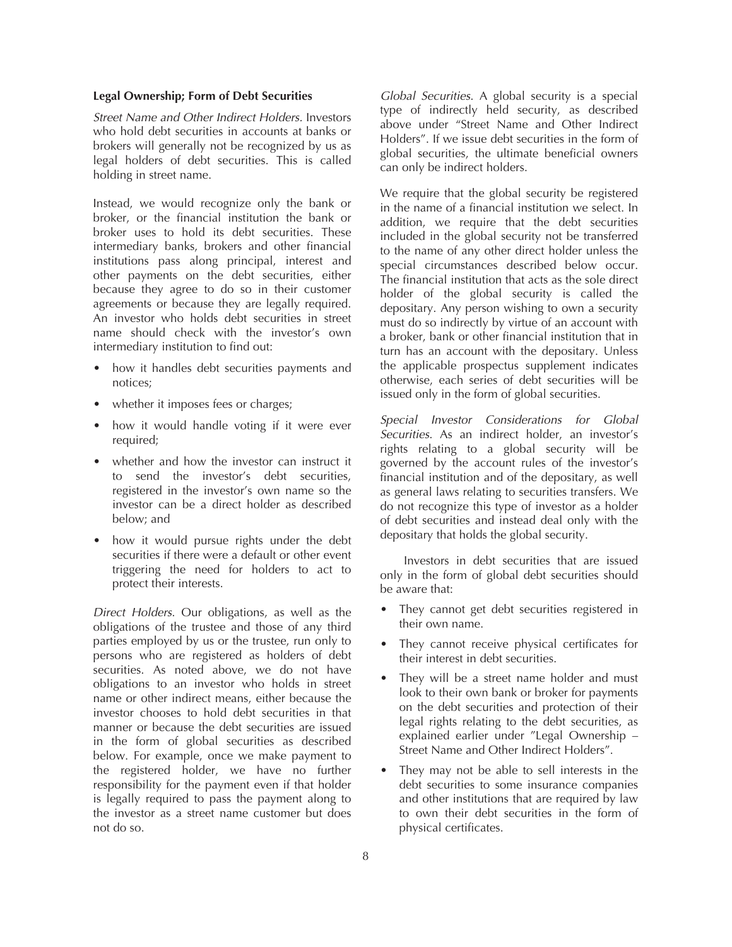## **Legal Ownership; Form of Debt Securities**

*Street Name and Other Indirect Holders.* Investors who hold debt securities in accounts at banks or brokers will generally not be recognized by us as legal holders of debt securities. This is called holding in street name.

Instead, we would recognize only the bank or broker, or the financial institution the bank or broker uses to hold its debt securities. These intermediary banks, brokers and other financial institutions pass along principal, interest and other payments on the debt securities, either because they agree to do so in their customer agreements or because they are legally required. An investor who holds debt securities in street name should check with the investor's own intermediary institution to find out:

- how it handles debt securities payments and notices;
- whether it imposes fees or charges;
- how it would handle voting if it were ever required;
- whether and how the investor can instruct it to send the investor's debt securities, registered in the investor's own name so the investor can be a direct holder as described below; and
- how it would pursue rights under the debt securities if there were a default or other event triggering the need for holders to act to protect their interests.

*Direct Holders*. Our obligations, as well as the obligations of the trustee and those of any third parties employed by us or the trustee, run only to persons who are registered as holders of debt securities. As noted above, we do not have obligations to an investor who holds in street name or other indirect means, either because the investor chooses to hold debt securities in that manner or because the debt securities are issued in the form of global securities as described below. For example, once we make payment to the registered holder, we have no further responsibility for the payment even if that holder is legally required to pass the payment along to the investor as a street name customer but does not do so.

*Global Securities*. A global security is a special type of indirectly held security, as described above under "Street Name and Other Indirect Holders". If we issue debt securities in the form of global securities, the ultimate beneficial owners can only be indirect holders.

We require that the global security be registered in the name of a financial institution we select. In addition, we require that the debt securities included in the global security not be transferred to the name of any other direct holder unless the special circumstances described below occur. The financial institution that acts as the sole direct holder of the global security is called the depositary. Any person wishing to own a security must do so indirectly by virtue of an account with a broker, bank or other financial institution that in turn has an account with the depositary. Unless the applicable prospectus supplement indicates otherwise, each series of debt securities will be issued only in the form of global securities.

*Special Investor Considerations for Global Securities*. As an indirect holder, an investor's rights relating to a global security will be governed by the account rules of the investor's financial institution and of the depositary, as well as general laws relating to securities transfers. We do not recognize this type of investor as a holder of debt securities and instead deal only with the depositary that holds the global security.

Investors in debt securities that are issued only in the form of global debt securities should be aware that:

- They cannot get debt securities registered in their own name.
- They cannot receive physical certificates for their interest in debt securities.
- They will be a street name holder and must look to their own bank or broker for payments on the debt securities and protection of their legal rights relating to the debt securities, as explained earlier under "Legal Ownership – Street Name and Other Indirect Holders".
- They may not be able to sell interests in the debt securities to some insurance companies and other institutions that are required by law to own their debt securities in the form of physical certificates.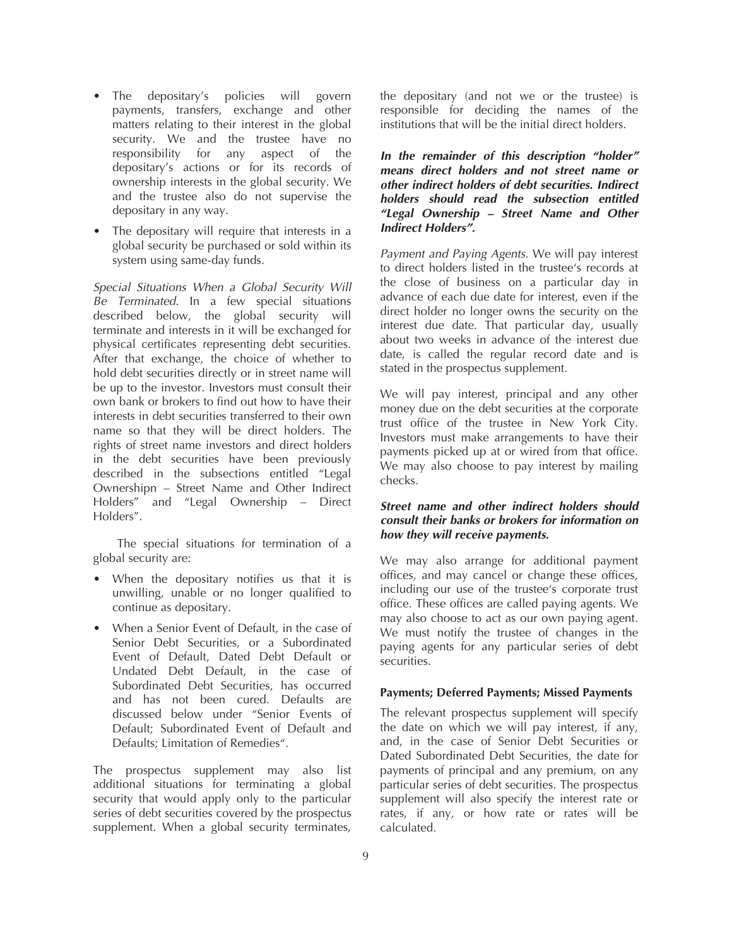- The depositary's policies will govern payments, transfers, exchange and other matters relating to their interest in the global security. We and the trustee have no responsibility for any aspect of the depositary's actions or for its records of ownership interests in the global security. We and the trustee also do not supervise the depositary in any way.
- The depositary will require that interests in a global security be purchased or sold within its system using same-day funds.

*Special Situations When a Global Security Will Be Terminated*. In a few special situations described below, the global security will terminate and interests in it will be exchanged for physical certificates representing debt securities. After that exchange, the choice of whether to hold debt securities directly or in street name will be up to the investor. Investors must consult their own bank or brokers to find out how to have their interests in debt securities transferred to their own name so that they will be direct holders. The rights of street name investors and direct holders in the debt securities have been previously described in the subsections entitled "Legal Ownershipn – Street Name and Other Indirect Holders" and "Legal Ownership – Direct Holders".

The special situations for termination of a global security are:

- When the depositary notifies us that it is unwilling, unable or no longer qualified to continue as depositary.
- When a Senior Event of Default, in the case of Senior Debt Securities, or a Subordinated Event of Default, Dated Debt Default or Undated Debt Default, in the case of Subordinated Debt Securities, has occurred and has not been cured. Defaults are discussed below under "Senior Events of Default; Subordinated Event of Default and Defaults; Limitation of Remedies".

The prospectus supplement may also list additional situations for terminating a global security that would apply only to the particular series of debt securities covered by the prospectus supplement. When a global security terminates,

the depositary (and not we or the trustee) is responsible for deciding the names of the institutions that will be the initial direct holders.

*In the remainder of this description "holder" means direct holders and not street name or other indirect holders of debt securities. Indirect holders should read the subsection entitled "Legal Ownership – Street Name and Other Indirect Holders".*

*Payment and Paying Agents.* We will pay interest to direct holders listed in the trustee's records at the close of business on a particular day in advance of each due date for interest, even if the direct holder no longer owns the security on the interest due date. That particular day, usually about two weeks in advance of the interest due date, is called the regular record date and is stated in the prospectus supplement.

We will pay interest, principal and any other money due on the debt securities at the corporate trust office of the trustee in New York City. Investors must make arrangements to have their payments picked up at or wired from that office. We may also choose to pay interest by mailing checks.

## *Street name and other indirect holders should consult their banks or brokers for information on how they will receive payments.*

We may also arrange for additional payment offices, and may cancel or change these offices, including our use of the trustee's corporate trust office. These offices are called paying agents. We may also choose to act as our own paying agent. We must notify the trustee of changes in the paying agents for any particular series of debt securities.

## **Payments; Deferred Payments; Missed Payments**

The relevant prospectus supplement will specify the date on which we will pay interest, if any, and, in the case of Senior Debt Securities or Dated Subordinated Debt Securities, the date for payments of principal and any premium, on any particular series of debt securities. The prospectus supplement will also specify the interest rate or rates, if any, or how rate or rates will be calculated.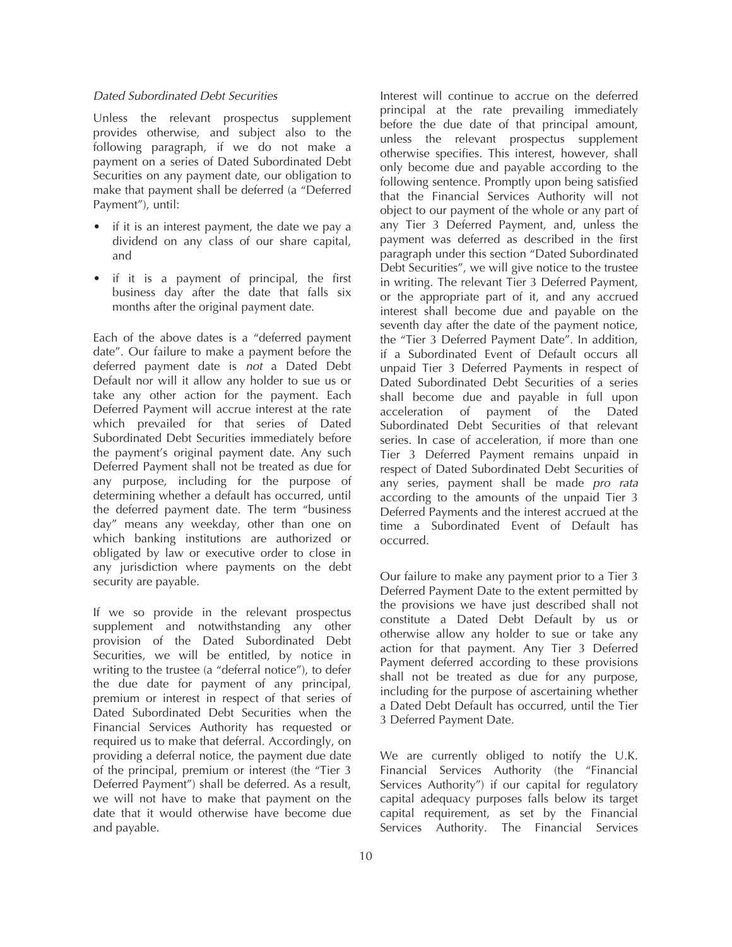#### *Dated Subordinated Debt Securities*

Unless the relevant prospectus supplement provides otherwise, and subject also to the following paragraph, if we do not make a payment on a series of Dated Subordinated Debt Securities on any payment date, our obligation to make that payment shall be deferred (a "Deferred Payment"), until:

- if it is an interest payment, the date we pay a dividend on any class of our share capital, and
- if it is a payment of principal, the first business day after the date that falls six months after the original payment date.

Each of the above dates is a "deferred payment date". Our failure to make a payment before the deferred payment date is *not* a Dated Debt Default nor will it allow any holder to sue us or take any other action for the payment. Each Deferred Payment will accrue interest at the rate which prevailed for that series of Dated Subordinated Debt Securities immediately before the payment's original payment date. Any such Deferred Payment shall not be treated as due for any purpose, including for the purpose of determining whether a default has occurred, until the deferred payment date. The term "business day" means any weekday, other than one on which banking institutions are authorized or obligated by law or executive order to close in any jurisdiction where payments on the debt security are payable.

If we so provide in the relevant prospectus supplement and notwithstanding any other provision of the Dated Subordinated Debt Securities, we will be entitled, by notice in writing to the trustee (a "deferral notice"), to defer the due date for payment of any principal, premium or interest in respect of that series of Dated Subordinated Debt Securities when the Financial Services Authority has requested or required us to make that deferral. Accordingly, on providing a deferral notice, the payment due date of the principal, premium or interest (the "Tier 3 Deferred Payment") shall be deferred. As a result, we will not have to make that payment on the date that it would otherwise have become due and payable.

Interest will continue to accrue on the deferred principal at the rate prevailing immediately before the due date of that principal amount, unless the relevant prospectus supplement otherwise specifies. This interest, however, shall only become due and payable according to the following sentence. Promptly upon being satisfied that the Financial Services Authority will not object to our payment of the whole or any part of any Tier 3 Deferred Payment, and, unless the payment was deferred as described in the first paragraph under this section "Dated Subordinated Debt Securities", we will give notice to the trustee in writing. The relevant Tier 3 Deferred Payment, or the appropriate part of it, and any accrued interest shall become due and payable on the seventh day after the date of the payment notice, the "Tier 3 Deferred Payment Date". In addition, if a Subordinated Event of Default occurs all unpaid Tier 3 Deferred Payments in respect of Dated Subordinated Debt Securities of a series shall become due and payable in full upon acceleration of payment of the Dated Subordinated Debt Securities of that relevant series. In case of acceleration, if more than one Tier 3 Deferred Payment remains unpaid in respect of Dated Subordinated Debt Securities of any series, payment shall be made *pro rata* according to the amounts of the unpaid Tier 3 Deferred Payments and the interest accrued at the time a Subordinated Event of Default has occurred.

Our failure to make any payment prior to a Tier 3 Deferred Payment Date to the extent permitted by the provisions we have just described shall not constitute a Dated Debt Default by us or otherwise allow any holder to sue or take any action for that payment. Any Tier 3 Deferred Payment deferred according to these provisions shall not be treated as due for any purpose, including for the purpose of ascertaining whether a Dated Debt Default has occurred, until the Tier 3 Deferred Payment Date.

We are currently obliged to notify the U.K. Financial Services Authority (the "Financial Services Authority") if our capital for regulatory capital adequacy purposes falls below its target capital requirement, as set by the Financial Services Authority. The Financial Services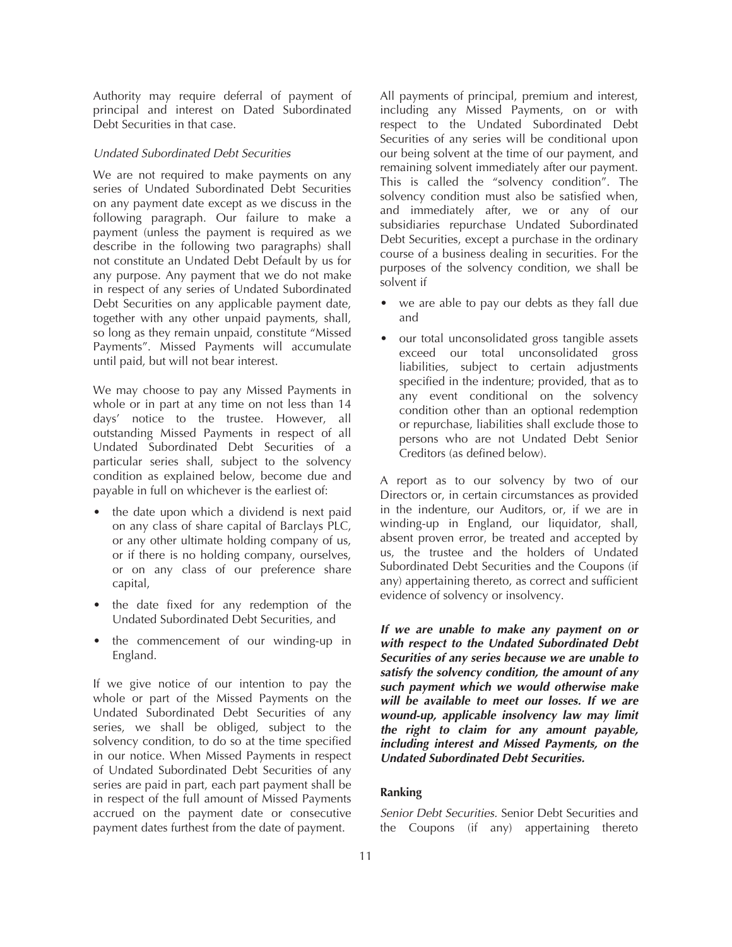Authority may require deferral of payment of principal and interest on Dated Subordinated Debt Securities in that case.

### *Undated Subordinated Debt Securities*

We are not required to make payments on any series of Undated Subordinated Debt Securities on any payment date except as we discuss in the following paragraph. Our failure to make a payment (unless the payment is required as we describe in the following two paragraphs) shall not constitute an Undated Debt Default by us for any purpose. Any payment that we do not make in respect of any series of Undated Subordinated Debt Securities on any applicable payment date, together with any other unpaid payments, shall, so long as they remain unpaid, constitute "Missed Payments". Missed Payments will accumulate until paid, but will not bear interest.

We may choose to pay any Missed Payments in whole or in part at any time on not less than 14 days' notice to the trustee. However, all outstanding Missed Payments in respect of all Undated Subordinated Debt Securities of a particular series shall, subject to the solvency condition as explained below, become due and payable in full on whichever is the earliest of:

- the date upon which a dividend is next paid on any class of share capital of Barclays PLC, or any other ultimate holding company of us, or if there is no holding company, ourselves, or on any class of our preference share capital,
- the date fixed for any redemption of the Undated Subordinated Debt Securities, and
- the commencement of our winding-up in England.

If we give notice of our intention to pay the whole or part of the Missed Payments on the Undated Subordinated Debt Securities of any series, we shall be obliged, subject to the solvency condition, to do so at the time specified in our notice. When Missed Payments in respect of Undated Subordinated Debt Securities of any series are paid in part, each part payment shall be in respect of the full amount of Missed Payments accrued on the payment date or consecutive payment dates furthest from the date of payment.

All payments of principal, premium and interest, including any Missed Payments, on or with respect to the Undated Subordinated Debt Securities of any series will be conditional upon our being solvent at the time of our payment, and remaining solvent immediately after our payment. This is called the "solvency condition". The solvency condition must also be satisfied when, and immediately after, we or any of our subsidiaries repurchase Undated Subordinated Debt Securities, except a purchase in the ordinary course of a business dealing in securities. For the purposes of the solvency condition, we shall be solvent if

- we are able to pay our debts as they fall due and
- our total unconsolidated gross tangible assets exceed our total unconsolidated gross liabilities, subject to certain adjustments specified in the indenture; provided, that as to any event conditional on the solvency condition other than an optional redemption or repurchase, liabilities shall exclude those to persons who are not Undated Debt Senior Creditors (as defined below).

A report as to our solvency by two of our Directors or, in certain circumstances as provided in the indenture, our Auditors, or, if we are in winding-up in England, our liquidator, shall, absent proven error, be treated and accepted by us, the trustee and the holders of Undated Subordinated Debt Securities and the Coupons (if any) appertaining thereto, as correct and sufficient evidence of solvency or insolvency.

*If we are unable to make any payment on or with respect to the Undated Subordinated Debt Securities of any series because we are unable to satisfy the solvency condition, the amount of any such payment which we would otherwise make will be available to meet our losses. If we are wound-up, applicable insolvency law may limit the right to claim for any amount payable, including interest and Missed Payments, on the Undated Subordinated Debt Securities.*

### **Ranking**

*Senior Debt Securities.* Senior Debt Securities and the Coupons (if any) appertaining thereto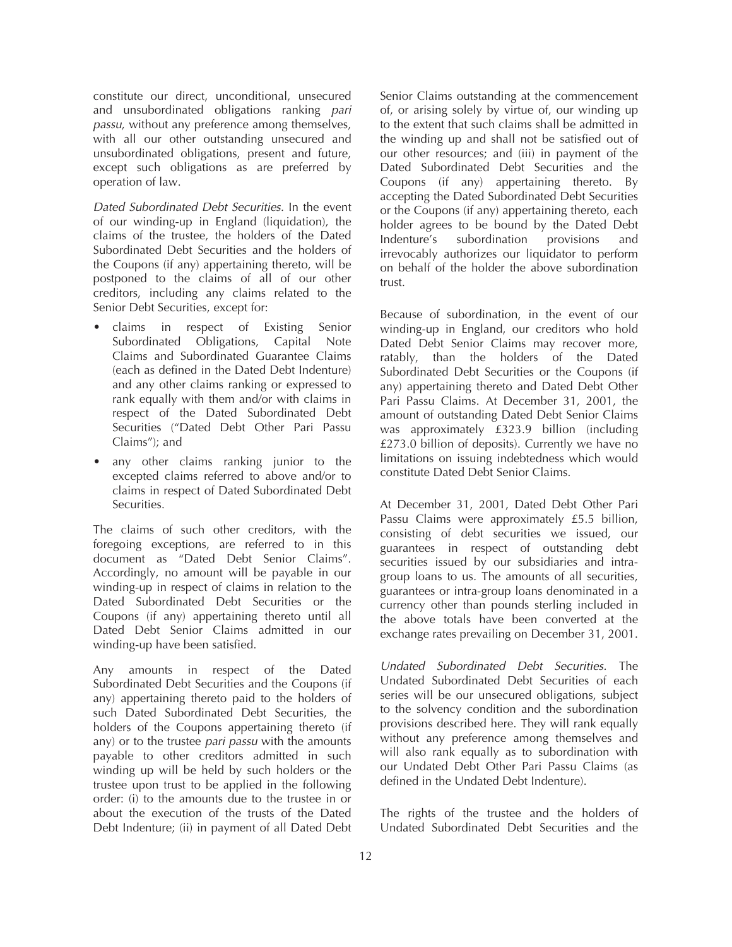constitute our direct, unconditional, unsecured and unsubordinated obligations ranking *pari passu*, without any preference among themselves, with all our other outstanding unsecured and unsubordinated obligations, present and future, except such obligations as are preferred by operation of law.

*Dated Subordinated Debt Securities.* In the event of our winding-up in England (liquidation), the claims of the trustee, the holders of the Dated Subordinated Debt Securities and the holders of the Coupons (if any) appertaining thereto, will be postponed to the claims of all of our other creditors, including any claims related to the Senior Debt Securities, except for:

- claims in respect of Existing Senior Subordinated Obligations, Capital Note Claims and Subordinated Guarantee Claims (each as defined in the Dated Debt Indenture) and any other claims ranking or expressed to rank equally with them and/or with claims in respect of the Dated Subordinated Debt Securities ("Dated Debt Other Pari Passu Claims"); and
- any other claims ranking junior to the excepted claims referred to above and/or to claims in respect of Dated Subordinated Debt Securities.

The claims of such other creditors, with the foregoing exceptions, are referred to in this document as "Dated Debt Senior Claims". Accordingly, no amount will be payable in our winding-up in respect of claims in relation to the Dated Subordinated Debt Securities or the Coupons (if any) appertaining thereto until all Dated Debt Senior Claims admitted in our winding-up have been satisfied.

Any amounts in respect of the Dated Subordinated Debt Securities and the Coupons (if any) appertaining thereto paid to the holders of such Dated Subordinated Debt Securities, the holders of the Coupons appertaining thereto (if any) or to the trustee *pari passu* with the amounts payable to other creditors admitted in such winding up will be held by such holders or the trustee upon trust to be applied in the following order: (i) to the amounts due to the trustee in or about the execution of the trusts of the Dated Debt Indenture; (ii) in payment of all Dated Debt

Senior Claims outstanding at the commencement of, or arising solely by virtue of, our winding up to the extent that such claims shall be admitted in the winding up and shall not be satisfied out of our other resources; and (iii) in payment of the Dated Subordinated Debt Securities and the Coupons (if any) appertaining thereto. By accepting the Dated Subordinated Debt Securities or the Coupons (if any) appertaining thereto, each holder agrees to be bound by the Dated Debt<br>Indenture's subordination provisions and Indenture's subordination provisions and irrevocably authorizes our liquidator to perform on behalf of the holder the above subordination trust.

Because of subordination, in the event of our winding-up in England, our creditors who hold Dated Debt Senior Claims may recover more, ratably, than the holders of the Dated Subordinated Debt Securities or the Coupons (if any) appertaining thereto and Dated Debt Other Pari Passu Claims. At December 31, 2001, the amount of outstanding Dated Debt Senior Claims was approximately £323.9 billion (including £273.0 billion of deposits). Currently we have no limitations on issuing indebtedness which would constitute Dated Debt Senior Claims.

At December 31, 2001, Dated Debt Other Pari Passu Claims were approximately £5.5 billion, consisting of debt securities we issued, our guarantees in respect of outstanding debt securities issued by our subsidiaries and intragroup loans to us. The amounts of all securities, guarantees or intra-group loans denominated in a currency other than pounds sterling included in the above totals have been converted at the exchange rates prevailing on December 31, 2001.

*Undated Subordinated Debt Securities.* The Undated Subordinated Debt Securities of each series will be our unsecured obligations, subject to the solvency condition and the subordination provisions described here. They will rank equally without any preference among themselves and will also rank equally as to subordination with our Undated Debt Other Pari Passu Claims (as defined in the Undated Debt Indenture).

The rights of the trustee and the holders of Undated Subordinated Debt Securities and the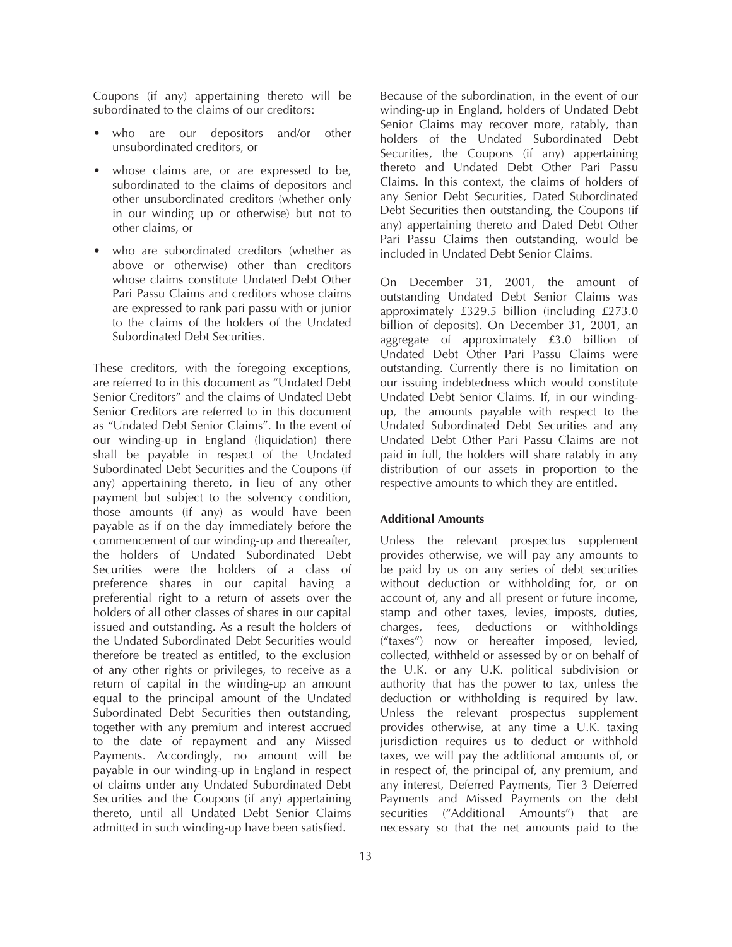Coupons (if any) appertaining thereto will be subordinated to the claims of our creditors:

- who are our depositors and/or other unsubordinated creditors, or
- whose claims are, or are expressed to be, subordinated to the claims of depositors and other unsubordinated creditors (whether only in our winding up or otherwise) but not to other claims, or
- who are subordinated creditors (whether as above or otherwise) other than creditors whose claims constitute Undated Debt Other Pari Passu Claims and creditors whose claims are expressed to rank pari passu with or junior to the claims of the holders of the Undated Subordinated Debt Securities.

These creditors, with the foregoing exceptions, are referred to in this document as "Undated Debt Senior Creditors" and the claims of Undated Debt Senior Creditors are referred to in this document as "Undated Debt Senior Claims". In the event of our winding-up in England (liquidation) there shall be payable in respect of the Undated Subordinated Debt Securities and the Coupons (if any) appertaining thereto, in lieu of any other payment but subject to the solvency condition, those amounts (if any) as would have been payable as if on the day immediately before the commencement of our winding-up and thereafter, the holders of Undated Subordinated Debt Securities were the holders of a class of preference shares in our capital having a preferential right to a return of assets over the holders of all other classes of shares in our capital issued and outstanding. As a result the holders of the Undated Subordinated Debt Securities would therefore be treated as entitled, to the exclusion of any other rights or privileges, to receive as a return of capital in the winding-up an amount equal to the principal amount of the Undated Subordinated Debt Securities then outstanding, together with any premium and interest accrued to the date of repayment and any Missed Payments. Accordingly, no amount will be payable in our winding-up in England in respect of claims under any Undated Subordinated Debt Securities and the Coupons (if any) appertaining thereto, until all Undated Debt Senior Claims admitted in such winding-up have been satisfied.

13

Because of the subordination, in the event of our winding-up in England, holders of Undated Debt Senior Claims may recover more, ratably, than holders of the Undated Subordinated Debt Securities, the Coupons (if any) appertaining thereto and Undated Debt Other Pari Passu Claims. In this context, the claims of holders of any Senior Debt Securities, Dated Subordinated Debt Securities then outstanding, the Coupons (if any) appertaining thereto and Dated Debt Other Pari Passu Claims then outstanding, would be included in Undated Debt Senior Claims.

On December 31, 2001, the amount of outstanding Undated Debt Senior Claims was approximately £329.5 billion (including £273.0 billion of deposits). On December 31, 2001, an aggregate of approximately £3.0 billion of Undated Debt Other Pari Passu Claims were outstanding. Currently there is no limitation on our issuing indebtedness which would constitute Undated Debt Senior Claims. If, in our windingup, the amounts payable with respect to the Undated Subordinated Debt Securities and any Undated Debt Other Pari Passu Claims are not paid in full, the holders will share ratably in any distribution of our assets in proportion to the respective amounts to which they are entitled.

# **Additional Amounts**

Unless the relevant prospectus supplement provides otherwise, we will pay any amounts to be paid by us on any series of debt securities without deduction or withholding for, or on account of, any and all present or future income, stamp and other taxes, levies, imposts, duties, charges, fees, deductions or withholdings ("taxes") now or hereafter imposed, levied, collected, withheld or assessed by or on behalf of the U.K. or any U.K. political subdivision or authority that has the power to tax, unless the deduction or withholding is required by law. Unless the relevant prospectus supplement provides otherwise, at any time a U.K. taxing jurisdiction requires us to deduct or withhold taxes, we will pay the additional amounts of, or in respect of, the principal of, any premium, and any interest, Deferred Payments, Tier 3 Deferred Payments and Missed Payments on the debt securities ("Additional Amounts") that are necessary so that the net amounts paid to the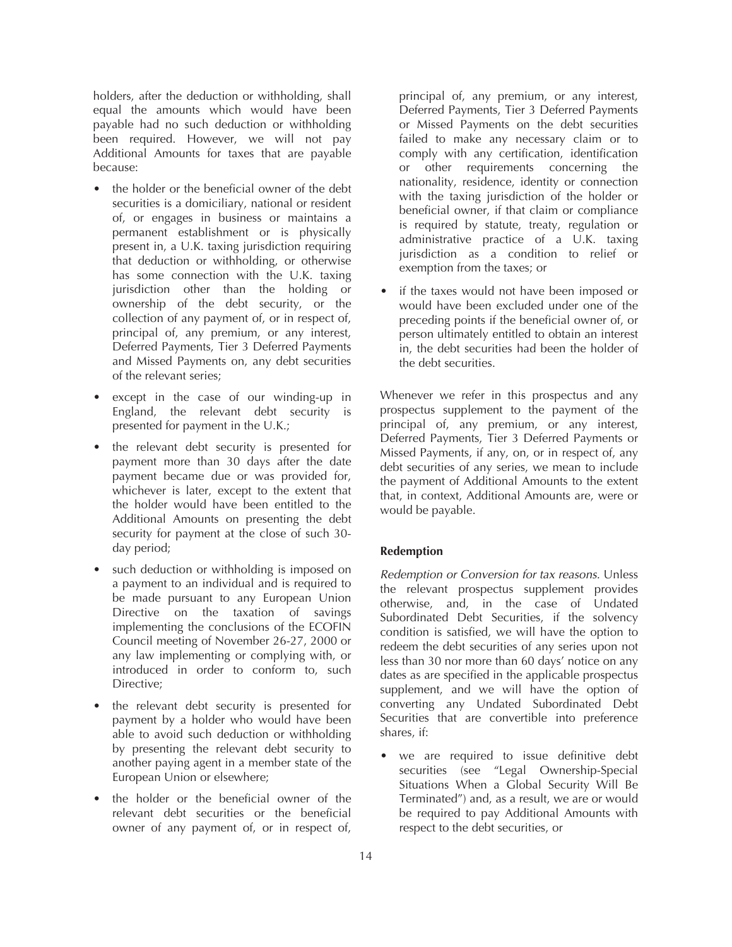holders, after the deduction or withholding, shall equal the amounts which would have been payable had no such deduction or withholding been required. However, we will not pay Additional Amounts for taxes that are payable because:

- the holder or the beneficial owner of the debt securities is a domiciliary, national or resident of, or engages in business or maintains a permanent establishment or is physically present in, a U.K. taxing jurisdiction requiring that deduction or withholding, or otherwise has some connection with the U.K. taxing jurisdiction other than the holding or ownership of the debt security, or the collection of any payment of, or in respect of, principal of, any premium, or any interest, Deferred Payments, Tier 3 Deferred Payments and Missed Payments on, any debt securities of the relevant series;
- except in the case of our winding-up in England, the relevant debt security is presented for payment in the U.K.;
- the relevant debt security is presented for payment more than 30 days after the date payment became due or was provided for, whichever is later, except to the extent that the holder would have been entitled to the Additional Amounts on presenting the debt security for payment at the close of such 30 day period;
- such deduction or withholding is imposed on a payment to an individual and is required to be made pursuant to any European Union Directive on the taxation of savings implementing the conclusions of the ECOFIN Council meeting of November 26-27, 2000 or any law implementing or complying with, or introduced in order to conform to, such Directive;
- the relevant debt security is presented for payment by a holder who would have been able to avoid such deduction or withholding by presenting the relevant debt security to another paying agent in a member state of the European Union or elsewhere;
- the holder or the beneficial owner of the relevant debt securities or the beneficial owner of any payment of, or in respect of,

principal of, any premium, or any interest, Deferred Payments, Tier 3 Deferred Payments or Missed Payments on the debt securities failed to make any necessary claim or to comply with any certification, identification or other requirements concerning the nationality, residence, identity or connection with the taxing jurisdiction of the holder or beneficial owner, if that claim or compliance is required by statute, treaty, regulation or administrative practice of a U.K. taxing jurisdiction as a condition to relief or exemption from the taxes; or

• if the taxes would not have been imposed or would have been excluded under one of the preceding points if the beneficial owner of, or person ultimately entitled to obtain an interest in, the debt securities had been the holder of the debt securities.

Whenever we refer in this prospectus and any prospectus supplement to the payment of the principal of, any premium, or any interest, Deferred Payments, Tier 3 Deferred Payments or Missed Payments, if any, on, or in respect of, any debt securities of any series, we mean to include the payment of Additional Amounts to the extent that, in context, Additional Amounts are, were or would be payable.

# **Redemption**

*Redemption or Conversion for tax reasons.* Unless the relevant prospectus supplement provides otherwise, and, in the case of Undated Subordinated Debt Securities, if the solvency condition is satisfied, we will have the option to redeem the debt securities of any series upon not less than 30 nor more than 60 days' notice on any dates as are specified in the applicable prospectus supplement, and we will have the option of converting any Undated Subordinated Debt Securities that are convertible into preference shares, if:

we are required to issue definitive debt securities (see "Legal Ownership-Special Situations When a Global Security Will Be Terminated") and, as a result, we are or would be required to pay Additional Amounts with respect to the debt securities, or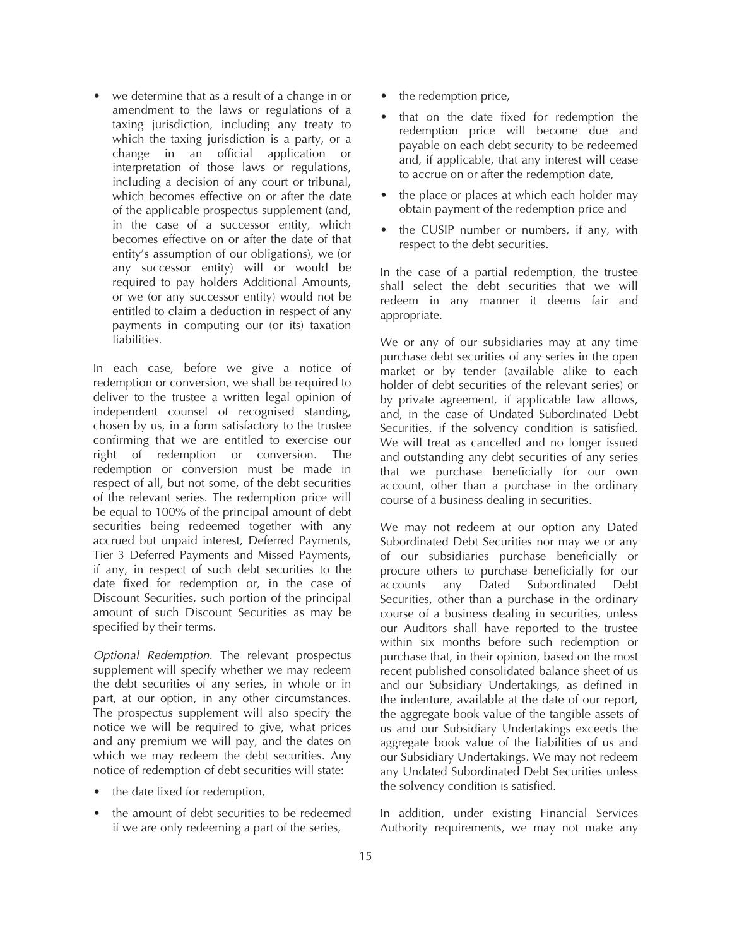• we determine that as a result of a change in or amendment to the laws or regulations of a taxing jurisdiction, including any treaty to which the taxing jurisdiction is a party, or a change in an official application or interpretation of those laws or regulations, including a decision of any court or tribunal, which becomes effective on or after the date of the applicable prospectus supplement (and, in the case of a successor entity, which becomes effective on or after the date of that entity's assumption of our obligations), we (or any successor entity) will or would be required to pay holders Additional Amounts, or we (or any successor entity) would not be entitled to claim a deduction in respect of any payments in computing our (or its) taxation liabilities.

In each case, before we give a notice of redemption or conversion, we shall be required to deliver to the trustee a written legal opinion of independent counsel of recognised standing, chosen by us, in a form satisfactory to the trustee confirming that we are entitled to exercise our right of redemption or conversion. The redemption or conversion must be made in respect of all, but not some, of the debt securities of the relevant series. The redemption price will be equal to 100% of the principal amount of debt securities being redeemed together with any accrued but unpaid interest, Deferred Payments, Tier 3 Deferred Payments and Missed Payments, if any, in respect of such debt securities to the date fixed for redemption or, in the case of Discount Securities, such portion of the principal amount of such Discount Securities as may be specified by their terms.

*Optional Redemption.* The relevant prospectus supplement will specify whether we may redeem the debt securities of any series, in whole or in part, at our option, in any other circumstances. The prospectus supplement will also specify the notice we will be required to give, what prices and any premium we will pay, and the dates on which we may redeem the debt securities. Any notice of redemption of debt securities will state:

- the date fixed for redemption,
- the amount of debt securities to be redeemed if we are only redeeming a part of the series,
- the redemption price,
- that on the date fixed for redemption the redemption price will become due and payable on each debt security to be redeemed and, if applicable, that any interest will cease to accrue on or after the redemption date,
- the place or places at which each holder may obtain payment of the redemption price and
- the CUSIP number or numbers, if any, with respect to the debt securities.

In the case of a partial redemption, the trustee shall select the debt securities that we will redeem in any manner it deems fair and appropriate.

We or any of our subsidiaries may at any time purchase debt securities of any series in the open market or by tender (available alike to each holder of debt securities of the relevant series) or by private agreement, if applicable law allows, and, in the case of Undated Subordinated Debt Securities, if the solvency condition is satisfied. We will treat as cancelled and no longer issued and outstanding any debt securities of any series that we purchase beneficially for our own account, other than a purchase in the ordinary course of a business dealing in securities.

We may not redeem at our option any Dated Subordinated Debt Securities nor may we or any of our subsidiaries purchase beneficially or procure others to purchase beneficially for our accounts any Dated Subordinated Debt Securities, other than a purchase in the ordinary course of a business dealing in securities, unless our Auditors shall have reported to the trustee within six months before such redemption or purchase that, in their opinion, based on the most recent published consolidated balance sheet of us and our Subsidiary Undertakings, as defined in the indenture, available at the date of our report, the aggregate book value of the tangible assets of us and our Subsidiary Undertakings exceeds the aggregate book value of the liabilities of us and our Subsidiary Undertakings. We may not redeem any Undated Subordinated Debt Securities unless the solvency condition is satisfied.

In addition, under existing Financial Services Authority requirements, we may not make any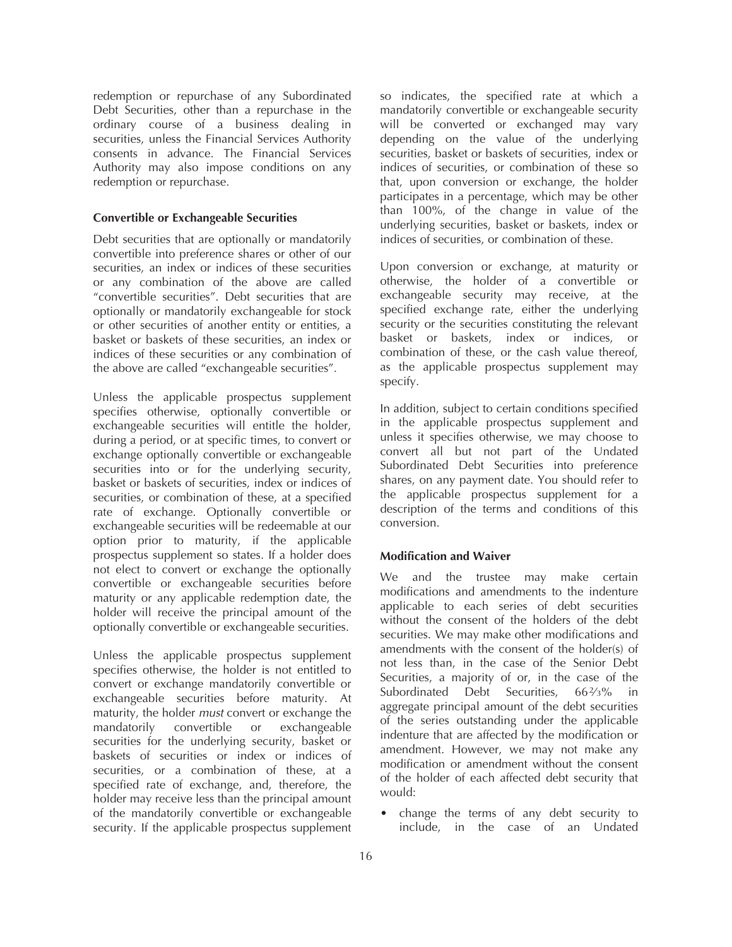redemption or repurchase of any Subordinated Debt Securities, other than a repurchase in the ordinary course of a business dealing in securities, unless the Financial Services Authority consents in advance. The Financial Services Authority may also impose conditions on any redemption or repurchase.

#### **Convertible or Exchangeable Securities**

Debt securities that are optionally or mandatorily convertible into preference shares or other of our securities, an index or indices of these securities or any combination of the above are called "convertible securities". Debt securities that are optionally or mandatorily exchangeable for stock or other securities of another entity or entities, a basket or baskets of these securities, an index or indices of these securities or any combination of the above are called "exchangeable securities".

Unless the applicable prospectus supplement specifies otherwise, optionally convertible or exchangeable securities will entitle the holder, during a period, or at specific times, to convert or exchange optionally convertible or exchangeable securities into or for the underlying security, basket or baskets of securities, index or indices of securities, or combination of these, at a specified rate of exchange. Optionally convertible or exchangeable securities will be redeemable at our option prior to maturity, if the applicable prospectus supplement so states. If a holder does not elect to convert or exchange the optionally convertible or exchangeable securities before maturity or any applicable redemption date, the holder will receive the principal amount of the optionally convertible or exchangeable securities.

Unless the applicable prospectus supplement specifies otherwise, the holder is not entitled to convert or exchange mandatorily convertible or exchangeable securities before maturity. At maturity, the holder *must* convert or exchange the mandatorily convertible or exchangeable securities for the underlying security, basket or baskets of securities or index or indices of securities, or a combination of these, at a specified rate of exchange, and, therefore, the holder may receive less than the principal amount of the mandatorily convertible or exchangeable security. If the applicable prospectus supplement

so indicates, the specified rate at which a mandatorily convertible or exchangeable security will be converted or exchanged may vary depending on the value of the underlying securities, basket or baskets of securities, index or indices of securities, or combination of these so that, upon conversion or exchange, the holder participates in a percentage, which may be other than 100%, of the change in value of the underlying securities, basket or baskets, index or indices of securities, or combination of these.

Upon conversion or exchange, at maturity or otherwise, the holder of a convertible or exchangeable security may receive, at the specified exchange rate, either the underlying security or the securities constituting the relevant basket or baskets, index or indices, or combination of these, or the cash value thereof, as the applicable prospectus supplement may specify.

In addition, subject to certain conditions specified in the applicable prospectus supplement and unless it specifies otherwise, we may choose to convert all but not part of the Undated Subordinated Debt Securities into preference shares, on any payment date. You should refer to the applicable prospectus supplement for a description of the terms and conditions of this conversion.

### **Modification and Waiver**

We and the trustee may make certain modifications and amendments to the indenture applicable to each series of debt securities without the consent of the holders of the debt securities. We may make other modifications and amendments with the consent of the holder(s) of not less than, in the case of the Senior Debt Securities, a majority of or, in the case of the Subordinated Debt Securities, 66<sup>2</sup>/<sub>3</sub>% in aggregate principal amount of the debt securities of the series outstanding under the applicable indenture that are affected by the modification or amendment. However, we may not make any modification or amendment without the consent of the holder of each affected debt security that would:

• change the terms of any debt security to include, in the case of an Undated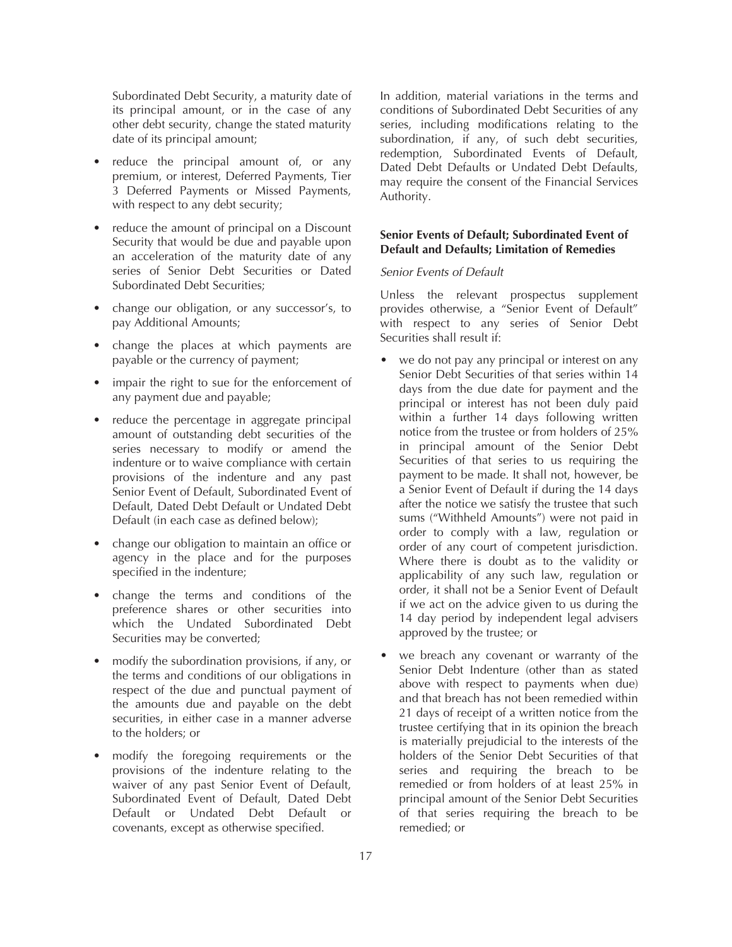Subordinated Debt Security, a maturity date of its principal amount, or in the case of any other debt security, change the stated maturity date of its principal amount;

- reduce the principal amount of, or any premium, or interest, Deferred Payments, Tier 3 Deferred Payments or Missed Payments, with respect to any debt security;
- reduce the amount of principal on a Discount Security that would be due and payable upon an acceleration of the maturity date of any series of Senior Debt Securities or Dated Subordinated Debt Securities;
- change our obligation, or any successor's, to pay Additional Amounts;
- change the places at which payments are payable or the currency of payment;
- impair the right to sue for the enforcement of any payment due and payable;
- reduce the percentage in aggregate principal amount of outstanding debt securities of the series necessary to modify or amend the indenture or to waive compliance with certain provisions of the indenture and any past Senior Event of Default, Subordinated Event of Default, Dated Debt Default or Undated Debt Default (in each case as defined below);
- change our obligation to maintain an office or agency in the place and for the purposes specified in the indenture;
- change the terms and conditions of the preference shares or other securities into which the Undated Subordinated Debt Securities may be converted;
- modify the subordination provisions, if any, or the terms and conditions of our obligations in respect of the due and punctual payment of the amounts due and payable on the debt securities, in either case in a manner adverse to the holders; or
- modify the foregoing requirements or the provisions of the indenture relating to the waiver of any past Senior Event of Default, Subordinated Event of Default, Dated Debt Default or Undated Debt Default or covenants, except as otherwise specified.

In addition, material variations in the terms and conditions of Subordinated Debt Securities of any series, including modifications relating to the subordination, if any, of such debt securities, redemption, Subordinated Events of Default, Dated Debt Defaults or Undated Debt Defaults, may require the consent of the Financial Services Authority.

# **Senior Events of Default; Subordinated Event of Default and Defaults; Limitation of Remedies**

## *Senior Events of Default*

Unless the relevant prospectus supplement provides otherwise, a "Senior Event of Default" with respect to any series of Senior Debt Securities shall result if:

- we do not pay any principal or interest on any Senior Debt Securities of that series within 14 days from the due date for payment and the principal or interest has not been duly paid within a further 14 days following written notice from the trustee or from holders of 25% in principal amount of the Senior Debt Securities of that series to us requiring the payment to be made. It shall not, however, be a Senior Event of Default if during the 14 days after the notice we satisfy the trustee that such sums ("Withheld Amounts") were not paid in order to comply with a law, regulation or order of any court of competent jurisdiction. Where there is doubt as to the validity or applicability of any such law, regulation or order, it shall not be a Senior Event of Default if we act on the advice given to us during the 14 day period by independent legal advisers approved by the trustee; or
- we breach any covenant or warranty of the Senior Debt Indenture (other than as stated above with respect to payments when due) and that breach has not been remedied within 21 days of receipt of a written notice from the trustee certifying that in its opinion the breach is materially prejudicial to the interests of the holders of the Senior Debt Securities of that series and requiring the breach to be remedied or from holders of at least 25% in principal amount of the Senior Debt Securities of that series requiring the breach to be remedied; or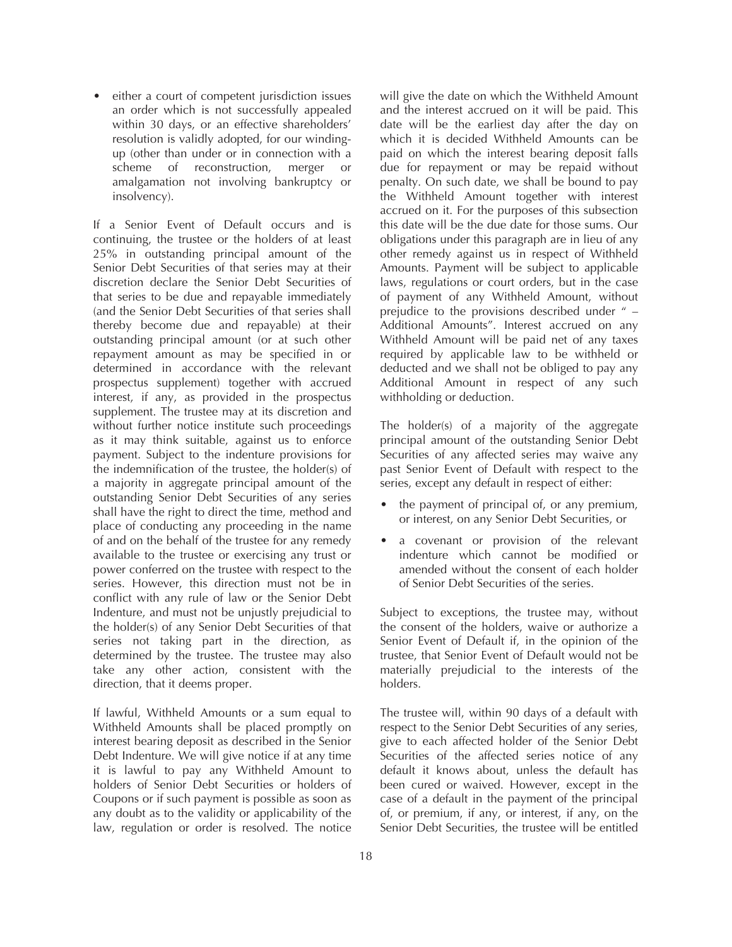• either a court of competent jurisdiction issues an order which is not successfully appealed within 30 days, or an effective shareholders' resolution is validly adopted, for our windingup (other than under or in connection with a scheme of reconstruction, merger amalgamation not involving bankruptcy or insolvency).

If a Senior Event of Default occurs and is continuing, the trustee or the holders of at least 25% in outstanding principal amount of the Senior Debt Securities of that series may at their discretion declare the Senior Debt Securities of that series to be due and repayable immediately (and the Senior Debt Securities of that series shall thereby become due and repayable) at their outstanding principal amount (or at such other repayment amount as may be specified in or determined in accordance with the relevant prospectus supplement) together with accrued interest, if any, as provided in the prospectus supplement. The trustee may at its discretion and without further notice institute such proceedings as it may think suitable, against us to enforce payment. Subject to the indenture provisions for the indemnification of the trustee, the holder(s) of a majority in aggregate principal amount of the outstanding Senior Debt Securities of any series shall have the right to direct the time, method and place of conducting any proceeding in the name of and on the behalf of the trustee for any remedy available to the trustee or exercising any trust or power conferred on the trustee with respect to the series. However, this direction must not be in conflict with any rule of law or the Senior Debt Indenture, and must not be unjustly prejudicial to the holder(s) of any Senior Debt Securities of that series not taking part in the direction, as determined by the trustee. The trustee may also take any other action, consistent with the direction, that it deems proper.

If lawful, Withheld Amounts or a sum equal to Withheld Amounts shall be placed promptly on interest bearing deposit as described in the Senior Debt Indenture. We will give notice if at any time it is lawful to pay any Withheld Amount to holders of Senior Debt Securities or holders of Coupons or if such payment is possible as soon as any doubt as to the validity or applicability of the law, regulation or order is resolved. The notice

will give the date on which the Withheld Amount and the interest accrued on it will be paid. This date will be the earliest day after the day on which it is decided Withheld Amounts can be paid on which the interest bearing deposit falls due for repayment or may be repaid without penalty. On such date, we shall be bound to pay the Withheld Amount together with interest accrued on it. For the purposes of this subsection this date will be the due date for those sums. Our obligations under this paragraph are in lieu of any other remedy against us in respect of Withheld Amounts. Payment will be subject to applicable laws, regulations or court orders, but in the case of payment of any Withheld Amount, without prejudice to the provisions described under " – Additional Amounts". Interest accrued on any Withheld Amount will be paid net of any taxes required by applicable law to be withheld or deducted and we shall not be obliged to pay any Additional Amount in respect of any such withholding or deduction.

The holder(s) of a majority of the aggregate principal amount of the outstanding Senior Debt Securities of any affected series may waive any past Senior Event of Default with respect to the series, except any default in respect of either:

- the payment of principal of, or any premium, or interest, on any Senior Debt Securities, or
- a covenant or provision of the relevant indenture which cannot be modified or amended without the consent of each holder of Senior Debt Securities of the series.

Subject to exceptions, the trustee may, without the consent of the holders, waive or authorize a Senior Event of Default if, in the opinion of the trustee, that Senior Event of Default would not be materially prejudicial to the interests of the holders.

The trustee will, within 90 days of a default with respect to the Senior Debt Securities of any series, give to each affected holder of the Senior Debt Securities of the affected series notice of any default it knows about, unless the default has been cured or waived. However, except in the case of a default in the payment of the principal of, or premium, if any, or interest, if any, on the Senior Debt Securities, the trustee will be entitled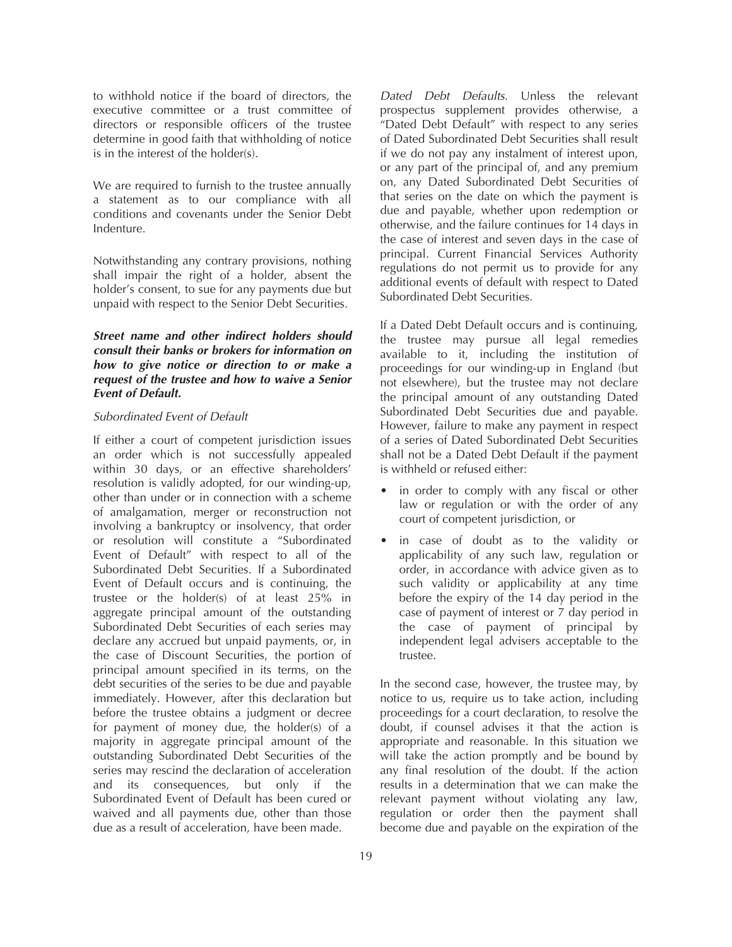to withhold notice if the board of directors, the executive committee or a trust committee of directors or responsible officers of the trustee determine in good faith that withholding of notice is in the interest of the holder(s).

We are required to furnish to the trustee annually a statement as to our compliance with all conditions and covenants under the Senior Debt Indenture.

Notwithstanding any contrary provisions, nothing shall impair the right of a holder, absent the holder's consent, to sue for any payments due but unpaid with respect to the Senior Debt Securities.

*Street name and other indirect holders should consult their banks or brokers for information on how to give notice or direction to or make a request of the trustee and how to waive a Senior Event of Default.*

#### *Subordinated Event of Default*

If either a court of competent jurisdiction issues an order which is not successfully appealed within 30 days, or an effective shareholders' resolution is validly adopted, for our winding-up, other than under or in connection with a scheme of amalgamation, merger or reconstruction not involving a bankruptcy or insolvency, that order or resolution will constitute a "Subordinated Event of Default" with respect to all of the Subordinated Debt Securities. If a Subordinated Event of Default occurs and is continuing, the trustee or the holder(s) of at least 25% in aggregate principal amount of the outstanding Subordinated Debt Securities of each series may declare any accrued but unpaid payments, or, in the case of Discount Securities, the portion of principal amount specified in its terms, on the debt securities of the series to be due and payable immediately. However, after this declaration but before the trustee obtains a judgment or decree for payment of money due, the holder(s) of a majority in aggregate principal amount of the outstanding Subordinated Debt Securities of the series may rescind the declaration of acceleration and its consequences, but only if the Subordinated Event of Default has been cured or waived and all payments due, other than those due as a result of acceleration, have been made.

*Dated Debt Defaults*. Unless the relevant prospectus supplement provides otherwise, a "Dated Debt Default" with respect to any series of Dated Subordinated Debt Securities shall result if we do not pay any instalment of interest upon, or any part of the principal of, and any premium on, any Dated Subordinated Debt Securities of that series on the date on which the payment is due and payable, whether upon redemption or otherwise, and the failure continues for 14 days in the case of interest and seven days in the case of principal. Current Financial Services Authority regulations do not permit us to provide for any additional events of default with respect to Dated Subordinated Debt Securities.

If a Dated Debt Default occurs and is continuing, the trustee may pursue all legal remedies available to it, including the institution of proceedings for our winding-up in England (but not elsewhere), but the trustee may not declare the principal amount of any outstanding Dated Subordinated Debt Securities due and payable. However, failure to make any payment in respect of a series of Dated Subordinated Debt Securities shall not be a Dated Debt Default if the payment is withheld or refused either:

- in order to comply with any fiscal or other law or regulation or with the order of any court of competent jurisdiction, or
- in case of doubt as to the validity or applicability of any such law, regulation or order, in accordance with advice given as to such validity or applicability at any time before the expiry of the 14 day period in the case of payment of interest or 7 day period in the case of payment of principal by independent legal advisers acceptable to the trustee.

In the second case, however, the trustee may, by notice to us, require us to take action, including proceedings for a court declaration, to resolve the doubt, if counsel advises it that the action is appropriate and reasonable. In this situation we will take the action promptly and be bound by any final resolution of the doubt. If the action results in a determination that we can make the relevant payment without violating any law, regulation or order then the payment shall become due and payable on the expiration of the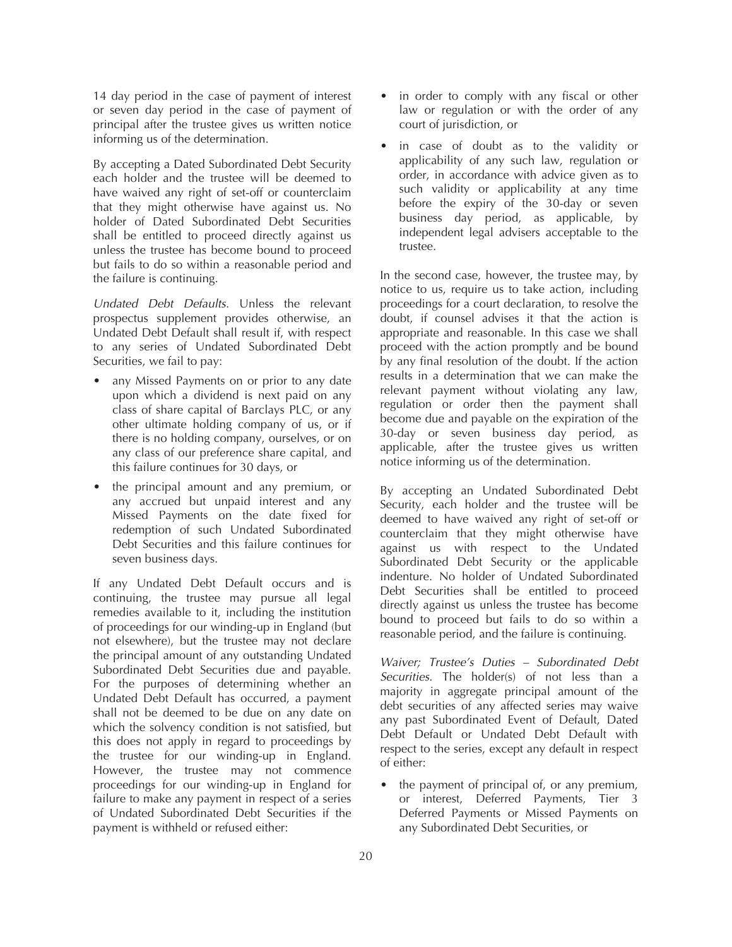14 day period in the case of payment of interest or seven day period in the case of payment of principal after the trustee gives us written notice informing us of the determination.

By accepting a Dated Subordinated Debt Security each holder and the trustee will be deemed to have waived any right of set-off or counterclaim that they might otherwise have against us. No holder of Dated Subordinated Debt Securities shall be entitled to proceed directly against us unless the trustee has become bound to proceed but fails to do so within a reasonable period and the failure is continuing.

*Undated Debt Defaults*. Unless the relevant prospectus supplement provides otherwise, an Undated Debt Default shall result if, with respect to any series of Undated Subordinated Debt Securities, we fail to pay:

- any Missed Payments on or prior to any date upon which a dividend is next paid on any class of share capital of Barclays PLC, or any other ultimate holding company of us, or if there is no holding company, ourselves, or on any class of our preference share capital, and this failure continues for 30 days, or
- the principal amount and any premium, or any accrued but unpaid interest and any Missed Payments on the date fixed for redemption of such Undated Subordinated Debt Securities and this failure continues for seven business days.

If any Undated Debt Default occurs and is continuing, the trustee may pursue all legal remedies available to it, including the institution of proceedings for our winding-up in England (but not elsewhere), but the trustee may not declare the principal amount of any outstanding Undated Subordinated Debt Securities due and payable. For the purposes of determining whether an Undated Debt Default has occurred, a payment shall not be deemed to be due on any date on which the solvency condition is not satisfied, but this does not apply in regard to proceedings by the trustee for our winding-up in England. However, the trustee may not commence proceedings for our winding-up in England for failure to make any payment in respect of a series of Undated Subordinated Debt Securities if the payment is withheld or refused either:

- in order to comply with any fiscal or other law or regulation or with the order of any court of jurisdiction, or
- in case of doubt as to the validity or applicability of any such law, regulation or order, in accordance with advice given as to such validity or applicability at any time before the expiry of the 30-day or seven business day period, as applicable, by independent legal advisers acceptable to the trustee.

In the second case, however, the trustee may, by notice to us, require us to take action, including proceedings for a court declaration, to resolve the doubt, if counsel advises it that the action is appropriate and reasonable. In this case we shall proceed with the action promptly and be bound by any final resolution of the doubt. If the action results in a determination that we can make the relevant payment without violating any law, regulation or order then the payment shall become due and payable on the expiration of the 30-day or seven business day period, as applicable, after the trustee gives us written notice informing us of the determination.

By accepting an Undated Subordinated Debt Security, each holder and the trustee will be deemed to have waived any right of set-off or counterclaim that they might otherwise have against us with respect to the Undated Subordinated Debt Security or the applicable indenture. No holder of Undated Subordinated Debt Securities shall be entitled to proceed directly against us unless the trustee has become bound to proceed but fails to do so within a reasonable period, and the failure is continuing.

*Waiver; Trustee's Duties – Subordinated Debt Securities.* The holder(s) of not less than a majority in aggregate principal amount of the debt securities of any affected series may waive any past Subordinated Event of Default. Dated Debt Default or Undated Debt Default with respect to the series, except any default in respect of either:

the payment of principal of, or any premium, or interest, Deferred Payments, Tier 3 Deferred Payments or Missed Payments on any Subordinated Debt Securities, or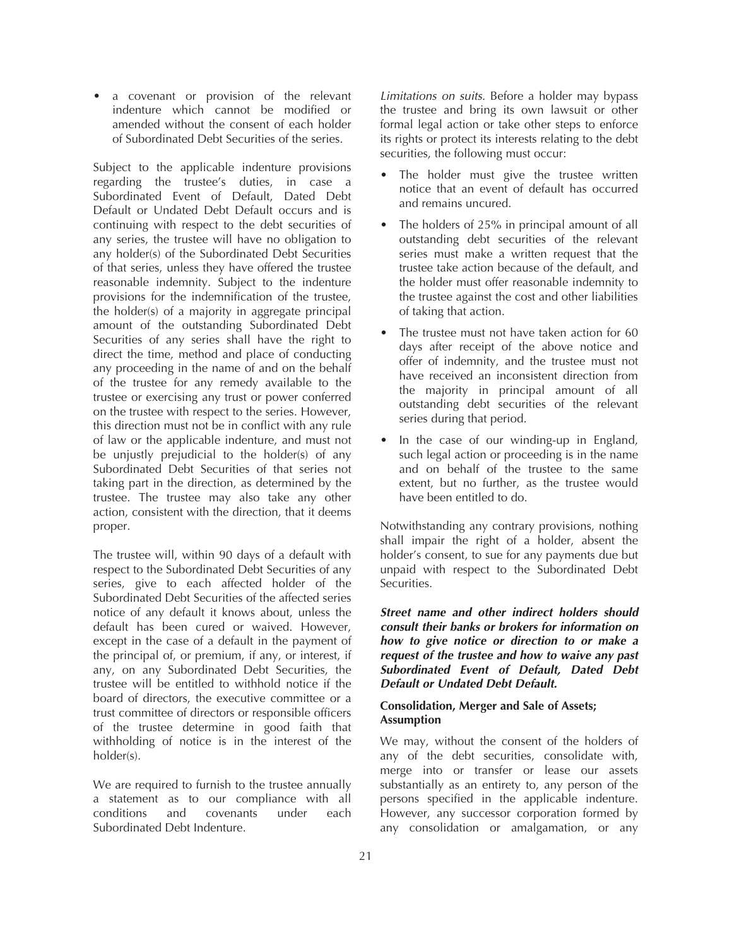• a covenant or provision of the relevant indenture which cannot be modified or amended without the consent of each holder of Subordinated Debt Securities of the series.

Subject to the applicable indenture provisions regarding the trustee's duties, in case a Subordinated Event of Default, Dated Debt Default or Undated Debt Default occurs and is continuing with respect to the debt securities of any series, the trustee will have no obligation to any holder(s) of the Subordinated Debt Securities of that series, unless they have offered the trustee reasonable indemnity. Subject to the indenture provisions for the indemnification of the trustee, the holder(s) of a majority in aggregate principal amount of the outstanding Subordinated Debt Securities of any series shall have the right to direct the time, method and place of conducting any proceeding in the name of and on the behalf of the trustee for any remedy available to the trustee or exercising any trust or power conferred on the trustee with respect to the series. However, this direction must not be in conflict with any rule of law or the applicable indenture, and must not be unjustly prejudicial to the holder(s) of any Subordinated Debt Securities of that series not taking part in the direction, as determined by the trustee. The trustee may also take any other action, consistent with the direction, that it deems proper.

The trustee will, within 90 days of a default with respect to the Subordinated Debt Securities of any series, give to each affected holder of the Subordinated Debt Securities of the affected series notice of any default it knows about, unless the default has been cured or waived. However, except in the case of a default in the payment of the principal of, or premium, if any, or interest, if any, on any Subordinated Debt Securities, the trustee will be entitled to withhold notice if the board of directors, the executive committee or a trust committee of directors or responsible officers of the trustee determine in good faith that withholding of notice is in the interest of the holder(s).

We are required to furnish to the trustee annually a statement as to our compliance with all conditions and covenants under each Subordinated Debt Indenture.

*Limitations on suits.* Before a holder may bypass the trustee and bring its own lawsuit or other formal legal action or take other steps to enforce its rights or protect its interests relating to the debt securities, the following must occur:

- The holder must give the trustee written notice that an event of default has occurred and remains uncured.
- The holders of 25% in principal amount of all outstanding debt securities of the relevant series must make a written request that the trustee take action because of the default, and the holder must offer reasonable indemnity to the trustee against the cost and other liabilities of taking that action.
- The trustee must not have taken action for 60 days after receipt of the above notice and offer of indemnity, and the trustee must not have received an inconsistent direction from the majority in principal amount of all outstanding debt securities of the relevant series during that period.
- In the case of our winding-up in England, such legal action or proceeding is in the name and on behalf of the trustee to the same extent, but no further, as the trustee would have been entitled to do.

Notwithstanding any contrary provisions, nothing shall impair the right of a holder, absent the holder's consent, to sue for any payments due but unpaid with respect to the Subordinated Debt Securities.

*Street name and other indirect holders should consult their banks or brokers for information on how to give notice or direction to or make a request of the trustee and how to waive any past Subordinated Event of Default, Dated Debt Default or Undated Debt Default.*

# **Consolidation, Merger and Sale of Assets; Assumption**

We may, without the consent of the holders of any of the debt securities, consolidate with, merge into or transfer or lease our assets substantially as an entirety to, any person of the persons specified in the applicable indenture. However, any successor corporation formed by any consolidation or amalgamation, or any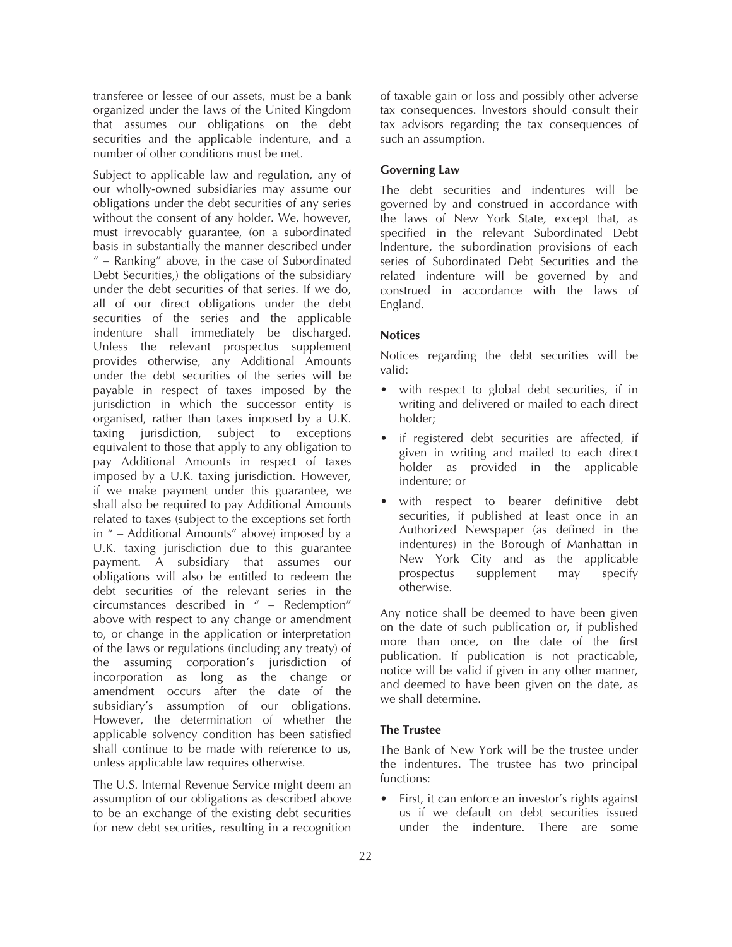transferee or lessee of our assets, must be a bank organized under the laws of the United Kingdom that assumes our obligations on the debt securities and the applicable indenture, and a number of other conditions must be met.

Subject to applicable law and regulation, any of our wholly-owned subsidiaries may assume our obligations under the debt securities of any series without the consent of any holder. We, however, must irrevocably guarantee, (on a subordinated basis in substantially the manner described under " – Ranking" above, in the case of Subordinated Debt Securities,) the obligations of the subsidiary under the debt securities of that series. If we do, all of our direct obligations under the debt securities of the series and the applicable indenture shall immediately be discharged. Unless the relevant prospectus supplement provides otherwise, any Additional Amounts under the debt securities of the series will be payable in respect of taxes imposed by the jurisdiction in which the successor entity is organised, rather than taxes imposed by a U.K. taxing jurisdiction, subject to exceptions equivalent to those that apply to any obligation to pay Additional Amounts in respect of taxes imposed by a U.K. taxing jurisdiction. However, if we make payment under this guarantee, we shall also be required to pay Additional Amounts related to taxes (subject to the exceptions set forth in " – Additional Amounts" above) imposed by a U.K. taxing jurisdiction due to this guarantee payment. A subsidiary that assumes our obligations will also be entitled to redeem the debt securities of the relevant series in the circumstances described in " – Redemption" above with respect to any change or amendment to, or change in the application or interpretation of the laws or regulations (including any treaty) of the assuming corporation's jurisdiction of incorporation as long as the change or amendment occurs after the date of the subsidiary's assumption of our obligations. However, the determination of whether the applicable solvency condition has been satisfied shall continue to be made with reference to us, unless applicable law requires otherwise.

The U.S. Internal Revenue Service might deem an assumption of our obligations as described above to be an exchange of the existing debt securities for new debt securities, resulting in a recognition

of taxable gain or loss and possibly other adverse tax consequences. Investors should consult their tax advisors regarding the tax consequences of such an assumption.

# **Governing Law**

The debt securities and indentures will be governed by and construed in accordance with the laws of New York State, except that, as specified in the relevant Subordinated Debt Indenture, the subordination provisions of each series of Subordinated Debt Securities and the related indenture will be governed by and construed in accordance with the laws of England.

## **Notices**

Notices regarding the debt securities will be valid:

- with respect to global debt securities, if in writing and delivered or mailed to each direct holder;
- if registered debt securities are affected, if given in writing and mailed to each direct holder as provided in the applicable indenture; or
- with respect to bearer definitive debt securities, if published at least once in an Authorized Newspaper (as defined in the indentures) in the Borough of Manhattan in New York City and as the applicable prospectus supplement may specify otherwise.

Any notice shall be deemed to have been given on the date of such publication or, if published more than once, on the date of the first publication. If publication is not practicable, notice will be valid if given in any other manner, and deemed to have been given on the date, as we shall determine.

## **The Trustee**

The Bank of New York will be the trustee under the indentures. The trustee has two principal functions:

First, it can enforce an investor's rights against us if we default on debt securities issued under the indenture. There are some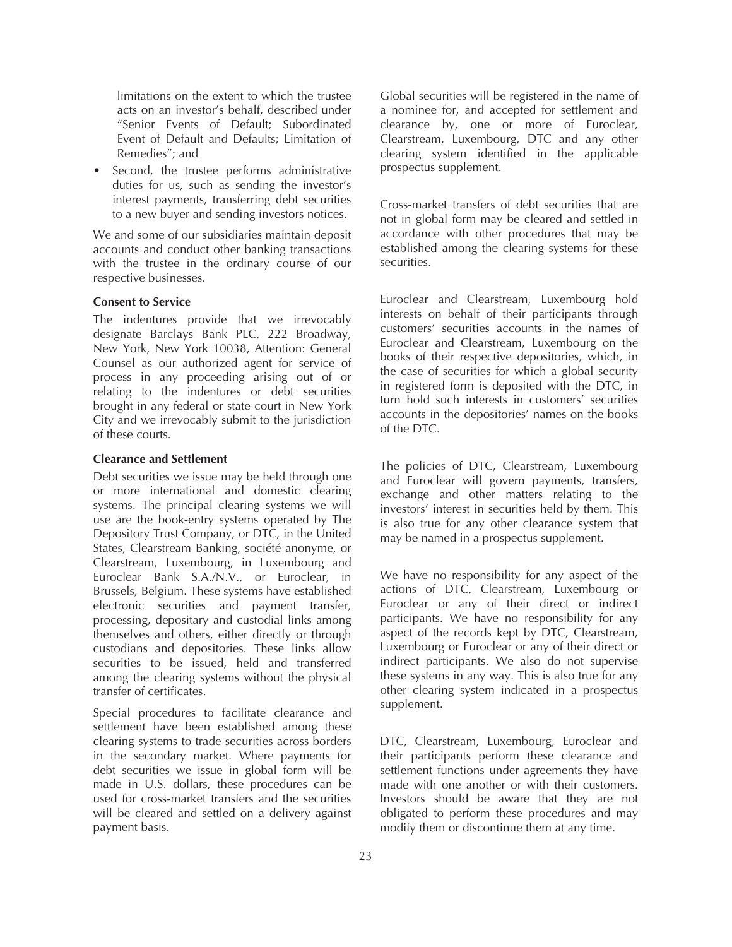limitations on the extent to which the trustee acts on an investor's behalf, described under "Senior Events of Default; Subordinated Event of Default and Defaults; Limitation of Remedies"; and

Second, the trustee performs administrative duties for us, such as sending the investor's interest payments, transferring debt securities to a new buyer and sending investors notices.

We and some of our subsidiaries maintain deposit accounts and conduct other banking transactions with the trustee in the ordinary course of our respective businesses.

# **Consent to Service**

The indentures provide that we irrevocably designate Barclays Bank PLC, 222 Broadway, New York, New York 10038, Attention: General Counsel as our authorized agent for service of process in any proceeding arising out of or relating to the indentures or debt securities brought in any federal or state court in New York City and we irrevocably submit to the jurisdiction of these courts.

#### **Clearance and Settlement**

Debt securities we issue may be held through one or more international and domestic clearing systems. The principal clearing systems we will use are the book-entry systems operated by The Depository Trust Company, or DTC, in the United States, Clearstream Banking, société anonyme, or Clearstream, Luxembourg, in Luxembourg and Euroclear Bank S.A./N.V., or Euroclear, in Brussels, Belgium. These systems have established electronic securities and payment transfer, processing, depositary and custodial links among themselves and others, either directly or through custodians and depositories. These links allow securities to be issued, held and transferred among the clearing systems without the physical transfer of certificates.

Special procedures to facilitate clearance and settlement have been established among these clearing systems to trade securities across borders in the secondary market. Where payments for debt securities we issue in global form will be made in U.S. dollars, these procedures can be used for cross-market transfers and the securities will be cleared and settled on a delivery against payment basis.

Global securities will be registered in the name of a nominee for, and accepted for settlement and clearance by, one or more of Euroclear, Clearstream, Luxembourg, DTC and any other clearing system identified in the applicable prospectus supplement.

Cross-market transfers of debt securities that are not in global form may be cleared and settled in accordance with other procedures that may be established among the clearing systems for these securities.

Euroclear and Clearstream, Luxembourg hold interests on behalf of their participants through customers' securities accounts in the names of Euroclear and Clearstream, Luxembourg on the books of their respective depositories, which, in the case of securities for which a global security in registered form is deposited with the DTC, in turn hold such interests in customers' securities accounts in the depositories' names on the books of the DTC.

The policies of DTC, Clearstream, Luxembourg and Euroclear will govern payments, transfers, exchange and other matters relating to the investors' interest in securities held by them. This is also true for any other clearance system that may be named in a prospectus supplement.

We have no responsibility for any aspect of the actions of DTC, Clearstream, Luxembourg or Euroclear or any of their direct or indirect participants. We have no responsibility for any aspect of the records kept by DTC, Clearstream, Luxembourg or Euroclear or any of their direct or indirect participants. We also do not supervise these systems in any way. This is also true for any other clearing system indicated in a prospectus supplement.

DTC, Clearstream, Luxembourg, Euroclear and their participants perform these clearance and settlement functions under agreements they have made with one another or with their customers. Investors should be aware that they are not obligated to perform these procedures and may modify them or discontinue them at any time.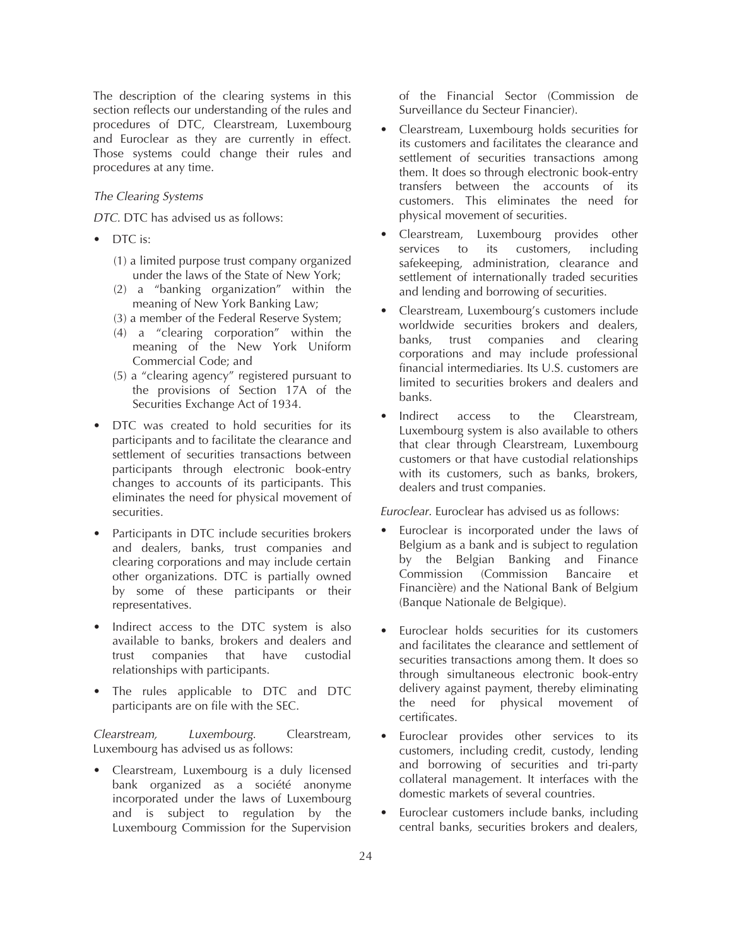The description of the clearing systems in this section reflects our understanding of the rules and procedures of DTC, Clearstream, Luxembourg and Euroclear as they are currently in effect. Those systems could change their rules and procedures at any time.

## *The Clearing Systems*

*DTC.* DTC has advised us as follows:

- DTC is:
	- (1) a limited purpose trust company organized under the laws of the State of New York;
	- (2) a "banking organization" within the meaning of New York Banking Law;
	- (3) a member of the Federal Reserve System;
	- (4) a "clearing corporation" within the meaning of the New York Uniform Commercial Code; and
	- (5) a "clearing agency" registered pursuant to the provisions of Section 17A of the Securities Exchange Act of 1934.
- DTC was created to hold securities for its participants and to facilitate the clearance and settlement of securities transactions between participants through electronic book-entry changes to accounts of its participants. This eliminates the need for physical movement of securities.
- Participants in DTC include securities brokers and dealers, banks, trust companies and clearing corporations and may include certain other organizations. DTC is partially owned by some of these participants or their representatives.
- Indirect access to the DTC system is also available to banks, brokers and dealers and trust companies that have custodial relationships with participants.
- The rules applicable to DTC and DTC participants are on file with the SEC.

*Clearstream, Luxembourg*. Clearstream, Luxembourg has advised us as follows:

• Clearstream, Luxembourg is a duly licensed bank organized as a société anonyme incorporated under the laws of Luxembourg and is subject to regulation by the Luxembourg Commission for the Supervision

of the Financial Sector (Commission de Surveillance du Secteur Financier).

- Clearstream, Luxembourg holds securities for its customers and facilitates the clearance and settlement of securities transactions among them. It does so through electronic book-entry transfers between the accounts of its customers. This eliminates the need for physical movement of securities.
- Clearstream, Luxembourg provides other services to its customers, including safekeeping, administration, clearance and settlement of internationally traded securities and lending and borrowing of securities.
- Clearstream, Luxembourg's customers include worldwide securities brokers and dealers, banks, trust companies and clearing corporations and may include professional financial intermediaries. Its U.S. customers are limited to securities brokers and dealers and banks.
- Indirect access to the Clearstream, Luxembourg system is also available to others that clear through Clearstream, Luxembourg customers or that have custodial relationships with its customers, such as banks, brokers, dealers and trust companies.

*Euroclear.* Euroclear has advised us as follows:

- Euroclear is incorporated under the laws of Belgium as a bank and is subject to regulation by the Belgian Banking and Finance Commission (Commission Bancaire et Financière) and the National Bank of Belgium (Banque Nationale de Belgique).
- Euroclear holds securities for its customers and facilitates the clearance and settlement of securities transactions among them. It does so through simultaneous electronic book-entry delivery against payment, thereby eliminating the need for physical movement of certificates.
- Euroclear provides other services to its customers, including credit, custody, lending and borrowing of securities and tri-party collateral management. It interfaces with the domestic markets of several countries.
- Euroclear customers include banks, including central banks, securities brokers and dealers,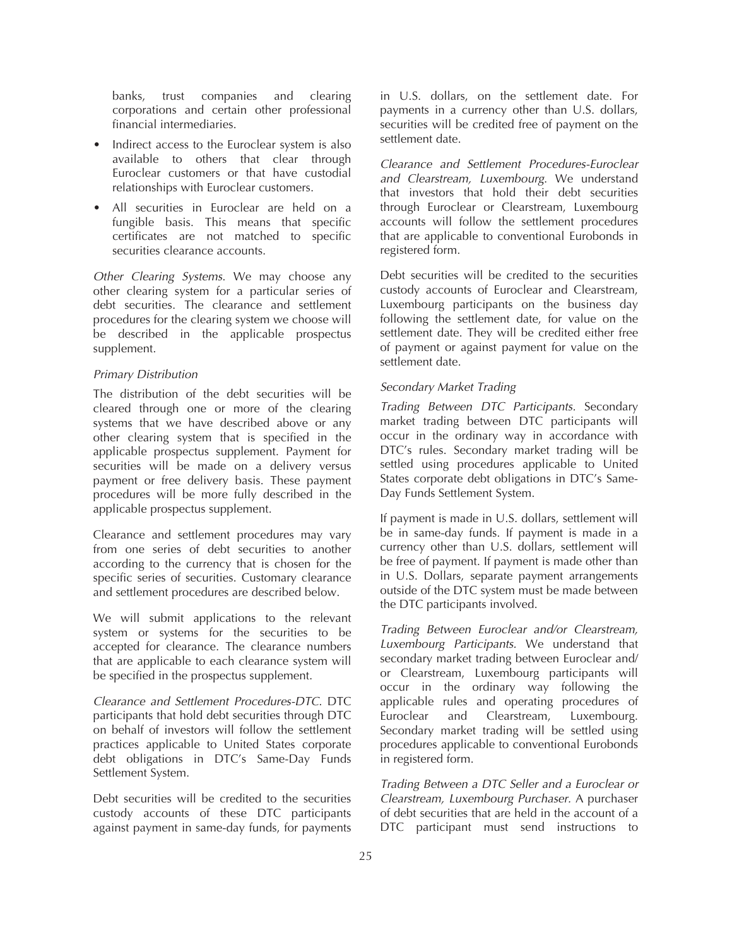banks, trust companies and clearing corporations and certain other professional financial intermediaries.

- Indirect access to the Euroclear system is also available to others that clear through Euroclear customers or that have custodial relationships with Euroclear customers.
- All securities in Euroclear are held on a fungible basis. This means that specific certificates are not matched to specific securities clearance accounts.

*Other Clearing Systems*. We may choose any other clearing system for a particular series of debt securities. The clearance and settlement procedures for the clearing system we choose will be described in the applicable prospectus supplement.

# *Primary Distribution*

The distribution of the debt securities will be cleared through one or more of the clearing systems that we have described above or any other clearing system that is specified in the applicable prospectus supplement. Payment for securities will be made on a delivery versus payment or free delivery basis. These payment procedures will be more fully described in the applicable prospectus supplement.

Clearance and settlement procedures may vary from one series of debt securities to another according to the currency that is chosen for the specific series of securities. Customary clearance and settlement procedures are described below.

We will submit applications to the relevant system or systems for the securities to be accepted for clearance. The clearance numbers that are applicable to each clearance system will be specified in the prospectus supplement.

*Clearance and Settlement Procedures-DTC*. DTC participants that hold debt securities through DTC on behalf of investors will follow the settlement practices applicable to United States corporate debt obligations in DTC's Same-Day Funds Settlement System.

Debt securities will be credited to the securities custody accounts of these DTC participants against payment in same-day funds, for payments

in U.S. dollars, on the settlement date. For payments in a currency other than U.S. dollars, securities will be credited free of payment on the settlement date.

*Clearance and Settlement Procedures-Euroclear and Clearstream, Luxembourg*. We understand that investors that hold their debt securities through Euroclear or Clearstream, Luxembourg accounts will follow the settlement procedures that are applicable to conventional Eurobonds in registered form.

Debt securities will be credited to the securities custody accounts of Euroclear and Clearstream, Luxembourg participants on the business day following the settlement date, for value on the settlement date. They will be credited either free of payment or against payment for value on the settlement date.

## *Secondary Market Trading*

*Trading Between DTC Participants.* Secondary market trading between DTC participants will occur in the ordinary way in accordance with DTC's rules. Secondary market trading will be settled using procedures applicable to United States corporate debt obligations in DTC's Same-Day Funds Settlement System.

If payment is made in U.S. dollars, settlement will be in same-day funds. If payment is made in a currency other than U.S. dollars, settlement will be free of payment. If payment is made other than in U.S. Dollars, separate payment arrangements outside of the DTC system must be made between the DTC participants involved.

*Trading Between Euroclear and/or Clearstream, Luxembourg Participants.* We understand that secondary market trading between Euroclear and/ or Clearstream, Luxembourg participants will occur in the ordinary way following the applicable rules and operating procedures of Euroclear and Clearstream, Luxembourg. Secondary market trading will be settled using procedures applicable to conventional Eurobonds in registered form.

*Trading Between a DTC Seller and a Euroclear or Clearstream, Luxembourg Purchaser.* A purchaser of debt securities that are held in the account of a DTC participant must send instructions to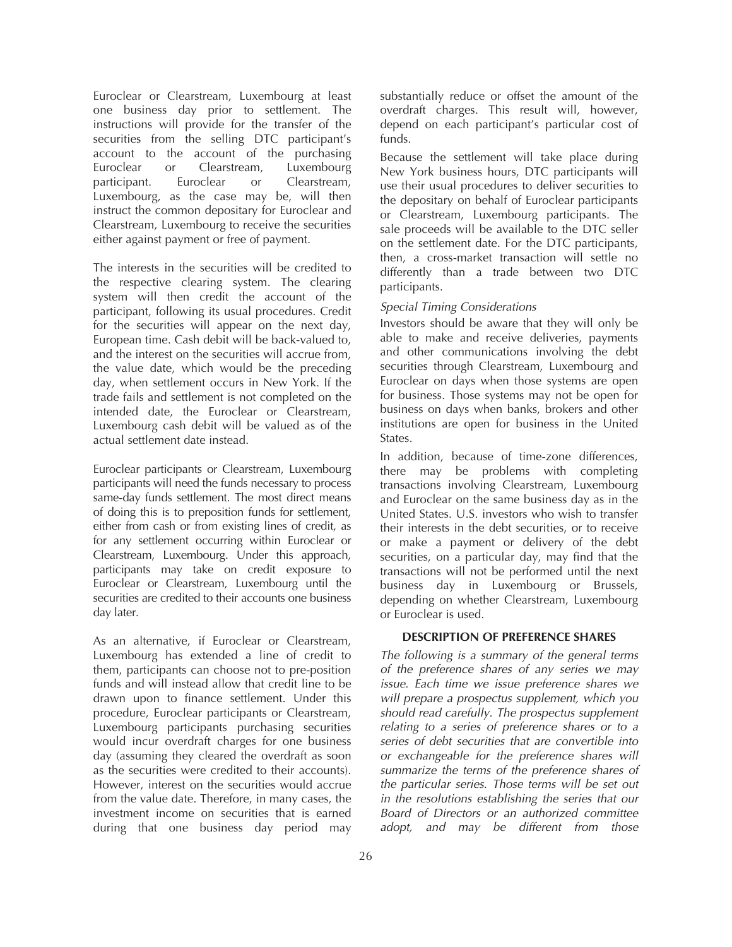Euroclear or Clearstream, Luxembourg at least one business day prior to settlement. The instructions will provide for the transfer of the securities from the selling DTC participant's account to the account of the purchasing Euroclear or Clearstream, Luxembourg participant. Euroclear or Clearstream, Luxembourg, as the case may be, will then instruct the common depositary for Euroclear and Clearstream, Luxembourg to receive the securities either against payment or free of payment.

The interests in the securities will be credited to the respective clearing system. The clearing system will then credit the account of the participant, following its usual procedures. Credit for the securities will appear on the next day, European time. Cash debit will be back-valued to, and the interest on the securities will accrue from, the value date, which would be the preceding day, when settlement occurs in New York. If the trade fails and settlement is not completed on the intended date, the Euroclear or Clearstream, Luxembourg cash debit will be valued as of the actual settlement date instead.

Euroclear participants or Clearstream, Luxembourg participants will need the funds necessary to process same-day funds settlement. The most direct means of doing this is to preposition funds for settlement, either from cash or from existing lines of credit, as for any settlement occurring within Euroclear or Clearstream, Luxembourg. Under this approach, participants may take on credit exposure to Euroclear or Clearstream, Luxembourg until the securities are credited to their accounts one business day later.

As an alternative, if Euroclear or Clearstream, Luxembourg has extended a line of credit to them, participants can choose not to pre-position funds and will instead allow that credit line to be drawn upon to finance settlement. Under this procedure, Euroclear participants or Clearstream, Luxembourg participants purchasing securities would incur overdraft charges for one business day (assuming they cleared the overdraft as soon as the securities were credited to their accounts). However, interest on the securities would accrue from the value date. Therefore, in many cases, the investment income on securities that is earned during that one business day period may

substantially reduce or offset the amount of the overdraft charges. This result will, however, depend on each participant's particular cost of funds.

Because the settlement will take place during New York business hours, DTC participants will use their usual procedures to deliver securities to the depositary on behalf of Euroclear participants or Clearstream, Luxembourg participants. The sale proceeds will be available to the DTC seller on the settlement date. For the DTC participants, then, a cross-market transaction will settle no differently than a trade between two DTC participants.

#### *Special Timing Considerations*

Investors should be aware that they will only be able to make and receive deliveries, payments and other communications involving the debt securities through Clearstream, Luxembourg and Euroclear on days when those systems are open for business. Those systems may not be open for business on days when banks, brokers and other institutions are open for business in the United States.

In addition, because of time-zone differences, there may be problems with completing transactions involving Clearstream, Luxembourg and Euroclear on the same business day as in the United States. U.S. investors who wish to transfer their interests in the debt securities, or to receive or make a payment or delivery of the debt securities, on a particular day, may find that the transactions will not be performed until the next business day in Luxembourg or Brussels, depending on whether Clearstream, Luxembourg or Euroclear is used.

## **DESCRIPTION OF PREFERENCE SHARES**

*The following is a summary of the general terms of the preference shares of any series we may issue. Each time we issue preference shares we will prepare a prospectus supplement, which you should read carefully. The prospectus supplement relating to a series of preference shares or to a series of debt securities that are convertible into or exchangeable for the preference shares will summarize the terms of the preference shares of the particular series. Those terms will be set out in the resolutions establishing the series that our Board of Directors or an authorized committee adopt, and may be different from those*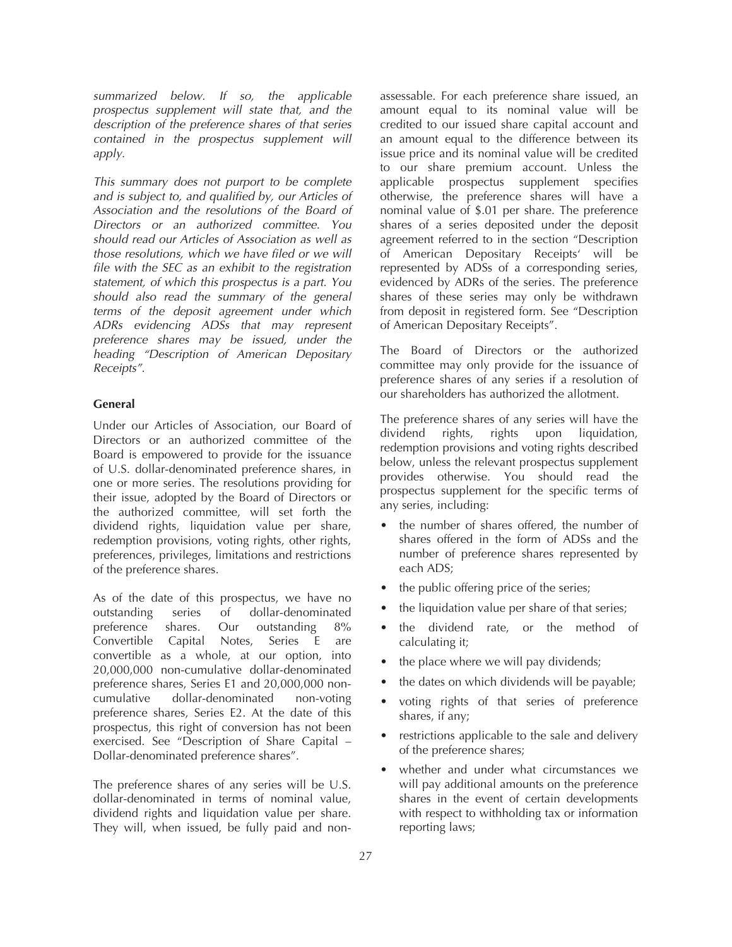*summarized below. If so, the applicable prospectus supplement will state that, and the description of the preference shares of that series contained in the prospectus supplement will apply.*

*This summary does not purport to be complete and is subject to, and qualified by, our Articles of Association and the resolutions of the Board of Directors or an authorized committee. You should read our Articles of Association as well as those resolutions, which we have filed or we will file with the SEC as an exhibit to the registration statement, of which this prospectus is a part. You should also read the summary of the general terms of the deposit agreement under which ADRs evidencing ADSs that may represent preference shares may be issued, under the heading "Description of American Depositary Receipts".*

## **General**

Under our Articles of Association, our Board of Directors or an authorized committee of the Board is empowered to provide for the issuance of U.S. dollar-denominated preference shares, in one or more series. The resolutions providing for their issue, adopted by the Board of Directors or the authorized committee, will set forth the dividend rights, liquidation value per share, redemption provisions, voting rights, other rights, preferences, privileges, limitations and restrictions of the preference shares.

As of the date of this prospectus, we have no outstanding series of dollar-denominated<br>preference shares. Our outstanding 8% shares. Our outstanding  $8\%$ Convertible Capital Notes, Series E are convertible as a whole, at our option, into 20,000,000 non-cumulative dollar-denominated preference shares, Series E1 and 20,000,000 noncumulative dollar-denominated non-voting preference shares, Series E2. At the date of this prospectus, this right of conversion has not been exercised. See "Description of Share Capital – Dollar-denominated preference shares".

The preference shares of any series will be U.S. dollar-denominated in terms of nominal value, dividend rights and liquidation value per share. They will, when issued, be fully paid and nonassessable. For each preference share issued, an amount equal to its nominal value will be credited to our issued share capital account and an amount equal to the difference between its issue price and its nominal value will be credited to our share premium account. Unless the applicable prospectus supplement specifies otherwise, the preference shares will have a nominal value of \$.01 per share. The preference shares of a series deposited under the deposit agreement referred to in the section "Description of American Depositary Receipts' will be represented by ADSs of a corresponding series, evidenced by ADRs of the series. The preference shares of these series may only be withdrawn from deposit in registered form. See "Description of American Depositary Receipts".

The Board of Directors or the authorized committee may only provide for the issuance of preference shares of any series if a resolution of our shareholders has authorized the allotment.

The preference shares of any series will have the dividend rights, rights upon liquidation, redemption provisions and voting rights described below, unless the relevant prospectus supplement provides otherwise. You should read the prospectus supplement for the specific terms of any series, including:

- the number of shares offered, the number of shares offered in the form of ADSs and the number of preference shares represented by each ADS;
- the public offering price of the series;
- the liquidation value per share of that series;
- the dividend rate, or the method of calculating it;
- the place where we will pay dividends;
- the dates on which dividends will be payable;
- voting rights of that series of preference shares, if any;
- restrictions applicable to the sale and delivery of the preference shares;
- whether and under what circumstances we will pay additional amounts on the preference shares in the event of certain developments with respect to withholding tax or information reporting laws;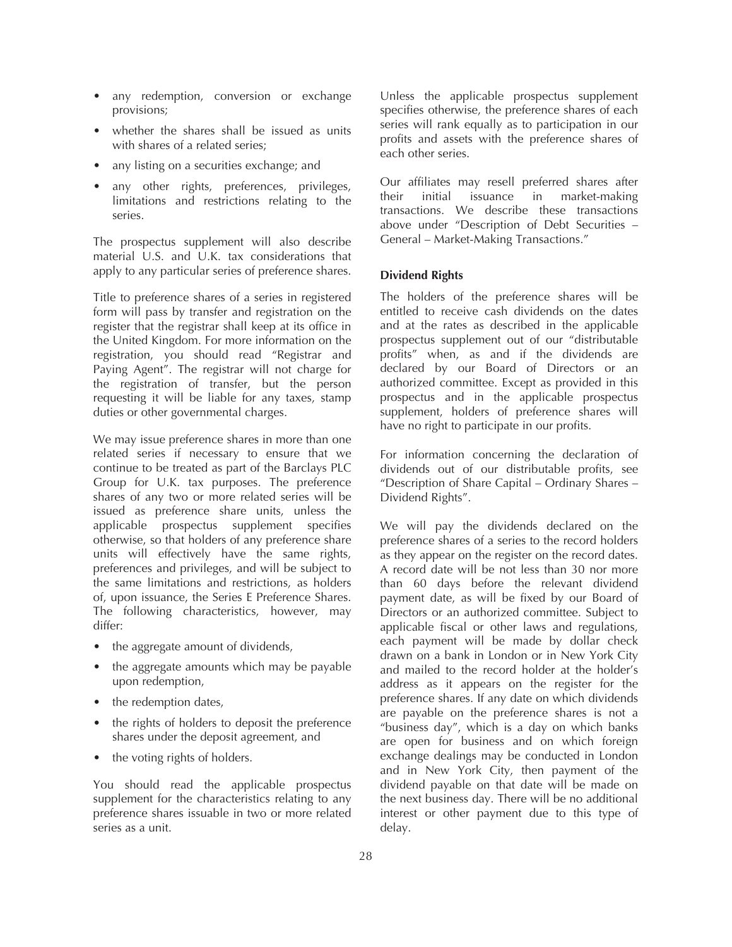- any redemption, conversion or exchange provisions;
- whether the shares shall be issued as units with shares of a related series;
- any listing on a securities exchange; and
- any other rights, preferences, privileges, limitations and restrictions relating to the series.

The prospectus supplement will also describe material U.S. and U.K. tax considerations that apply to any particular series of preference shares.

Title to preference shares of a series in registered form will pass by transfer and registration on the register that the registrar shall keep at its office in the United Kingdom. For more information on the registration, you should read "Registrar and Paying Agent". The registrar will not charge for the registration of transfer, but the person requesting it will be liable for any taxes, stamp duties or other governmental charges.

We may issue preference shares in more than one related series if necessary to ensure that we continue to be treated as part of the Barclays PLC Group for U.K. tax purposes. The preference shares of any two or more related series will be issued as preference share units, unless the applicable prospectus supplement specifies otherwise, so that holders of any preference share units will effectively have the same rights, preferences and privileges, and will be subject to the same limitations and restrictions, as holders of, upon issuance, the Series E Preference Shares. The following characteristics, however, may differ:

- the aggregate amount of dividends,
- the aggregate amounts which may be payable upon redemption,
- the redemption dates,
- the rights of holders to deposit the preference shares under the deposit agreement, and
- the voting rights of holders.

You should read the applicable prospectus supplement for the characteristics relating to any preference shares issuable in two or more related series as a unit.

Unless the applicable prospectus supplement specifies otherwise, the preference shares of each series will rank equally as to participation in our profits and assets with the preference shares of each other series.

Our affiliates may resell preferred shares after their initial issuance in market-making transactions. We describe these transactions above under "Description of Debt Securities – General – Market-Making Transactions."

## **Dividend Rights**

The holders of the preference shares will be entitled to receive cash dividends on the dates and at the rates as described in the applicable prospectus supplement out of our "distributable profits" when, as and if the dividends are declared by our Board of Directors or an authorized committee. Except as provided in this prospectus and in the applicable prospectus supplement, holders of preference shares will have no right to participate in our profits.

For information concerning the declaration of dividends out of our distributable profits, see "Description of Share Capital – Ordinary Shares – Dividend Rights".

We will pay the dividends declared on the preference shares of a series to the record holders as they appear on the register on the record dates. A record date will be not less than 30 nor more than 60 days before the relevant dividend payment date, as will be fixed by our Board of Directors or an authorized committee. Subject to applicable fiscal or other laws and regulations, each payment will be made by dollar check drawn on a bank in London or in New York City and mailed to the record holder at the holder's address as it appears on the register for the preference shares. If any date on which dividends are payable on the preference shares is not a "business day", which is a day on which banks are open for business and on which foreign exchange dealings may be conducted in London and in New York City, then payment of the dividend payable on that date will be made on the next business day. There will be no additional interest or other payment due to this type of delay.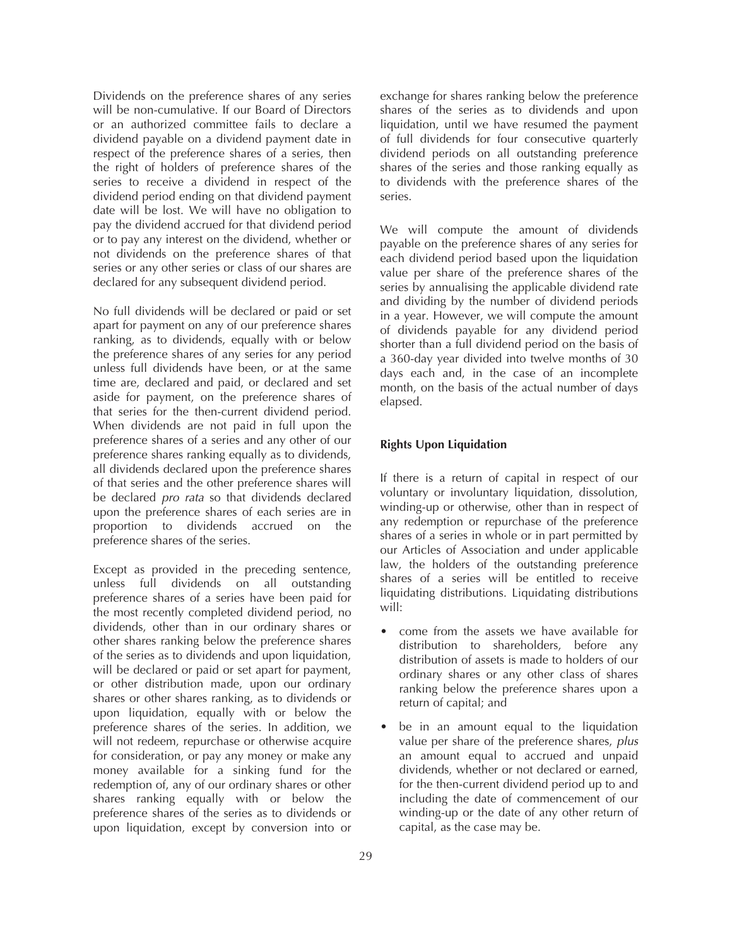Dividends on the preference shares of any series will be non-cumulative. If our Board of Directors or an authorized committee fails to declare a dividend payable on a dividend payment date in respect of the preference shares of a series, then the right of holders of preference shares of the series to receive a dividend in respect of the dividend period ending on that dividend payment date will be lost. We will have no obligation to pay the dividend accrued for that dividend period or to pay any interest on the dividend, whether or not dividends on the preference shares of that series or any other series or class of our shares are declared for any subsequent dividend period.

No full dividends will be declared or paid or set apart for payment on any of our preference shares ranking, as to dividends, equally with or below the preference shares of any series for any period unless full dividends have been, or at the same time are, declared and paid, or declared and set aside for payment, on the preference shares of that series for the then-current dividend period. When dividends are not paid in full upon the preference shares of a series and any other of our preference shares ranking equally as to dividends, all dividends declared upon the preference shares of that series and the other preference shares will be declared *pro rata* so that dividends declared upon the preference shares of each series are in proportion to dividends accrued on the preference shares of the series.

Except as provided in the preceding sentence, unless full dividends on all outstanding preference shares of a series have been paid for the most recently completed dividend period, no dividends, other than in our ordinary shares or other shares ranking below the preference shares of the series as to dividends and upon liquidation, will be declared or paid or set apart for payment, or other distribution made, upon our ordinary shares or other shares ranking, as to dividends or upon liquidation, equally with or below the preference shares of the series. In addition, we will not redeem, repurchase or otherwise acquire for consideration, or pay any money or make any money available for a sinking fund for the redemption of, any of our ordinary shares or other shares ranking equally with or below the preference shares of the series as to dividends or upon liquidation, except by conversion into or

exchange for shares ranking below the preference shares of the series as to dividends and upon liquidation, until we have resumed the payment of full dividends for four consecutive quarterly dividend periods on all outstanding preference shares of the series and those ranking equally as to dividends with the preference shares of the series.

We will compute the amount of dividends payable on the preference shares of any series for each dividend period based upon the liquidation value per share of the preference shares of the series by annualising the applicable dividend rate and dividing by the number of dividend periods in a year. However, we will compute the amount of dividends payable for any dividend period shorter than a full dividend period on the basis of a 360-day year divided into twelve months of 30 days each and, in the case of an incomplete month, on the basis of the actual number of days elapsed.

### **Rights Upon Liquidation**

If there is a return of capital in respect of our voluntary or involuntary liquidation, dissolution, winding-up or otherwise, other than in respect of any redemption or repurchase of the preference shares of a series in whole or in part permitted by our Articles of Association and under applicable law, the holders of the outstanding preference shares of a series will be entitled to receive liquidating distributions. Liquidating distributions will:

- come from the assets we have available for distribution to shareholders, before any distribution of assets is made to holders of our ordinary shares or any other class of shares ranking below the preference shares upon a return of capital; and
- be in an amount equal to the liquidation value per share of the preference shares, *plus* an amount equal to accrued and unpaid dividends, whether or not declared or earned, for the then-current dividend period up to and including the date of commencement of our winding-up or the date of any other return of capital, as the case may be.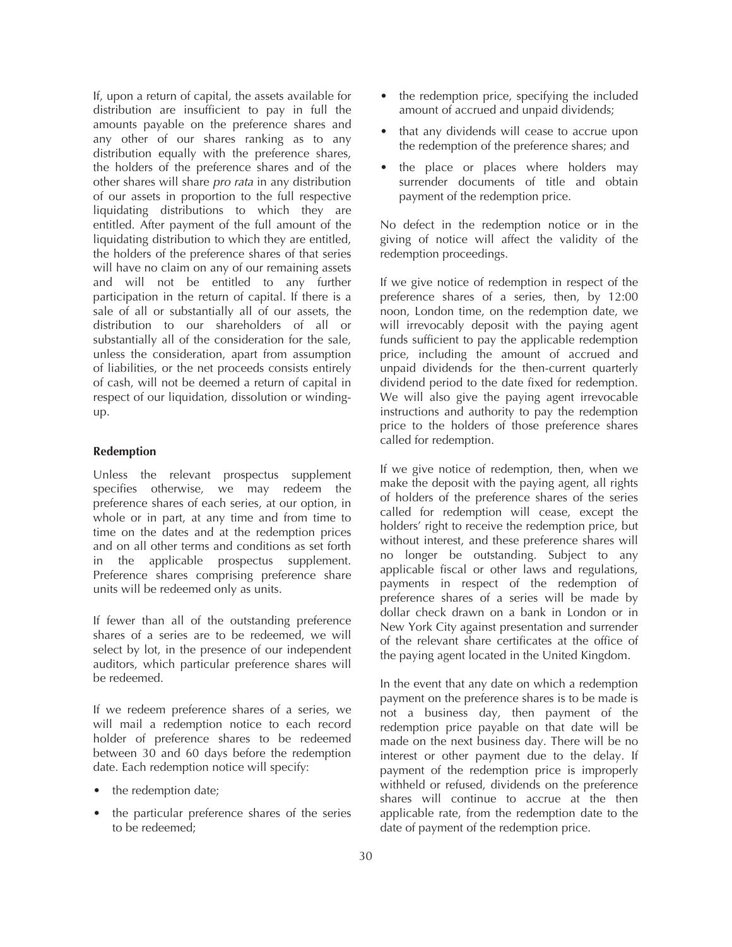If, upon a return of capital, the assets available for distribution are insufficient to pay in full the amounts payable on the preference shares and any other of our shares ranking as to any distribution equally with the preference shares, the holders of the preference shares and of the other shares will share *pro rata* in any distribution of our assets in proportion to the full respective liquidating distributions to which they are entitled. After payment of the full amount of the liquidating distribution to which they are entitled, the holders of the preference shares of that series will have no claim on any of our remaining assets and will not be entitled to any further participation in the return of capital. If there is a sale of all or substantially all of our assets, the distribution to our shareholders of all or substantially all of the consideration for the sale, unless the consideration, apart from assumption of liabilities, or the net proceeds consists entirely of cash, will not be deemed a return of capital in respect of our liquidation, dissolution or windingup.

#### **Redemption**

Unless the relevant prospectus supplement specifies otherwise, we may redeem the preference shares of each series, at our option, in whole or in part, at any time and from time to time on the dates and at the redemption prices and on all other terms and conditions as set forth in the applicable prospectus supplement. Preference shares comprising preference share units will be redeemed only as units.

If fewer than all of the outstanding preference shares of a series are to be redeemed, we will select by lot, in the presence of our independent auditors, which particular preference shares will be redeemed.

If we redeem preference shares of a series, we will mail a redemption notice to each record holder of preference shares to be redeemed between 30 and 60 days before the redemption date. Each redemption notice will specify:

- the redemption date;
- the particular preference shares of the series to be redeemed;
- the redemption price, specifying the included amount of accrued and unpaid dividends;
- that any dividends will cease to accrue upon the redemption of the preference shares; and
- the place or places where holders may surrender documents of title and obtain payment of the redemption price.

No defect in the redemption notice or in the giving of notice will affect the validity of the redemption proceedings.

If we give notice of redemption in respect of the preference shares of a series, then, by 12:00 noon, London time, on the redemption date, we will irrevocably deposit with the paying agent funds sufficient to pay the applicable redemption price, including the amount of accrued and unpaid dividends for the then-current quarterly dividend period to the date fixed for redemption. We will also give the paying agent irrevocable instructions and authority to pay the redemption price to the holders of those preference shares called for redemption.

If we give notice of redemption, then, when we make the deposit with the paying agent, all rights of holders of the preference shares of the series called for redemption will cease, except the holders' right to receive the redemption price, but without interest, and these preference shares will no longer be outstanding. Subject to any applicable fiscal or other laws and regulations, payments in respect of the redemption of preference shares of a series will be made by dollar check drawn on a bank in London or in New York City against presentation and surrender of the relevant share certificates at the office of the paying agent located in the United Kingdom.

In the event that any date on which a redemption payment on the preference shares is to be made is not a business day, then payment of the redemption price payable on that date will be made on the next business day. There will be no interest or other payment due to the delay. If payment of the redemption price is improperly withheld or refused, dividends on the preference shares will continue to accrue at the then applicable rate, from the redemption date to the date of payment of the redemption price.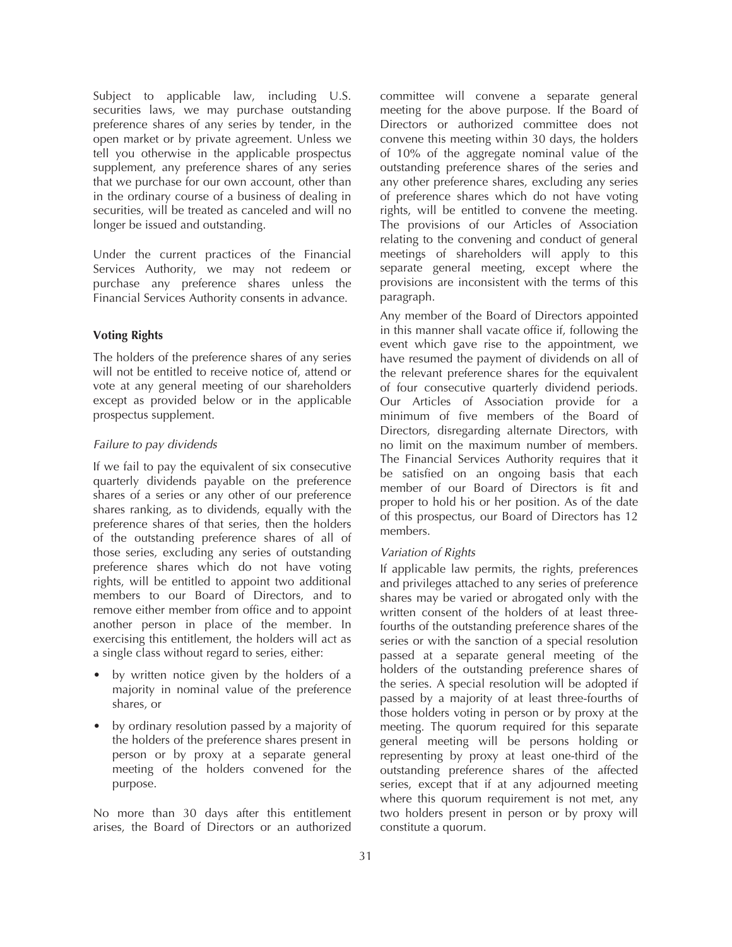Subject to applicable law, including U.S. securities laws, we may purchase outstanding preference shares of any series by tender, in the open market or by private agreement. Unless we tell you otherwise in the applicable prospectus supplement, any preference shares of any series that we purchase for our own account, other than in the ordinary course of a business of dealing in securities, will be treated as canceled and will no longer be issued and outstanding.

Under the current practices of the Financial Services Authority, we may not redeem or purchase any preference shares unless the Financial Services Authority consents in advance.

# **Voting Rights**

The holders of the preference shares of any series will not be entitled to receive notice of, attend or vote at any general meeting of our shareholders except as provided below or in the applicable prospectus supplement.

#### *Failure to pay dividends*

If we fail to pay the equivalent of six consecutive quarterly dividends payable on the preference shares of a series or any other of our preference shares ranking, as to dividends, equally with the preference shares of that series, then the holders of the outstanding preference shares of all of those series, excluding any series of outstanding preference shares which do not have voting rights, will be entitled to appoint two additional members to our Board of Directors, and to remove either member from office and to appoint another person in place of the member. In exercising this entitlement, the holders will act as a single class without regard to series, either:

- by written notice given by the holders of a majority in nominal value of the preference shares, or
- by ordinary resolution passed by a majority of the holders of the preference shares present in person or by proxy at a separate general meeting of the holders convened for the purpose.

No more than 30 days after this entitlement arises, the Board of Directors or an authorized

committee will convene a separate general meeting for the above purpose. If the Board of Directors or authorized committee does not convene this meeting within 30 days, the holders of 10% of the aggregate nominal value of the outstanding preference shares of the series and any other preference shares, excluding any series of preference shares which do not have voting rights, will be entitled to convene the meeting. The provisions of our Articles of Association relating to the convening and conduct of general meetings of shareholders will apply to this separate general meeting, except where the provisions are inconsistent with the terms of this paragraph.

Any member of the Board of Directors appointed in this manner shall vacate office if, following the event which gave rise to the appointment, we have resumed the payment of dividends on all of the relevant preference shares for the equivalent of four consecutive quarterly dividend periods. Our Articles of Association provide for a minimum of five members of the Board of Directors, disregarding alternate Directors, with no limit on the maximum number of members. The Financial Services Authority requires that it be satisfied on an ongoing basis that each member of our Board of Directors is fit and proper to hold his or her position. As of the date of this prospectus, our Board of Directors has 12 members.

### *Variation of Rights*

If applicable law permits, the rights, preferences and privileges attached to any series of preference shares may be varied or abrogated only with the written consent of the holders of at least threefourths of the outstanding preference shares of the series or with the sanction of a special resolution passed at a separate general meeting of the holders of the outstanding preference shares of the series. A special resolution will be adopted if passed by a majority of at least three-fourths of those holders voting in person or by proxy at the meeting. The quorum required for this separate general meeting will be persons holding or representing by proxy at least one-third of the outstanding preference shares of the affected series, except that if at any adjourned meeting where this quorum requirement is not met, any two holders present in person or by proxy will constitute a quorum.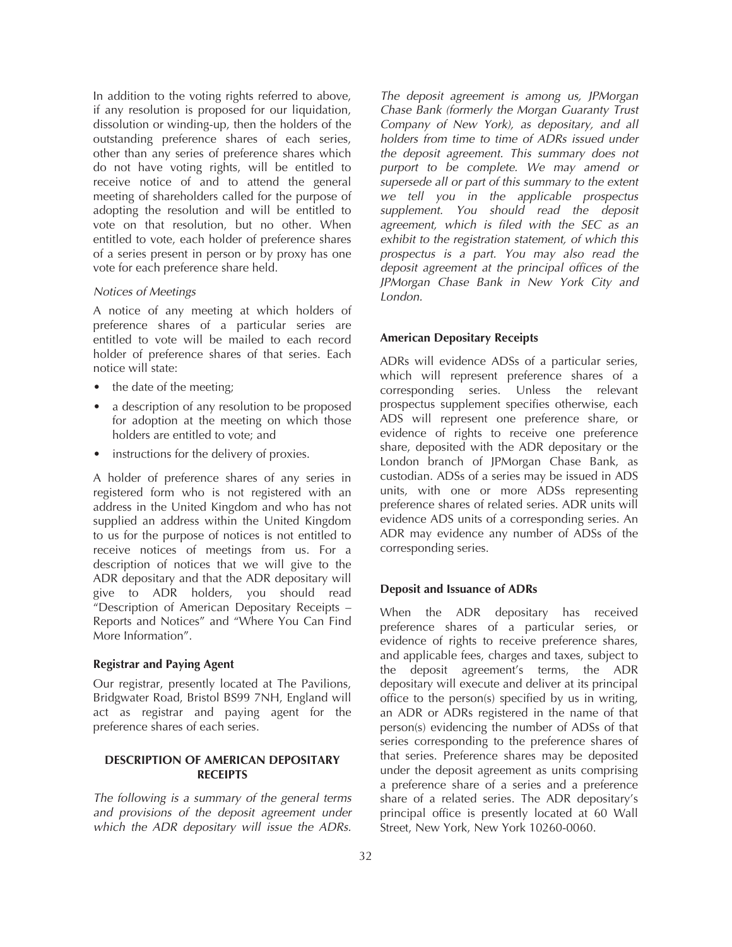In addition to the voting rights referred to above, if any resolution is proposed for our liquidation, dissolution or winding-up, then the holders of the outstanding preference shares of each series, other than any series of preference shares which do not have voting rights, will be entitled to receive notice of and to attend the general meeting of shareholders called for the purpose of adopting the resolution and will be entitled to vote on that resolution, but no other. When entitled to vote, each holder of preference shares of a series present in person or by proxy has one vote for each preference share held.

### *Notices of Meetings*

A notice of any meeting at which holders of preference shares of a particular series are entitled to vote will be mailed to each record holder of preference shares of that series. Each notice will state:

- the date of the meeting;
- a description of any resolution to be proposed for adoption at the meeting on which those holders are entitled to vote; and
- instructions for the delivery of proxies.

A holder of preference shares of any series in registered form who is not registered with an address in the United Kingdom and who has not supplied an address within the United Kingdom to us for the purpose of notices is not entitled to receive notices of meetings from us. For a description of notices that we will give to the ADR depositary and that the ADR depositary will give to ADR holders, you should read "Description of American Depositary Receipts – Reports and Notices" and "Where You Can Find More Information".

#### **Registrar and Paying Agent**

Our registrar, presently located at The Pavilions, Bridgwater Road, Bristol BS99 7NH, England will act as registrar and paying agent for the preference shares of each series.

## **DESCRIPTION OF AMERICAN DEPOSITARY RECEIPTS**

*The following is a summary of the general terms and provisions of the deposit agreement under which the ADR depositary will issue the ADRs.*

*The deposit agreement is among us, JPMorgan Chase Bank (formerly the Morgan Guaranty Trust Company of New York), as depositary, and all holders from time to time of ADRs issued under the deposit agreement. This summary does not purport to be complete. We may amend or supersede all or part of this summary to the extent we tell you in the applicable prospectus supplement. You should read the deposit agreement, which is filed with the SEC as an exhibit to the registration statement, of which this prospectus is a part. You may also read the deposit agreement at the principal offices of the JPMorgan Chase Bank in New York City and London.*

#### **American Depositary Receipts**

ADRs will evidence ADSs of a particular series, which will represent preference shares of a corresponding series. Unless the relevant prospectus supplement specifies otherwise, each ADS will represent one preference share, or evidence of rights to receive one preference share, deposited with the ADR depositary or the London branch of JPMorgan Chase Bank, as custodian. ADSs of a series may be issued in ADS units, with one or more ADSs representing preference shares of related series. ADR units will evidence ADS units of a corresponding series. An ADR may evidence any number of ADSs of the corresponding series.

#### **Deposit and Issuance of ADRs**

When the ADR depositary has received preference shares of a particular series, or evidence of rights to receive preference shares, and applicable fees, charges and taxes, subject to the deposit agreement's terms, the ADR depositary will execute and deliver at its principal office to the person(s) specified by us in writing, an ADR or ADRs registered in the name of that person(s) evidencing the number of ADSs of that series corresponding to the preference shares of that series. Preference shares may be deposited under the deposit agreement as units comprising a preference share of a series and a preference share of a related series. The ADR depositary's principal office is presently located at 60 Wall Street, New York, New York 10260-0060.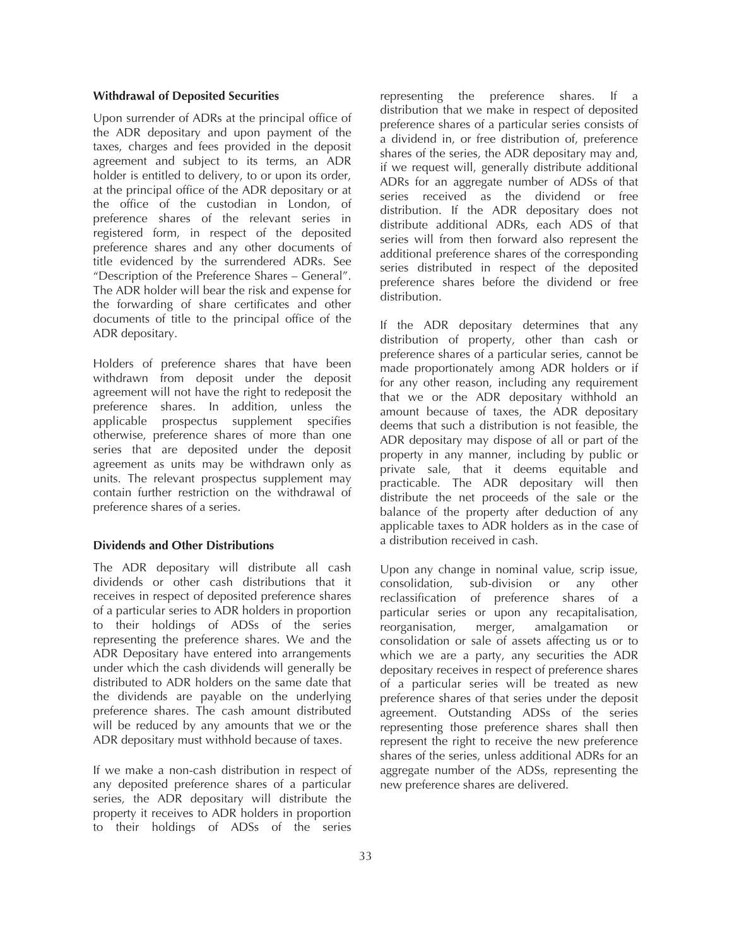### **Withdrawal of Deposited Securities**

Upon surrender of ADRs at the principal office of the ADR depositary and upon payment of the taxes, charges and fees provided in the deposit agreement and subject to its terms, an ADR holder is entitled to delivery, to or upon its order, at the principal office of the ADR depositary or at the office of the custodian in London, of preference shares of the relevant series in registered form, in respect of the deposited preference shares and any other documents of title evidenced by the surrendered ADRs. See "Description of the Preference Shares – General". The ADR holder will bear the risk and expense for the forwarding of share certificates and other documents of title to the principal office of the ADR depositary.

Holders of preference shares that have been withdrawn from deposit under the deposit agreement will not have the right to redeposit the preference shares. In addition, unless the applicable prospectus supplement specifies otherwise, preference shares of more than one series that are deposited under the deposit agreement as units may be withdrawn only as units. The relevant prospectus supplement may contain further restriction on the withdrawal of preference shares of a series.

## **Dividends and Other Distributions**

The ADR depositary will distribute all cash dividends or other cash distributions that it receives in respect of deposited preference shares of a particular series to ADR holders in proportion to their holdings of ADSs of the series representing the preference shares. We and the ADR Depositary have entered into arrangements under which the cash dividends will generally be distributed to ADR holders on the same date that the dividends are payable on the underlying preference shares. The cash amount distributed will be reduced by any amounts that we or the ADR depositary must withhold because of taxes.

If we make a non-cash distribution in respect of any deposited preference shares of a particular series, the ADR depositary will distribute the property it receives to ADR holders in proportion to their holdings of ADSs of the series

representing the preference shares. If a distribution that we make in respect of deposited preference shares of a particular series consists of a dividend in, or free distribution of, preference shares of the series, the ADR depositary may and, if we request will, generally distribute additional ADRs for an aggregate number of ADSs of that series received as the dividend or free distribution. If the ADR depositary does not distribute additional ADRs, each ADS of that series will from then forward also represent the additional preference shares of the corresponding series distributed in respect of the deposited preference shares before the dividend or free distribution.

If the ADR depositary determines that any distribution of property, other than cash or preference shares of a particular series, cannot be made proportionately among ADR holders or if for any other reason, including any requirement that we or the ADR depositary withhold an amount because of taxes, the ADR depositary deems that such a distribution is not feasible, the ADR depositary may dispose of all or part of the property in any manner, including by public or private sale, that it deems equitable and practicable. The ADR depositary will then distribute the net proceeds of the sale or the balance of the property after deduction of any applicable taxes to ADR holders as in the case of a distribution received in cash.

Upon any change in nominal value, scrip issue, consolidation, sub-division or any other reclassification of preference shares of a particular series or upon any recapitalisation, reorganisation, merger, amalgamation or consolidation or sale of assets affecting us or to which we are a party, any securities the ADR depositary receives in respect of preference shares of a particular series will be treated as new preference shares of that series under the deposit agreement. Outstanding ADSs of the series representing those preference shares shall then represent the right to receive the new preference shares of the series, unless additional ADRs for an aggregate number of the ADSs, representing the new preference shares are delivered.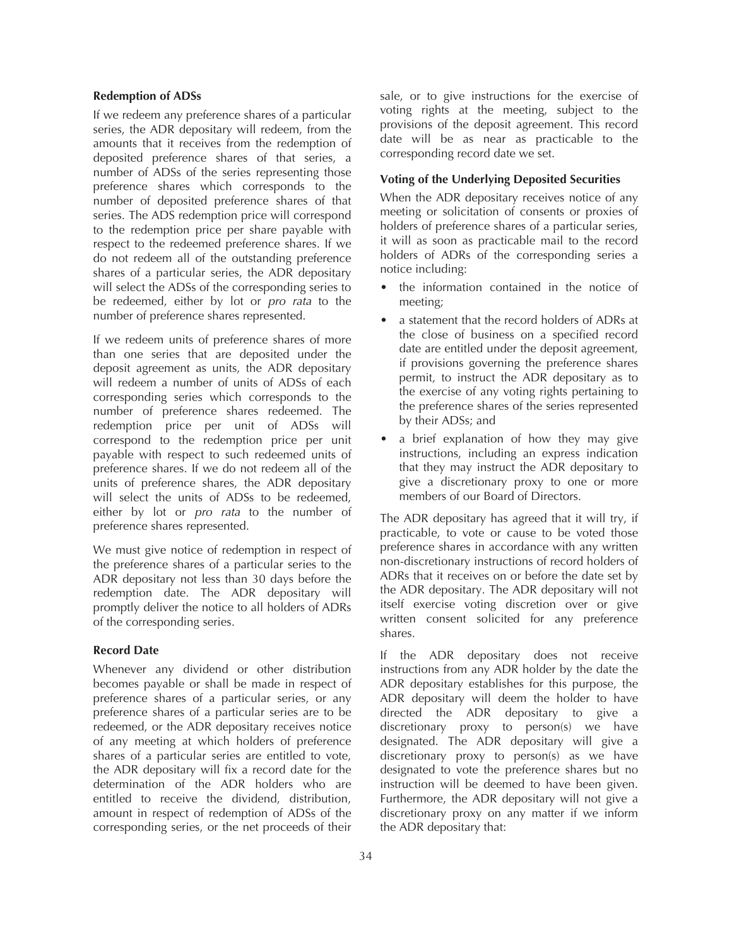### **Redemption of ADSs**

If we redeem any preference shares of a particular series, the ADR depositary will redeem, from the amounts that it receives from the redemption of deposited preference shares of that series, a number of ADSs of the series representing those preference shares which corresponds to the number of deposited preference shares of that series. The ADS redemption price will correspond to the redemption price per share payable with respect to the redeemed preference shares. If we do not redeem all of the outstanding preference shares of a particular series, the ADR depositary will select the ADSs of the corresponding series to be redeemed, either by lot or *pro rata* to the number of preference shares represented.

If we redeem units of preference shares of more than one series that are deposited under the deposit agreement as units, the ADR depositary will redeem a number of units of ADSs of each corresponding series which corresponds to the number of preference shares redeemed. The redemption price per unit of ADSs will correspond to the redemption price per unit payable with respect to such redeemed units of preference shares. If we do not redeem all of the units of preference shares, the ADR depositary will select the units of ADSs to be redeemed, either by lot or *pro rata* to the number of preference shares represented.

We must give notice of redemption in respect of the preference shares of a particular series to the ADR depositary not less than 30 days before the redemption date. The ADR depositary will promptly deliver the notice to all holders of ADRs of the corresponding series.

### **Record Date**

Whenever any dividend or other distribution becomes payable or shall be made in respect of preference shares of a particular series, or any preference shares of a particular series are to be redeemed, or the ADR depositary receives notice of any meeting at which holders of preference shares of a particular series are entitled to vote, the ADR depositary will fix a record date for the determination of the ADR holders who are entitled to receive the dividend, distribution, amount in respect of redemption of ADSs of the corresponding series, or the net proceeds of their

sale, or to give instructions for the exercise of voting rights at the meeting, subject to the provisions of the deposit agreement. This record date will be as near as practicable to the corresponding record date we set.

### **Voting of the Underlying Deposited Securities**

When the ADR depositary receives notice of any meeting or solicitation of consents or proxies of holders of preference shares of a particular series, it will as soon as practicable mail to the record holders of ADRs of the corresponding series a notice including:

- the information contained in the notice of meeting;
- a statement that the record holders of ADRs at the close of business on a specified record date are entitled under the deposit agreement, if provisions governing the preference shares permit, to instruct the ADR depositary as to the exercise of any voting rights pertaining to the preference shares of the series represented by their ADSs; and
- a brief explanation of how they may give instructions, including an express indication that they may instruct the ADR depositary to give a discretionary proxy to one or more members of our Board of Directors.

The ADR depositary has agreed that it will try, if practicable, to vote or cause to be voted those preference shares in accordance with any written non-discretionary instructions of record holders of ADRs that it receives on or before the date set by the ADR depositary. The ADR depositary will not itself exercise voting discretion over or give written consent solicited for any preference shares.

If the ADR depositary does not receive instructions from any ADR holder by the date the ADR depositary establishes for this purpose, the ADR depositary will deem the holder to have directed the ADR depositary to give a discretionary proxy to person(s) we have designated. The ADR depositary will give a discretionary proxy to person(s) as we have designated to vote the preference shares but no instruction will be deemed to have been given. Furthermore, the ADR depositary will not give a discretionary proxy on any matter if we inform the ADR depositary that: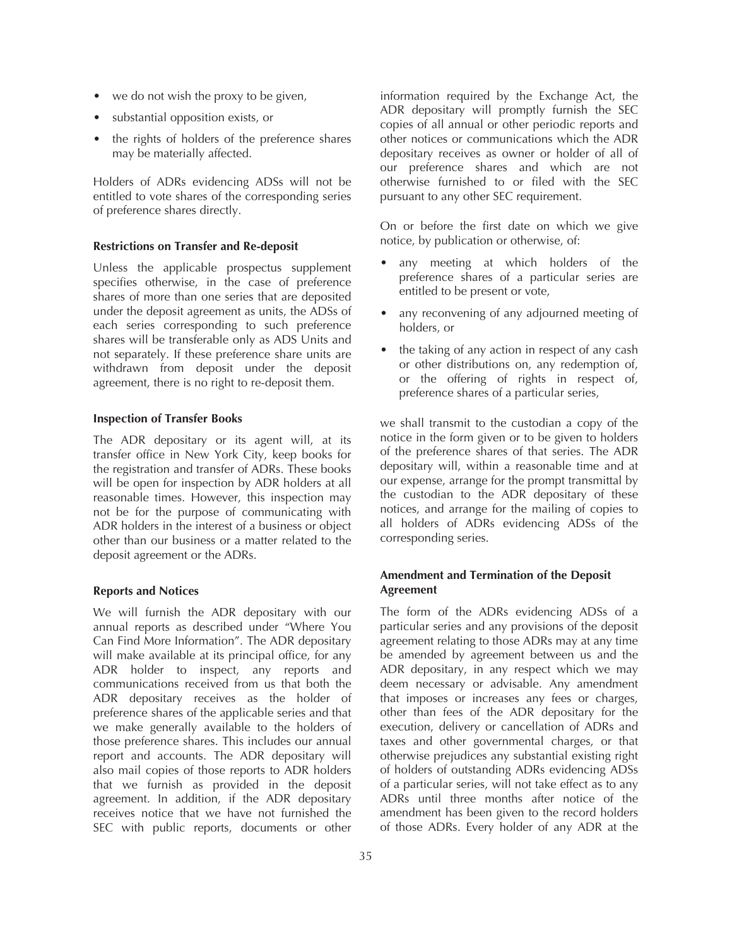- we do not wish the proxy to be given,
- substantial opposition exists, or
- the rights of holders of the preference shares may be materially affected.

Holders of ADRs evidencing ADSs will not be entitled to vote shares of the corresponding series of preference shares directly.

### **Restrictions on Transfer and Re-deposit**

Unless the applicable prospectus supplement specifies otherwise, in the case of preference shares of more than one series that are deposited under the deposit agreement as units, the ADSs of each series corresponding to such preference shares will be transferable only as ADS Units and not separately. If these preference share units are withdrawn from deposit under the deposit agreement, there is no right to re-deposit them.

### **Inspection of Transfer Books**

The ADR depositary or its agent will, at its transfer office in New York City, keep books for the registration and transfer of ADRs. These books will be open for inspection by ADR holders at all reasonable times. However, this inspection may not be for the purpose of communicating with ADR holders in the interest of a business or object other than our business or a matter related to the deposit agreement or the ADRs.

### **Reports and Notices**

We will furnish the ADR depositary with our annual reports as described under "Where You Can Find More Information". The ADR depositary will make available at its principal office, for any ADR holder to inspect, any reports and communications received from us that both the ADR depositary receives as the holder of preference shares of the applicable series and that we make generally available to the holders of those preference shares. This includes our annual report and accounts. The ADR depositary will also mail copies of those reports to ADR holders that we furnish as provided in the deposit agreement. In addition, if the ADR depositary receives notice that we have not furnished the SEC with public reports, documents or other

information required by the Exchange Act, the ADR depositary will promptly furnish the SEC copies of all annual or other periodic reports and other notices or communications which the ADR depositary receives as owner or holder of all of our preference shares and which are not otherwise furnished to or filed with the SEC pursuant to any other SEC requirement.

On or before the first date on which we give notice, by publication or otherwise, of:

- any meeting at which holders of the preference shares of a particular series are entitled to be present or vote,
- any reconvening of any adjourned meeting of holders, or
- the taking of any action in respect of any cash or other distributions on, any redemption of, or the offering of rights in respect of, preference shares of a particular series,

we shall transmit to the custodian a copy of the notice in the form given or to be given to holders of the preference shares of that series. The ADR depositary will, within a reasonable time and at our expense, arrange for the prompt transmittal by the custodian to the ADR depositary of these notices, and arrange for the mailing of copies to all holders of ADRs evidencing ADSs of the corresponding series.

# **Amendment and Termination of the Deposit Agreement**

The form of the ADRs evidencing ADSs of a particular series and any provisions of the deposit agreement relating to those ADRs may at any time be amended by agreement between us and the ADR depositary, in any respect which we may deem necessary or advisable. Any amendment that imposes or increases any fees or charges, other than fees of the ADR depositary for the execution, delivery or cancellation of ADRs and taxes and other governmental charges, or that otherwise prejudices any substantial existing right of holders of outstanding ADRs evidencing ADSs of a particular series, will not take effect as to any ADRs until three months after notice of the amendment has been given to the record holders of those ADRs. Every holder of any ADR at the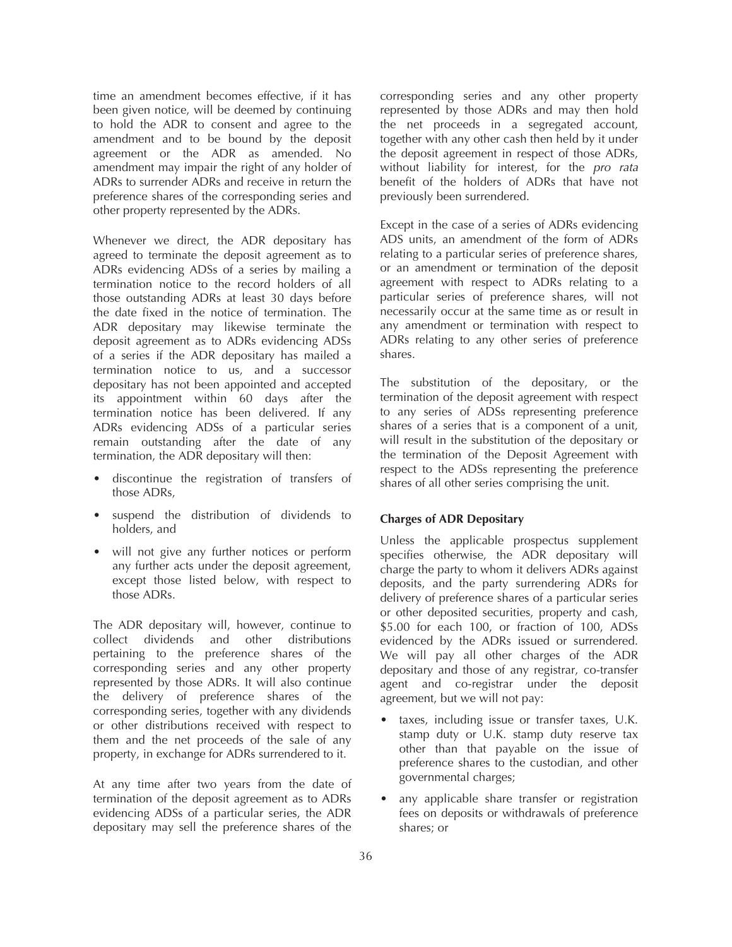time an amendment becomes effective, if it has been given notice, will be deemed by continuing to hold the ADR to consent and agree to the amendment and to be bound by the deposit agreement or the ADR as amended. No amendment may impair the right of any holder of ADRs to surrender ADRs and receive in return the preference shares of the corresponding series and other property represented by the ADRs.

Whenever we direct, the ADR depositary has agreed to terminate the deposit agreement as to ADRs evidencing ADSs of a series by mailing a termination notice to the record holders of all those outstanding ADRs at least 30 days before the date fixed in the notice of termination. The ADR depositary may likewise terminate the deposit agreement as to ADRs evidencing ADSs of a series if the ADR depositary has mailed a termination notice to us, and a successor depositary has not been appointed and accepted its appointment within 60 days after the termination notice has been delivered. If any ADRs evidencing ADSs of a particular series remain outstanding after the date of any termination, the ADR depositary will then:

- discontinue the registration of transfers of those ADRs,
- suspend the distribution of dividends to holders, and
- will not give any further notices or perform any further acts under the deposit agreement, except those listed below, with respect to those ADRs.

The ADR depositary will, however, continue to collect dividends and other distributions pertaining to the preference shares of the corresponding series and any other property represented by those ADRs. It will also continue the delivery of preference shares of the corresponding series, together with any dividends or other distributions received with respect to them and the net proceeds of the sale of any property, in exchange for ADRs surrendered to it.

At any time after two years from the date of termination of the deposit agreement as to ADRs evidencing ADSs of a particular series, the ADR depositary may sell the preference shares of the

corresponding series and any other property represented by those ADRs and may then hold the net proceeds in a segregated account, together with any other cash then held by it under the deposit agreement in respect of those ADRs, without liability for interest, for the *pro rata* benefit of the holders of ADRs that have not previously been surrendered.

Except in the case of a series of ADRs evidencing ADS units, an amendment of the form of ADRs relating to a particular series of preference shares, or an amendment or termination of the deposit agreement with respect to ADRs relating to a particular series of preference shares, will not necessarily occur at the same time as or result in any amendment or termination with respect to ADRs relating to any other series of preference shares.

The substitution of the depositary, or the termination of the deposit agreement with respect to any series of ADSs representing preference shares of a series that is a component of a unit, will result in the substitution of the depositary or the termination of the Deposit Agreement with respect to the ADSs representing the preference shares of all other series comprising the unit.

# **Charges of ADR Depositary**

Unless the applicable prospectus supplement specifies otherwise, the ADR depositary will charge the party to whom it delivers ADRs against deposits, and the party surrendering ADRs for delivery of preference shares of a particular series or other deposited securities, property and cash, \$5.00 for each 100, or fraction of 100, ADSs evidenced by the ADRs issued or surrendered. We will pay all other charges of the ADR depositary and those of any registrar, co-transfer agent and co-registrar under the deposit agreement, but we will not pay:

- taxes, including issue or transfer taxes, U.K. stamp duty or U.K. stamp duty reserve tax other than that payable on the issue of preference shares to the custodian, and other governmental charges;
- any applicable share transfer or registration fees on deposits or withdrawals of preference shares; or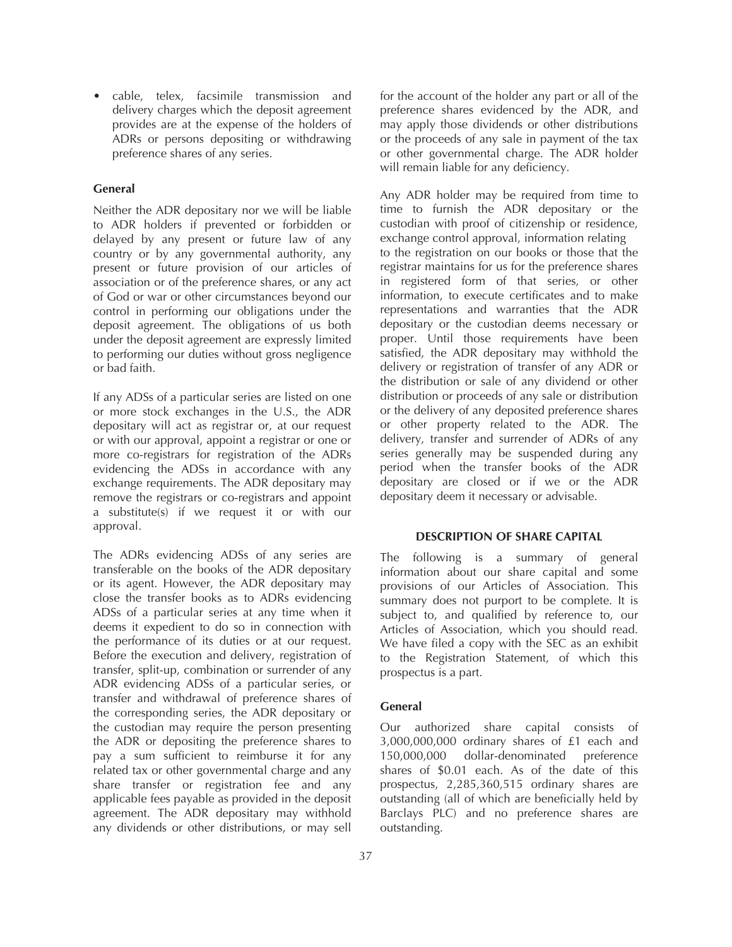• cable, telex, facsimile transmission and delivery charges which the deposit agreement provides are at the expense of the holders of ADRs or persons depositing or withdrawing preference shares of any series.

### **General**

Neither the ADR depositary nor we will be liable to ADR holders if prevented or forbidden or delayed by any present or future law of any country or by any governmental authority, any present or future provision of our articles of association or of the preference shares, or any act of God or war or other circumstances beyond our control in performing our obligations under the deposit agreement. The obligations of us both under the deposit agreement are expressly limited to performing our duties without gross negligence or bad faith.

If any ADSs of a particular series are listed on one or more stock exchanges in the U.S., the ADR depositary will act as registrar or, at our request or with our approval, appoint a registrar or one or more co-registrars for registration of the ADRs evidencing the ADSs in accordance with any exchange requirements. The ADR depositary may remove the registrars or co-registrars and appoint a substitute(s) if we request it or with our approval.

The ADRs evidencing ADSs of any series are transferable on the books of the ADR depositary or its agent. However, the ADR depositary may close the transfer books as to ADRs evidencing ADSs of a particular series at any time when it deems it expedient to do so in connection with the performance of its duties or at our request. Before the execution and delivery, registration of transfer, split-up, combination or surrender of any ADR evidencing ADSs of a particular series, or transfer and withdrawal of preference shares of the corresponding series, the ADR depositary or the custodian may require the person presenting the ADR or depositing the preference shares to pay a sum sufficient to reimburse it for any related tax or other governmental charge and any share transfer or registration fee and any applicable fees payable as provided in the deposit agreement. The ADR depositary may withhold any dividends or other distributions, or may sell

for the account of the holder any part or all of the preference shares evidenced by the ADR, and may apply those dividends or other distributions or the proceeds of any sale in payment of the tax or other governmental charge. The ADR holder will remain liable for any deficiency.

Any ADR holder may be required from time to time to furnish the ADR depositary or the custodian with proof of citizenship or residence, exchange control approval, information relating to the registration on our books or those that the registrar maintains for us for the preference shares in registered form of that series, or other information, to execute certificates and to make representations and warranties that the ADR depositary or the custodian deems necessary or proper. Until those requirements have been satisfied, the ADR depositary may withhold the delivery or registration of transfer of any ADR or the distribution or sale of any dividend or other distribution or proceeds of any sale or distribution or the delivery of any deposited preference shares or other property related to the ADR. The delivery, transfer and surrender of ADRs of any series generally may be suspended during any period when the transfer books of the ADR depositary are closed or if we or the ADR depositary deem it necessary or advisable.

#### **DESCRIPTION OF SHARE CAPITAL**

The following is a summary of general information about our share capital and some provisions of our Articles of Association. This summary does not purport to be complete. It is subject to, and qualified by reference to, our Articles of Association, which you should read. We have filed a copy with the SEC as an exhibit to the Registration Statement, of which this prospectus is a part.

### **General**

Our authorized share capital consists of 3,000,000,000 ordinary shares of £1 each and 150,000,000 dollar-denominated preference shares of \$0.01 each. As of the date of this prospectus, 2,285,360,515 ordinary shares are outstanding (all of which are beneficially held by Barclays PLC) and no preference shares are outstanding.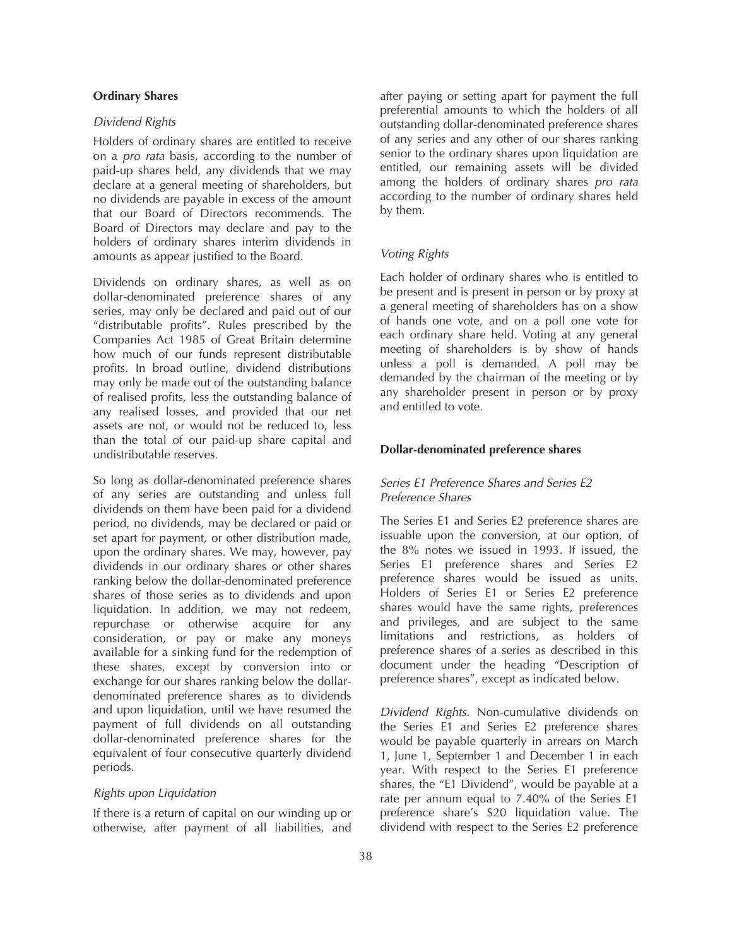#### **Ordinary Shares**

## *Dividend Rights*

Holders of ordinary shares are entitled to receive on a *pro rata* basis, according to the number of paid-up shares held, any dividends that we may declare at a general meeting of shareholders, but no dividends are payable in excess of the amount that our Board of Directors recommends. The Board of Directors may declare and pay to the holders of ordinary shares interim dividends in amounts as appear justified to the Board.

Dividends on ordinary shares, as well as on dollar-denominated preference shares of any series, may only be declared and paid out of our "distributable profits". Rules prescribed by the Companies Act 1985 of Great Britain determine how much of our funds represent distributable profits. In broad outline, dividend distributions may only be made out of the outstanding balance of realised profits, less the outstanding balance of any realised losses, and provided that our net assets are not, or would not be reduced to, less than the total of our paid-up share capital and undistributable reserves.

So long as dollar-denominated preference shares of any series are outstanding and unless full dividends on them have been paid for a dividend period, no dividends, may be declared or paid or set apart for payment, or other distribution made, upon the ordinary shares. We may, however, pay dividends in our ordinary shares or other shares ranking below the dollar-denominated preference shares of those series as to dividends and upon liquidation. In addition, we may not redeem, repurchase or otherwise acquire for any consideration, or pay or make any moneys available for a sinking fund for the redemption of these shares, except by conversion into or exchange for our shares ranking below the dollardenominated preference shares as to dividends and upon liquidation, until we have resumed the payment of full dividends on all outstanding dollar-denominated preference shares for the equivalent of four consecutive quarterly dividend periods.

### *Rights upon Liquidation*

If there is a return of capital on our winding up or otherwise, after payment of all liabilities, and

after paying or setting apart for payment the full preferential amounts to which the holders of all outstanding dollar-denominated preference shares of any series and any other of our shares ranking senior to the ordinary shares upon liquidation are entitled, our remaining assets will be divided among the holders of ordinary shares *pro rata* according to the number of ordinary shares held by them.

### *Voting Rights*

Each holder of ordinary shares who is entitled to be present and is present in person or by proxy at a general meeting of shareholders has on a show of hands one vote, and on a poll one vote for each ordinary share held. Voting at any general meeting of shareholders is by show of hands unless a poll is demanded. A poll may be demanded by the chairman of the meeting or by any shareholder present in person or by proxy and entitled to vote.

## **Dollar-denominated preference shares**

# *Series E1 Preference Shares and Series E2 Preference Shares*

The Series E1 and Series E2 preference shares are issuable upon the conversion, at our option, of the 8% notes we issued in 1993. If issued, the Series E1 preference shares and Series E2 preference shares would be issued as units. Holders of Series E1 or Series E2 preference shares would have the same rights, preferences and privileges, and are subject to the same limitations and restrictions, as holders of preference shares of a series as described in this document under the heading "Description of preference shares", except as indicated below.

*Dividend Rights.* Non-cumulative dividends on the Series E1 and Series E2 preference shares would be payable quarterly in arrears on March 1, June 1, September 1 and December 1 in each year. With respect to the Series E1 preference shares, the "E1 Dividend", would be payable at a rate per annum equal to 7.40% of the Series E1 preference share's \$20 liquidation value. The dividend with respect to the Series E2 preference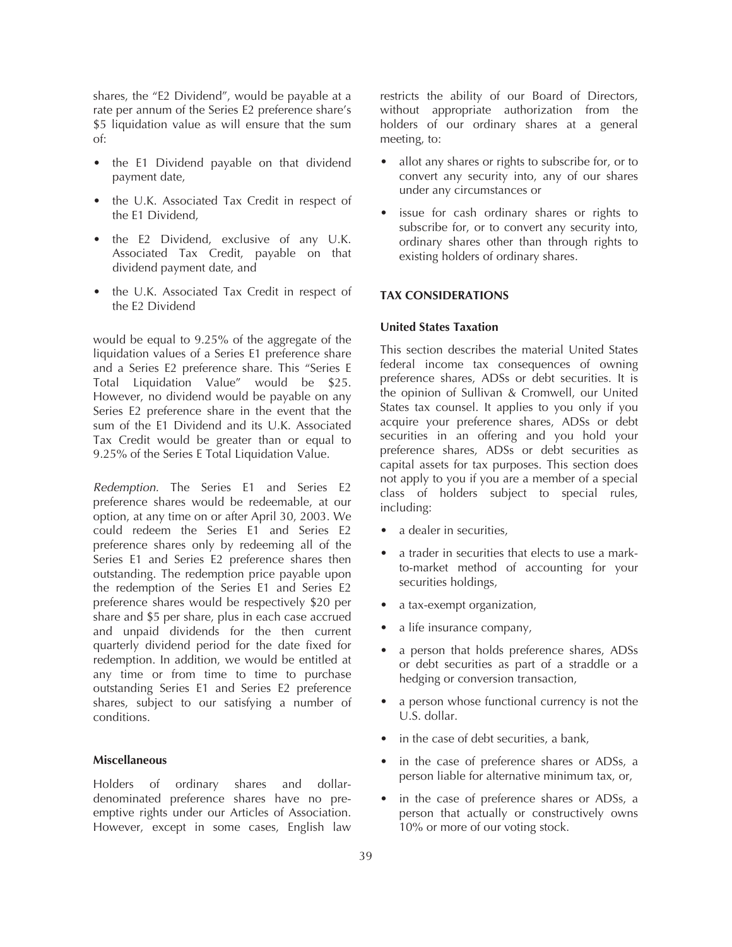shares, the "E2 Dividend", would be payable at a rate per annum of the Series E2 preference share's \$5 liquidation value as will ensure that the sum of:

- the E1 Dividend payable on that dividend payment date,
- the U.K. Associated Tax Credit in respect of the E1 Dividend,
- the E2 Dividend, exclusive of any U.K. Associated Tax Credit, payable on that dividend payment date, and
- the U.K. Associated Tax Credit in respect of the E2 Dividend

would be equal to 9.25% of the aggregate of the liquidation values of a Series E1 preference share and a Series E2 preference share. This "Series E Total Liquidation Value" would be \$25. However, no dividend would be payable on any Series E2 preference share in the event that the sum of the E1 Dividend and its U.K. Associated Tax Credit would be greater than or equal to 9.25% of the Series E Total Liquidation Value.

*Redemption.* The Series E1 and Series E2 preference shares would be redeemable, at our option, at any time on or after April 30, 2003. We could redeem the Series E1 and Series E2 preference shares only by redeeming all of the Series E1 and Series E2 preference shares then outstanding. The redemption price payable upon the redemption of the Series E1 and Series E2 preference shares would be respectively \$20 per share and \$5 per share, plus in each case accrued and unpaid dividends for the then current quarterly dividend period for the date fixed for redemption. In addition, we would be entitled at any time or from time to time to purchase outstanding Series E1 and Series E2 preference shares, subject to our satisfying a number of conditions.

#### **Miscellaneous**

Holders of ordinary shares and dollardenominated preference shares have no preemptive rights under our Articles of Association. However, except in some cases, English law

restricts the ability of our Board of Directors, without appropriate authorization from the holders of our ordinary shares at a general meeting, to:

- allot any shares or rights to subscribe for, or to convert any security into, any of our shares under any circumstances or
- issue for cash ordinary shares or rights to subscribe for, or to convert any security into, ordinary shares other than through rights to existing holders of ordinary shares.

### **TAX CONSIDERATIONS**

#### **United States Taxation**

This section describes the material United States federal income tax consequences of owning preference shares, ADSs or debt securities. It is the opinion of Sullivan & Cromwell, our United States tax counsel. It applies to you only if you acquire your preference shares, ADSs or debt securities in an offering and you hold your preference shares, ADSs or debt securities as capital assets for tax purposes. This section does not apply to you if you are a member of a special class of holders subject to special rules, including:

- a dealer in securities.
- a trader in securities that elects to use a markto-market method of accounting for your securities holdings,
- a tax-exempt organization,
- a life insurance company,
- a person that holds preference shares, ADSs or debt securities as part of a straddle or a hedging or conversion transaction,
- a person whose functional currency is not the U.S. dollar.
- in the case of debt securities, a bank,
- in the case of preference shares or ADSs, a person liable for alternative minimum tax, or,
- in the case of preference shares or ADSs, a person that actually or constructively owns 10% or more of our voting stock.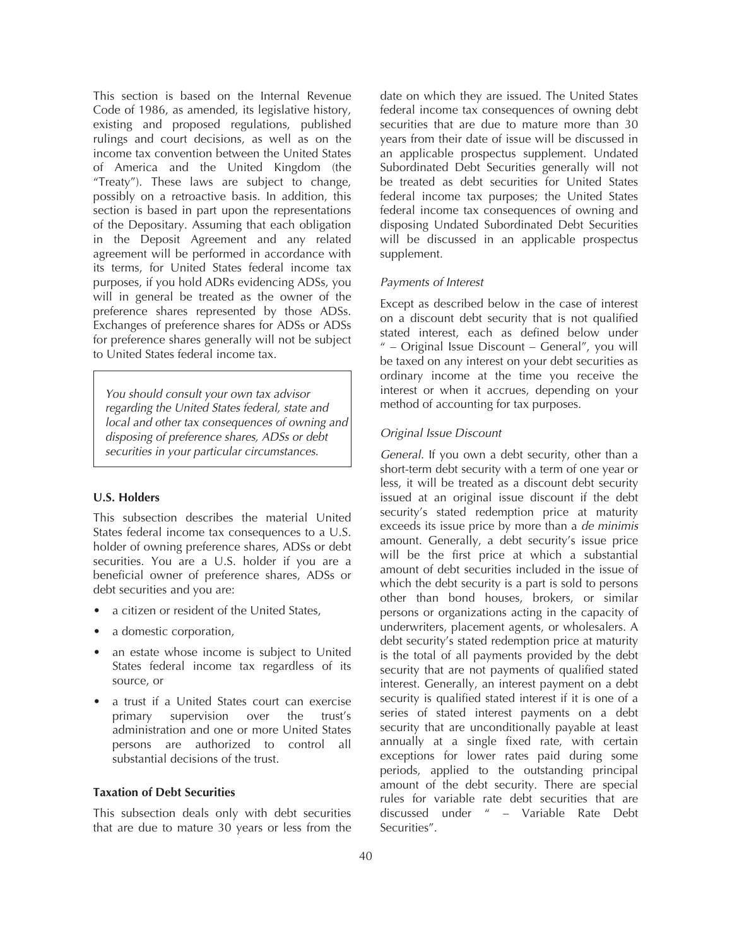This section is based on the Internal Revenue Code of 1986, as amended, its legislative history, existing and proposed regulations, published rulings and court decisions, as well as on the income tax convention between the United States of America and the United Kingdom (the "Treaty"). These laws are subject to change, possibly on a retroactive basis. In addition, this section is based in part upon the representations of the Depositary. Assuming that each obligation in the Deposit Agreement and any related agreement will be performed in accordance with its terms, for United States federal income tax purposes, if you hold ADRs evidencing ADSs, you will in general be treated as the owner of the preference shares represented by those ADSs. Exchanges of preference shares for ADSs or ADSs for preference shares generally will not be subject to United States federal income tax.

*You should consult your own tax advisor regarding the United States federal, state and local and other tax consequences of owning and disposing of preference shares, ADSs or debt securities in your particular circumstances.*

# **U.S. Holders**

This subsection describes the material United States federal income tax consequences to a U.S. holder of owning preference shares, ADSs or debt securities. You are a U.S. holder if you are a beneficial owner of preference shares, ADSs or debt securities and you are:

- a citizen or resident of the United States,
- a domestic corporation,
- an estate whose income is subject to United States federal income tax regardless of its source, or
- a trust if a United States court can exercise primary supervision over the trust's administration and one or more United States persons are authorized to control all substantial decisions of the trust.

#### **Taxation of Debt Securities**

This subsection deals only with debt securities that are due to mature 30 years or less from the

date on which they are issued. The United States federal income tax consequences of owning debt securities that are due to mature more than 30 years from their date of issue will be discussed in an applicable prospectus supplement. Undated Subordinated Debt Securities generally will not be treated as debt securities for United States federal income tax purposes; the United States federal income tax consequences of owning and disposing Undated Subordinated Debt Securities will be discussed in an applicable prospectus supplement.

### *Payments of Interest*

Except as described below in the case of interest on a discount debt security that is not qualified stated interest, each as defined below under " – Original Issue Discount – General", you will be taxed on any interest on your debt securities as ordinary income at the time you receive the interest or when it accrues, depending on your method of accounting for tax purposes.

## *Original Issue Discount*

*General.* If you own a debt security, other than a short-term debt security with a term of one year or less, it will be treated as a discount debt security issued at an original issue discount if the debt security's stated redemption price at maturity exceeds its issue price by more than a *de minimis* amount. Generally, a debt security's issue price will be the first price at which a substantial amount of debt securities included in the issue of which the debt security is a part is sold to persons other than bond houses, brokers, or similar persons or organizations acting in the capacity of underwriters, placement agents, or wholesalers. A debt security's stated redemption price at maturity is the total of all payments provided by the debt security that are not payments of qualified stated interest. Generally, an interest payment on a debt security is qualified stated interest if it is one of a series of stated interest payments on a debt security that are unconditionally payable at least annually at a single fixed rate, with certain exceptions for lower rates paid during some periods, applied to the outstanding principal amount of the debt security. There are special rules for variable rate debt securities that are discussed under " – Variable Rate Debt Securities".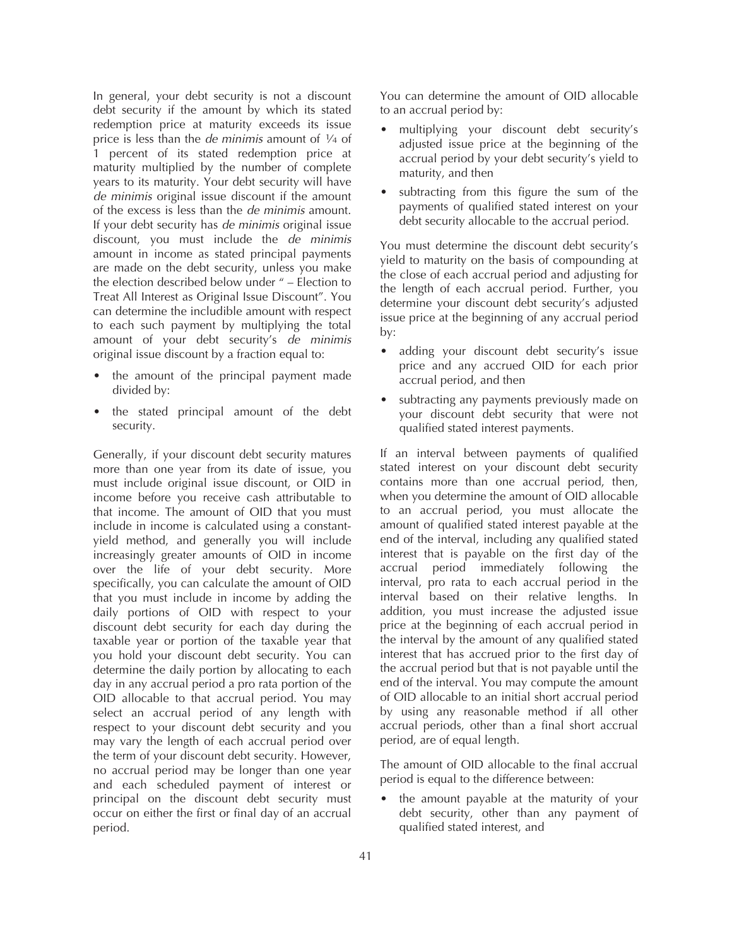In general, your debt security is not a discount debt security if the amount by which its stated redemption price at maturity exceeds its issue price is less than the *de minimis* amount of 1⁄4 of 1 percent of its stated redemption price at maturity multiplied by the number of complete years to its maturity. Your debt security will have *de minimis* original issue discount if the amount of the excess is less than the *de minimis* amount. If your debt security has *de minimis* original issue discount, you must include the *de minimis* amount in income as stated principal payments are made on the debt security, unless you make the election described below under " – Election to Treat All Interest as Original Issue Discount". You can determine the includible amount with respect to each such payment by multiplying the total amount of your debt security's *de minimis* original issue discount by a fraction equal to:

- the amount of the principal payment made divided by:
- the stated principal amount of the debt security.

Generally, if your discount debt security matures more than one year from its date of issue, you must include original issue discount, or OID in income before you receive cash attributable to that income. The amount of OID that you must include in income is calculated using a constantyield method, and generally you will include increasingly greater amounts of OID in income over the life of your debt security. More specifically, you can calculate the amount of OID that you must include in income by adding the daily portions of OID with respect to your discount debt security for each day during the taxable year or portion of the taxable year that you hold your discount debt security. You can determine the daily portion by allocating to each day in any accrual period a pro rata portion of the OID allocable to that accrual period. You may select an accrual period of any length with respect to your discount debt security and you may vary the length of each accrual period over the term of your discount debt security. However, no accrual period may be longer than one year and each scheduled payment of interest or principal on the discount debt security must occur on either the first or final day of an accrual period.

You can determine the amount of OID allocable to an accrual period by:

- multiplying your discount debt security's adjusted issue price at the beginning of the accrual period by your debt security's yield to maturity, and then
- subtracting from this figure the sum of the payments of qualified stated interest on your debt security allocable to the accrual period.

You must determine the discount debt security's yield to maturity on the basis of compounding at the close of each accrual period and adjusting for the length of each accrual period. Further, you determine your discount debt security's adjusted issue price at the beginning of any accrual period by:

- adding your discount debt security's issue price and any accrued OID for each prior accrual period, and then
- subtracting any payments previously made on your discount debt security that were not qualified stated interest payments.

If an interval between payments of qualified stated interest on your discount debt security contains more than one accrual period, then, when you determine the amount of OID allocable to an accrual period, you must allocate the amount of qualified stated interest payable at the end of the interval, including any qualified stated interest that is payable on the first day of the accrual period immediately following the interval, pro rata to each accrual period in the interval based on their relative lengths. In addition, you must increase the adjusted issue price at the beginning of each accrual period in the interval by the amount of any qualified stated interest that has accrued prior to the first day of the accrual period but that is not payable until the end of the interval. You may compute the amount of OID allocable to an initial short accrual period by using any reasonable method if all other accrual periods, other than a final short accrual period, are of equal length.

The amount of OID allocable to the final accrual period is equal to the difference between:

• the amount payable at the maturity of your debt security, other than any payment of qualified stated interest, and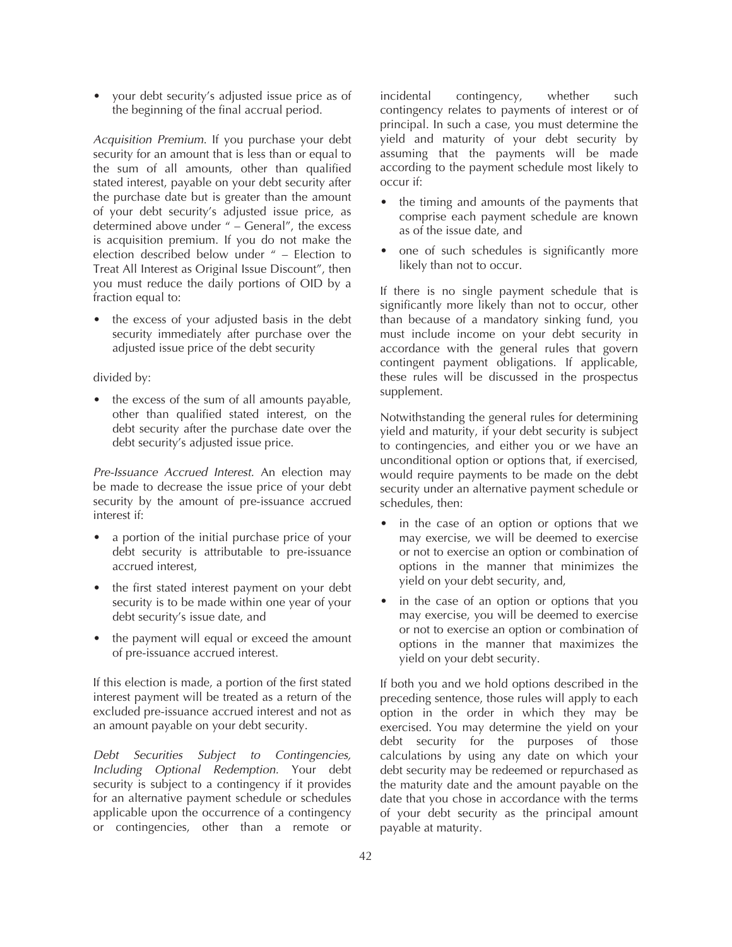• your debt security's adjusted issue price as of the beginning of the final accrual period.

*Acquisition Premium*. If you purchase your debt security for an amount that is less than or equal to the sum of all amounts, other than qualified stated interest, payable on your debt security after the purchase date but is greater than the amount of your debt security's adjusted issue price, as determined above under " – General", the excess is acquisition premium. If you do not make the election described below under " – Election to Treat All Interest as Original Issue Discount", then you must reduce the daily portions of OID by a fraction equal to:

the excess of your adjusted basis in the debt security immediately after purchase over the adjusted issue price of the debt security

### divided by:

• the excess of the sum of all amounts payable, other than qualified stated interest, on the debt security after the purchase date over the debt security's adjusted issue price.

*Pre-Issuance Accrued Interest.* An election may be made to decrease the issue price of your debt security by the amount of pre-issuance accrued interest if:

- a portion of the initial purchase price of your debt security is attributable to pre-issuance accrued interest,
- the first stated interest payment on your debt security is to be made within one year of your debt security's issue date, and
- the payment will equal or exceed the amount of pre-issuance accrued interest.

If this election is made, a portion of the first stated interest payment will be treated as a return of the excluded pre-issuance accrued interest and not as an amount payable on your debt security.

*Debt Securities Subject to Contingencies, Including Optional Redemption.* Your debt security is subject to a contingency if it provides for an alternative payment schedule or schedules applicable upon the occurrence of a contingency or contingencies, other than a remote or

incidental contingency, whether such contingency relates to payments of interest or of principal. In such a case, you must determine the yield and maturity of your debt security by assuming that the payments will be made according to the payment schedule most likely to occur if:

- the timing and amounts of the payments that comprise each payment schedule are known as of the issue date, and
- one of such schedules is significantly more likely than not to occur.

If there is no single payment schedule that is significantly more likely than not to occur, other than because of a mandatory sinking fund, you must include income on your debt security in accordance with the general rules that govern contingent payment obligations. If applicable, these rules will be discussed in the prospectus supplement.

Notwithstanding the general rules for determining yield and maturity, if your debt security is subject to contingencies, and either you or we have an unconditional option or options that, if exercised, would require payments to be made on the debt security under an alternative payment schedule or schedules, then:

- in the case of an option or options that we may exercise, we will be deemed to exercise or not to exercise an option or combination of options in the manner that minimizes the yield on your debt security, and,
- in the case of an option or options that you may exercise, you will be deemed to exercise or not to exercise an option or combination of options in the manner that maximizes the yield on your debt security.

If both you and we hold options described in the preceding sentence, those rules will apply to each option in the order in which they may be exercised. You may determine the yield on your debt security for the purposes of those calculations by using any date on which your debt security may be redeemed or repurchased as the maturity date and the amount payable on the date that you chose in accordance with the terms of your debt security as the principal amount payable at maturity.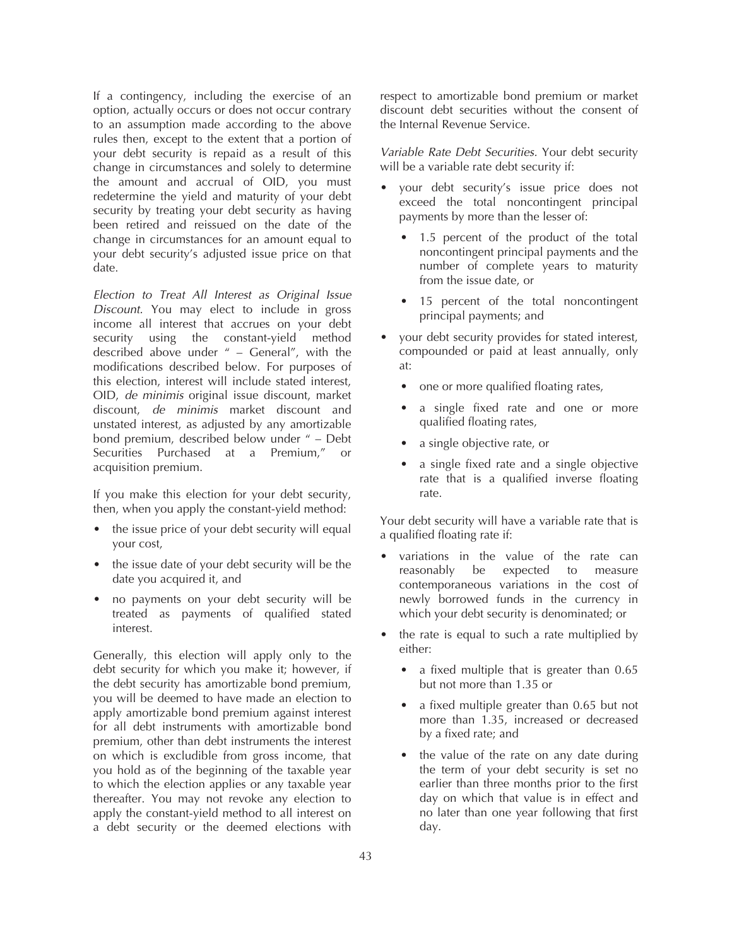If a contingency, including the exercise of an option, actually occurs or does not occur contrary to an assumption made according to the above rules then, except to the extent that a portion of your debt security is repaid as a result of this change in circumstances and solely to determine the amount and accrual of OID, you must redetermine the yield and maturity of your debt security by treating your debt security as having been retired and reissued on the date of the change in circumstances for an amount equal to your debt security's adjusted issue price on that date.

*Election to Treat All Interest as Original Issue Discount.* You may elect to include in gross income all interest that accrues on your debt security using the constant-yield method described above under " – General", with the modifications described below. For purposes of this election, interest will include stated interest, OID, *de minimis* original issue discount, market discount, *de minimis* market discount and unstated interest, as adjusted by any amortizable bond premium, described below under " – Debt Securities Purchased at a Premium," or acquisition premium.

If you make this election for your debt security, then, when you apply the constant-yield method:

- the issue price of your debt security will equal your cost,
- the issue date of your debt security will be the date you acquired it, and
- no payments on your debt security will be treated as payments of qualified stated interest.

Generally, this election will apply only to the debt security for which you make it; however, if the debt security has amortizable bond premium, you will be deemed to have made an election to apply amortizable bond premium against interest for all debt instruments with amortizable bond premium, other than debt instruments the interest on which is excludible from gross income, that you hold as of the beginning of the taxable year to which the election applies or any taxable year thereafter. You may not revoke any election to apply the constant-yield method to all interest on a debt security or the deemed elections with

respect to amortizable bond premium or market discount debt securities without the consent of the Internal Revenue Service.

*Variable Rate Debt Securities.* Your debt security will be a variable rate debt security if:

- your debt security's issue price does not exceed the total noncontingent principal payments by more than the lesser of:
	- 1.5 percent of the product of the total noncontingent principal payments and the number of complete years to maturity from the issue date, or
	- 15 percent of the total noncontingent principal payments; and
- your debt security provides for stated interest, compounded or paid at least annually, only at:
	- one or more qualified floating rates,
	- a single fixed rate and one or more qualified floating rates,
	- a single objective rate, or
	- a single fixed rate and a single objective rate that is a qualified inverse floating rate.

Your debt security will have a variable rate that is a qualified floating rate if:

- variations in the value of the rate can reasonably be expected to measure contemporaneous variations in the cost of newly borrowed funds in the currency in which your debt security is denominated; or
- the rate is equal to such a rate multiplied by either:
	- a fixed multiple that is greater than 0.65 but not more than 1.35 or
	- a fixed multiple greater than 0.65 but not more than 1.35, increased or decreased by a fixed rate; and
	- the value of the rate on any date during the term of your debt security is set no earlier than three months prior to the first day on which that value is in effect and no later than one year following that first day.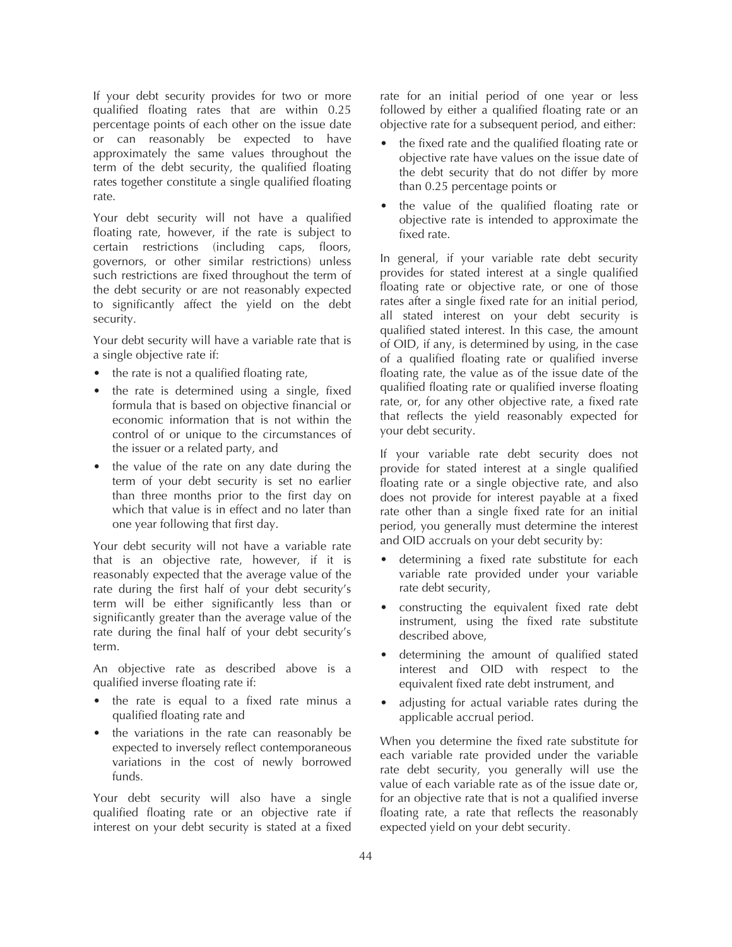If your debt security provides for two or more qualified floating rates that are within 0.25 percentage points of each other on the issue date or can reasonably be expected to have approximately the same values throughout the term of the debt security, the qualified floating rates together constitute a single qualified floating rate.

Your debt security will not have a qualified floating rate, however, if the rate is subject to certain restrictions (including caps, floors, governors, or other similar restrictions) unless such restrictions are fixed throughout the term of the debt security or are not reasonably expected to significantly affect the yield on the debt security.

Your debt security will have a variable rate that is a single objective rate if:

- the rate is not a qualified floating rate,
- the rate is determined using a single, fixed formula that is based on objective financial or economic information that is not within the control of or unique to the circumstances of the issuer or a related party, and
- the value of the rate on any date during the term of your debt security is set no earlier than three months prior to the first day on which that value is in effect and no later than one year following that first day.

Your debt security will not have a variable rate that is an objective rate, however, if it is reasonably expected that the average value of the rate during the first half of your debt security's term will be either significantly less than or significantly greater than the average value of the rate during the final half of your debt security's term.

An objective rate as described above is a qualified inverse floating rate if:

- the rate is equal to a fixed rate minus a qualified floating rate and
- the variations in the rate can reasonably be expected to inversely reflect contemporaneous variations in the cost of newly borrowed funds.

Your debt security will also have a single qualified floating rate or an objective rate if interest on your debt security is stated at a fixed

rate for an initial period of one year or less followed by either a qualified floating rate or an objective rate for a subsequent period, and either:

- the fixed rate and the qualified floating rate or objective rate have values on the issue date of the debt security that do not differ by more than 0.25 percentage points or
- the value of the qualified floating rate or objective rate is intended to approximate the fixed rate.

In general, if your variable rate debt security provides for stated interest at a single qualified floating rate or objective rate, or one of those rates after a single fixed rate for an initial period, all stated interest on your debt security is qualified stated interest. In this case, the amount of OID, if any, is determined by using, in the case of a qualified floating rate or qualified inverse floating rate, the value as of the issue date of the qualified floating rate or qualified inverse floating rate, or, for any other objective rate, a fixed rate that reflects the yield reasonably expected for your debt security.

If your variable rate debt security does not provide for stated interest at a single qualified floating rate or a single objective rate, and also does not provide for interest payable at a fixed rate other than a single fixed rate for an initial period, you generally must determine the interest and OID accruals on your debt security by:

- determining a fixed rate substitute for each variable rate provided under your variable rate debt security,
- constructing the equivalent fixed rate debt instrument, using the fixed rate substitute described above,
- determining the amount of qualified stated interest and OID with respect to the equivalent fixed rate debt instrument, and
- adjusting for actual variable rates during the applicable accrual period.

When you determine the fixed rate substitute for each variable rate provided under the variable rate debt security, you generally will use the value of each variable rate as of the issue date or, for an objective rate that is not a qualified inverse floating rate, a rate that reflects the reasonably expected yield on your debt security.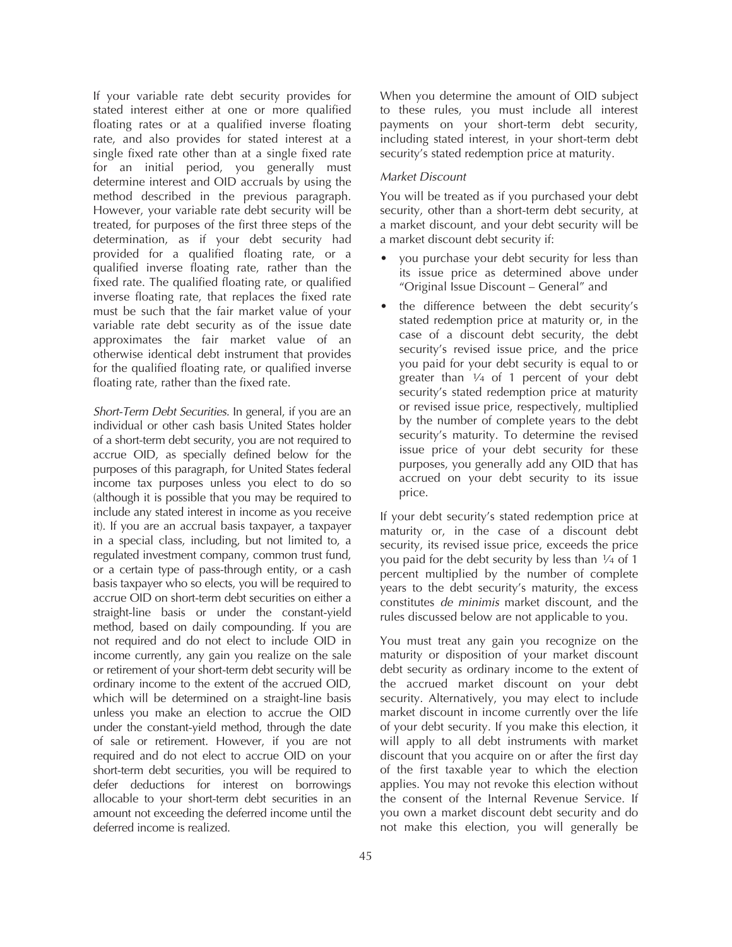If your variable rate debt security provides for stated interest either at one or more qualified floating rates or at a qualified inverse floating rate, and also provides for stated interest at a single fixed rate other than at a single fixed rate for an initial period, you generally must determine interest and OID accruals by using the method described in the previous paragraph. However, your variable rate debt security will be treated, for purposes of the first three steps of the determination, as if your debt security had provided for a qualified floating rate, or a qualified inverse floating rate, rather than the fixed rate. The qualified floating rate, or qualified inverse floating rate, that replaces the fixed rate must be such that the fair market value of your variable rate debt security as of the issue date approximates the fair market value of an otherwise identical debt instrument that provides for the qualified floating rate, or qualified inverse floating rate, rather than the fixed rate.

*Short-Term Debt Securities.* In general, if you are an individual or other cash basis United States holder of a short-term debt security, you are not required to accrue OID, as specially defined below for the purposes of this paragraph, for United States federal income tax purposes unless you elect to do so (although it is possible that you may be required to include any stated interest in income as you receive it). If you are an accrual basis taxpayer, a taxpayer in a special class, including, but not limited to, a regulated investment company, common trust fund, or a certain type of pass-through entity, or a cash basis taxpayer who so elects, you will be required to accrue OID on short-term debt securities on either a straight-line basis or under the constant-yield method, based on daily compounding. If you are not required and do not elect to include OID in income currently, any gain you realize on the sale or retirement of your short-term debt security will be ordinary income to the extent of the accrued OID, which will be determined on a straight-line basis unless you make an election to accrue the OID under the constant-yield method, through the date of sale or retirement. However, if you are not required and do not elect to accrue OID on your short-term debt securities, you will be required to defer deductions for interest on borrowings allocable to your short-term debt securities in an amount not exceeding the deferred income until the deferred income is realized.

When you determine the amount of OID subject to these rules, you must include all interest payments on your short-term debt security, including stated interest, in your short-term debt security's stated redemption price at maturity.

### *Market Discount*

You will be treated as if you purchased your debt security, other than a short-term debt security, at a market discount, and your debt security will be a market discount debt security if:

- you purchase your debt security for less than its issue price as determined above under "Original Issue Discount – General" and
- the difference between the debt security's stated redemption price at maturity or, in the case of a discount debt security, the debt security's revised issue price, and the price you paid for your debt security is equal to or greater than 1⁄4 of 1 percent of your debt security's stated redemption price at maturity or revised issue price, respectively, multiplied by the number of complete years to the debt security's maturity. To determine the revised issue price of your debt security for these purposes, you generally add any OID that has accrued on your debt security to its issue price.

If your debt security's stated redemption price at maturity or, in the case of a discount debt security, its revised issue price, exceeds the price you paid for the debt security by less than 1⁄4 of 1 percent multiplied by the number of complete years to the debt security's maturity, the excess constitutes *de minimis* market discount, and the rules discussed below are not applicable to you.

You must treat any gain you recognize on the maturity or disposition of your market discount debt security as ordinary income to the extent of the accrued market discount on your debt security. Alternatively, you may elect to include market discount in income currently over the life of your debt security. If you make this election, it will apply to all debt instruments with market discount that you acquire on or after the first day of the first taxable year to which the election applies. You may not revoke this election without the consent of the Internal Revenue Service. If you own a market discount debt security and do not make this election, you will generally be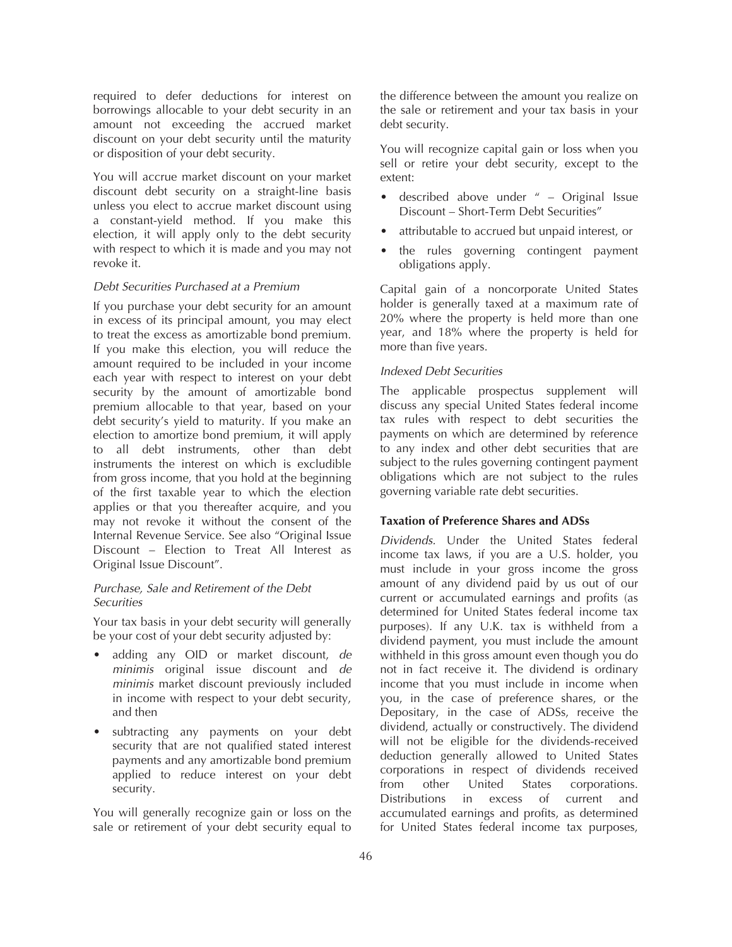required to defer deductions for interest on borrowings allocable to your debt security in an amount not exceeding the accrued market discount on your debt security until the maturity or disposition of your debt security.

You will accrue market discount on your market discount debt security on a straight-line basis unless you elect to accrue market discount using a constant-yield method. If you make this election, it will apply only to the debt security with respect to which it is made and you may not revoke it.

#### *Debt Securities Purchased at a Premium*

If you purchase your debt security for an amount in excess of its principal amount, you may elect to treat the excess as amortizable bond premium. If you make this election, you will reduce the amount required to be included in your income each year with respect to interest on your debt security by the amount of amortizable bond premium allocable to that year, based on your debt security's yield to maturity. If you make an election to amortize bond premium, it will apply to all debt instruments, other than debt instruments the interest on which is excludible from gross income, that you hold at the beginning of the first taxable year to which the election applies or that you thereafter acquire, and you may not revoke it without the consent of the Internal Revenue Service. See also "Original Issue Discount – Election to Treat All Interest as Original Issue Discount".

# *Purchase, Sale and Retirement of the Debt Securities*

Your tax basis in your debt security will generally be your cost of your debt security adjusted by:

- adding any OID or market discount, *de minimis* original issue discount and *de minimis* market discount previously included in income with respect to your debt security, and then
- subtracting any payments on your debt security that are not qualified stated interest payments and any amortizable bond premium applied to reduce interest on your debt security.

You will generally recognize gain or loss on the sale or retirement of your debt security equal to

the difference between the amount you realize on the sale or retirement and your tax basis in your debt security.

You will recognize capital gain or loss when you sell or retire your debt security, except to the extent:

- described above under " Original Issue Discount – Short-Term Debt Securities"
- attributable to accrued but unpaid interest, or
- the rules governing contingent payment obligations apply.

Capital gain of a noncorporate United States holder is generally taxed at a maximum rate of 20% where the property is held more than one year, and 18% where the property is held for more than five years.

#### *Indexed Debt Securities*

The applicable prospectus supplement will discuss any special United States federal income tax rules with respect to debt securities the payments on which are determined by reference to any index and other debt securities that are subject to the rules governing contingent payment obligations which are not subject to the rules governing variable rate debt securities.

### **Taxation of Preference Shares and ADSs**

*Dividends.* Under the United States federal income tax laws, if you are a U.S. holder, you must include in your gross income the gross amount of any dividend paid by us out of our current or accumulated earnings and profits (as determined for United States federal income tax purposes). If any U.K. tax is withheld from a dividend payment, you must include the amount withheld in this gross amount even though you do not in fact receive it. The dividend is ordinary income that you must include in income when you, in the case of preference shares, or the Depositary, in the case of ADSs, receive the dividend, actually or constructively. The dividend will not be eligible for the dividends-received deduction generally allowed to United States corporations in respect of dividends received from other United States corporations. Distributions in excess of current and accumulated earnings and profits, as determined for United States federal income tax purposes,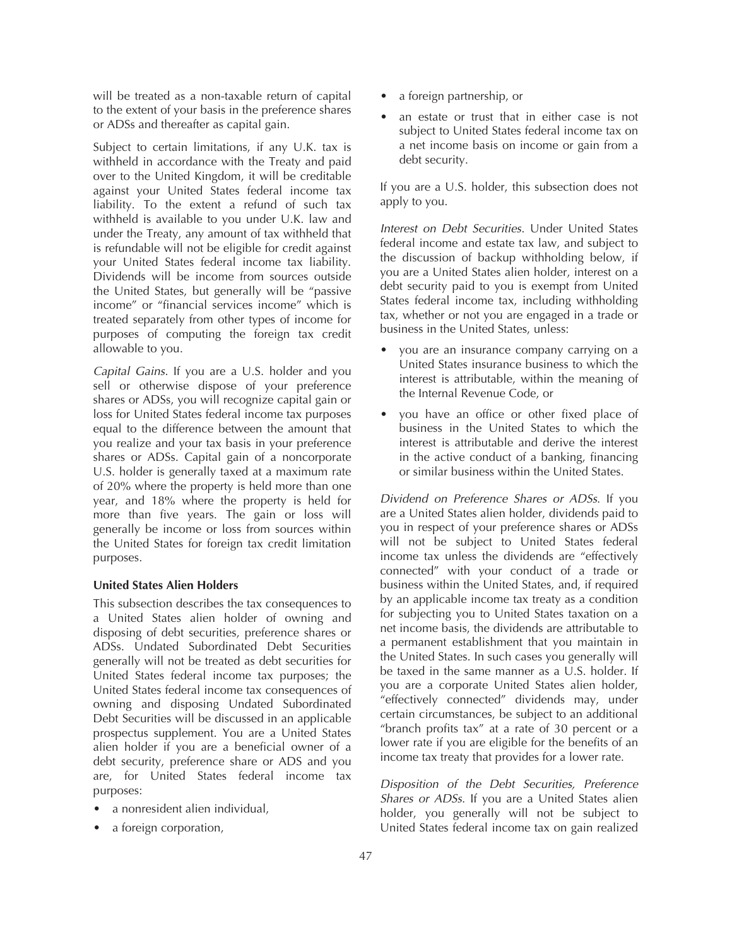will be treated as a non-taxable return of capital to the extent of your basis in the preference shares or ADSs and thereafter as capital gain.

Subject to certain limitations, if any U.K. tax is withheld in accordance with the Treaty and paid over to the United Kingdom, it will be creditable against your United States federal income tax liability. To the extent a refund of such tax withheld is available to you under U.K. law and under the Treaty, any amount of tax withheld that is refundable will not be eligible for credit against your United States federal income tax liability. Dividends will be income from sources outside the United States, but generally will be "passive income" or "financial services income" which is treated separately from other types of income for purposes of computing the foreign tax credit allowable to you.

*Capital Gains.* If you are a U.S. holder and you sell or otherwise dispose of your preference shares or ADSs, you will recognize capital gain or loss for United States federal income tax purposes equal to the difference between the amount that you realize and your tax basis in your preference shares or ADSs. Capital gain of a noncorporate U.S. holder is generally taxed at a maximum rate of 20% where the property is held more than one year, and 18% where the property is held for more than five years. The gain or loss will generally be income or loss from sources within the United States for foreign tax credit limitation purposes.

#### **United States Alien Holders**

This subsection describes the tax consequences to a United States alien holder of owning and disposing of debt securities, preference shares or ADSs. Undated Subordinated Debt Securities generally will not be treated as debt securities for United States federal income tax purposes; the United States federal income tax consequences of owning and disposing Undated Subordinated Debt Securities will be discussed in an applicable prospectus supplement. You are a United States alien holder if you are a beneficial owner of a debt security, preference share or ADS and you are, for United States federal income tax purposes:

- a nonresident alien individual,
- a foreign corporation,
- a foreign partnership, or
- an estate or trust that in either case is not subject to United States federal income tax on a net income basis on income or gain from a debt security.

If you are a U.S. holder, this subsection does not apply to you.

*Interest on Debt Securities*. Under United States federal income and estate tax law, and subject to the discussion of backup withholding below, if you are a United States alien holder, interest on a debt security paid to you is exempt from United States federal income tax, including withholding tax, whether or not you are engaged in a trade or business in the United States, unless:

- you are an insurance company carrying on a United States insurance business to which the interest is attributable, within the meaning of the Internal Revenue Code, or
- you have an office or other fixed place of business in the United States to which the interest is attributable and derive the interest in the active conduct of a banking, financing or similar business within the United States.

*Dividend on Preference Shares or ADSs*. If you are a United States alien holder, dividends paid to you in respect of your preference shares or ADSs will not be subject to United States federal income tax unless the dividends are "effectively connected" with your conduct of a trade or business within the United States, and, if required by an applicable income tax treaty as a condition for subjecting you to United States taxation on a net income basis, the dividends are attributable to a permanent establishment that you maintain in the United States. In such cases you generally will be taxed in the same manner as a U.S. holder. If you are a corporate United States alien holder, "effectively connected" dividends may, under certain circumstances, be subject to an additional "branch profits tax" at a rate of 30 percent or a lower rate if you are eligible for the benefits of an income tax treaty that provides for a lower rate.

*Disposition of the Debt Securities, Preference Shares or ADSs*. If you are a United States alien holder, you generally will not be subject to United States federal income tax on gain realized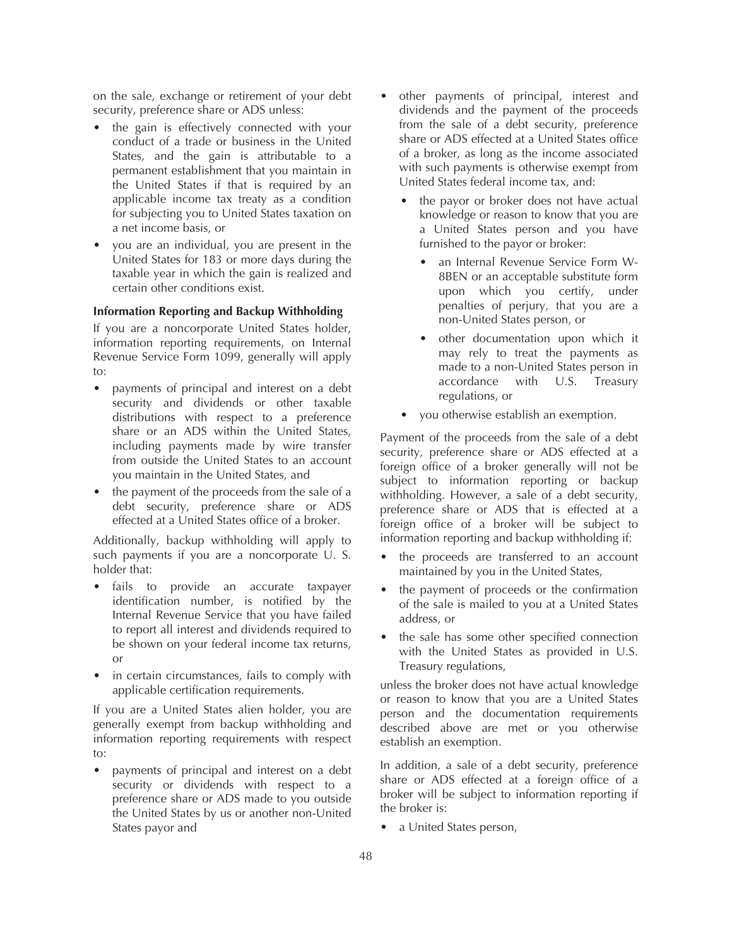on the sale, exchange or retirement of your debt security, preference share or ADS unless:

- the gain is effectively connected with your conduct of a trade or business in the United States, and the gain is attributable to a permanent establishment that you maintain in the United States if that is required by an applicable income tax treaty as a condition for subjecting you to United States taxation on a net income basis, or
- you are an individual, you are present in the United States for 183 or more days during the taxable year in which the gain is realized and certain other conditions exist.

# **Information Reporting and Backup Withholding**

If you are a noncorporate United States holder, information reporting requirements, on Internal Revenue Service Form 1099, generally will apply to:

- payments of principal and interest on a debt security and dividends or other taxable distributions with respect to a preference share or an ADS within the United States, including payments made by wire transfer from outside the United States to an account you maintain in the United States, and
- the payment of the proceeds from the sale of a debt security, preference share or ADS effected at a United States office of a broker.

Additionally, backup withholding will apply to such payments if you are a noncorporate U. S. holder that:

- fails to provide an accurate taxpayer identification number, is notified by the Internal Revenue Service that you have failed to report all interest and dividends required to be shown on your federal income tax returns, or
- in certain circumstances, fails to comply with applicable certification requirements.

If you are a United States alien holder, you are generally exempt from backup withholding and information reporting requirements with respect to:

• payments of principal and interest on a debt security or dividends with respect to a preference share or ADS made to you outside the United States by us or another non-United States payor and

- other payments of principal, interest and dividends and the payment of the proceeds from the sale of a debt security, preference share or ADS effected at a United States office of a broker, as long as the income associated with such payments is otherwise exempt from United States federal income tax, and:
	- the payor or broker does not have actual knowledge or reason to know that you are a United States person and you have furnished to the payor or broker:
		- an Internal Revenue Service Form W-8BEN or an acceptable substitute form upon which you certify, under penalties of perjury, that you are a non-United States person, or
		- other documentation upon which it may rely to treat the payments as made to a non-United States person in accordance with U.S. Treasury regulations, or
	- you otherwise establish an exemption.

Payment of the proceeds from the sale of a debt security, preference share or ADS effected at a foreign office of a broker generally will not be subject to information reporting or backup withholding. However, a sale of a debt security, preference share or ADS that is effected at a foreign office of a broker will be subject to information reporting and backup withholding if:

- the proceeds are transferred to an account maintained by you in the United States,
- the payment of proceeds or the confirmation of the sale is mailed to you at a United States address, or
- the sale has some other specified connection with the United States as provided in U.S. Treasury regulations,

unless the broker does not have actual knowledge or reason to know that you are a United States person and the documentation requirements described above are met or you otherwise establish an exemption.

In addition, a sale of a debt security, preference share or ADS effected at a foreign office of a broker will be subject to information reporting if the broker is:

a United States person,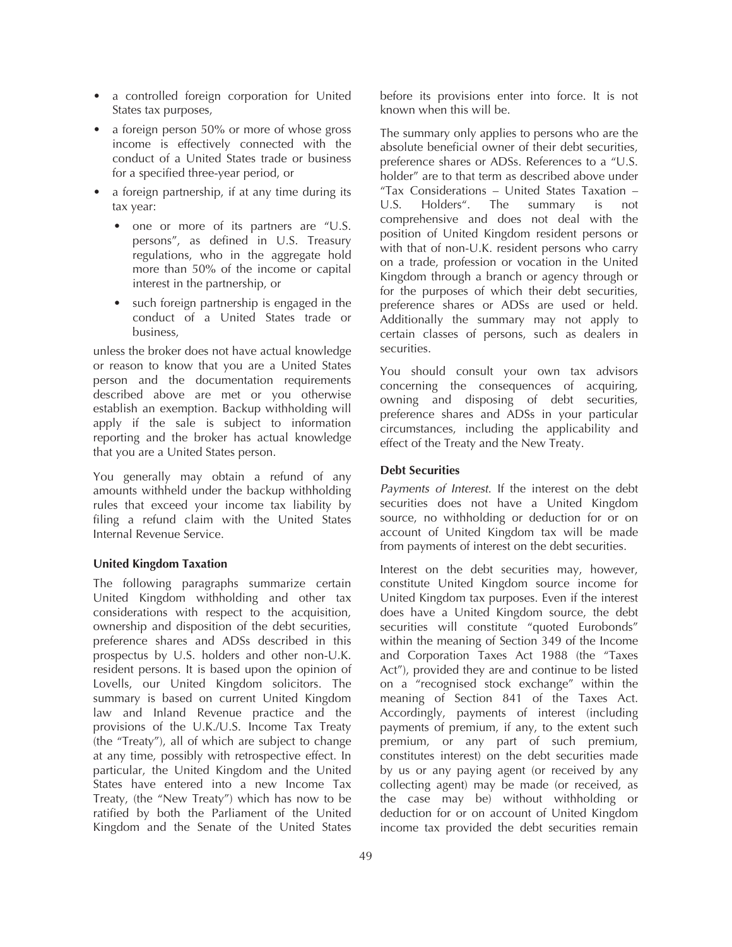- a controlled foreign corporation for United States tax purposes,
- a foreign person 50% or more of whose gross income is effectively connected with the conduct of a United States trade or business for a specified three-year period, or
- a foreign partnership, if at any time during its tax year:
	- one or more of its partners are "U.S. persons", as defined in U.S. Treasury regulations, who in the aggregate hold more than 50% of the income or capital interest in the partnership, or
	- such foreign partnership is engaged in the conduct of a United States trade or business,

unless the broker does not have actual knowledge or reason to know that you are a United States person and the documentation requirements described above are met or you otherwise establish an exemption. Backup withholding will apply if the sale is subject to information reporting and the broker has actual knowledge that you are a United States person.

You generally may obtain a refund of any amounts withheld under the backup withholding rules that exceed your income tax liability by filing a refund claim with the United States Internal Revenue Service.

# **United Kingdom Taxation**

The following paragraphs summarize certain United Kingdom withholding and other tax considerations with respect to the acquisition, ownership and disposition of the debt securities, preference shares and ADSs described in this prospectus by U.S. holders and other non-U.K. resident persons. It is based upon the opinion of Lovells, our United Kingdom solicitors. The summary is based on current United Kingdom law and Inland Revenue practice and the provisions of the U.K./U.S. Income Tax Treaty (the "Treaty"), all of which are subject to change at any time, possibly with retrospective effect. In particular, the United Kingdom and the United States have entered into a new Income Tax Treaty, (the "New Treaty") which has now to be ratified by both the Parliament of the United Kingdom and the Senate of the United States

before its provisions enter into force. It is not known when this will be.

The summary only applies to persons who are the absolute beneficial owner of their debt securities, preference shares or ADSs. References to a "U.S. holder" are to that term as described above under "Tax Considerations – United States Taxation – U.S. Holders". The summary is not comprehensive and does not deal with the position of United Kingdom resident persons or with that of non-U.K. resident persons who carry on a trade, profession or vocation in the United Kingdom through a branch or agency through or for the purposes of which their debt securities, preference shares or ADSs are used or held. Additionally the summary may not apply to certain classes of persons, such as dealers in securities.

You should consult your own tax advisors concerning the consequences of acquiring, owning and disposing of debt securities, preference shares and ADSs in your particular circumstances, including the applicability and effect of the Treaty and the New Treaty.

### **Debt Securities**

*Payments of Interest*. If the interest on the debt securities does not have a United Kingdom source, no withholding or deduction for or on account of United Kingdom tax will be made from payments of interest on the debt securities.

Interest on the debt securities may, however, constitute United Kingdom source income for United Kingdom tax purposes. Even if the interest does have a United Kingdom source, the debt securities will constitute "quoted Eurobonds" within the meaning of Section 349 of the Income and Corporation Taxes Act 1988 (the "Taxes Act"), provided they are and continue to be listed on a "recognised stock exchange" within the meaning of Section 841 of the Taxes Act. Accordingly, payments of interest (including payments of premium, if any, to the extent such premium, or any part of such premium, constitutes interest) on the debt securities made by us or any paying agent (or received by any collecting agent) may be made (or received, as the case may be) without withholding or deduction for or on account of United Kingdom income tax provided the debt securities remain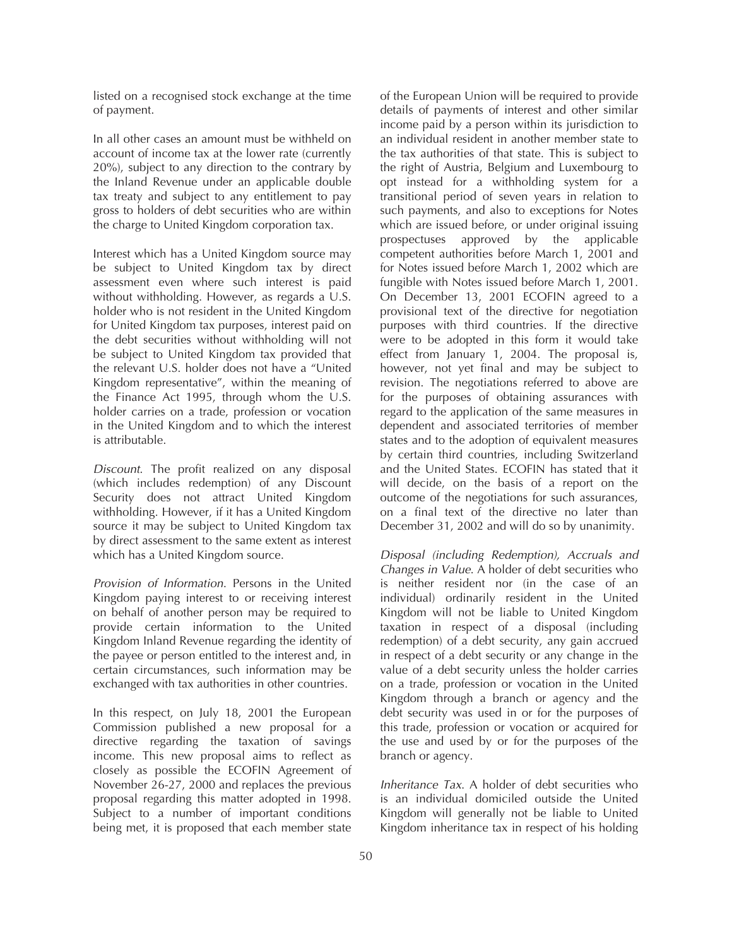listed on a recognised stock exchange at the time of payment.

In all other cases an amount must be withheld on account of income tax at the lower rate (currently 20%), subject to any direction to the contrary by the Inland Revenue under an applicable double tax treaty and subject to any entitlement to pay gross to holders of debt securities who are within the charge to United Kingdom corporation tax.

Interest which has a United Kingdom source may be subject to United Kingdom tax by direct assessment even where such interest is paid without withholding. However, as regards a U.S. holder who is not resident in the United Kingdom for United Kingdom tax purposes, interest paid on the debt securities without withholding will not be subject to United Kingdom tax provided that the relevant U.S. holder does not have a "United Kingdom representative", within the meaning of the Finance Act 1995, through whom the  $U.S.$ holder carries on a trade, profession or vocation in the United Kingdom and to which the interest is attributable.

*Discount*. The profit realized on any disposal (which includes redemption) of any Discount Security does not attract United Kingdom withholding. However, if it has a United Kingdom source it may be subject to United Kingdom tax by direct assessment to the same extent as interest which has a United Kingdom source.

*Provision of Information*. Persons in the United Kingdom paying interest to or receiving interest on behalf of another person may be required to provide certain information to the United Kingdom Inland Revenue regarding the identity of the payee or person entitled to the interest and, in certain circumstances, such information may be exchanged with tax authorities in other countries.

In this respect, on July 18, 2001 the European Commission published a new proposal for a directive regarding the taxation of savings income. This new proposal aims to reflect as closely as possible the ECOFIN Agreement of November 26-27, 2000 and replaces the previous proposal regarding this matter adopted in 1998. Subject to a number of important conditions being met, it is proposed that each member state

of the European Union will be required to provide details of payments of interest and other similar income paid by a person within its jurisdiction to an individual resident in another member state to the tax authorities of that state. This is subject to the right of Austria, Belgium and Luxembourg to opt instead for a withholding system for a transitional period of seven years in relation to such payments, and also to exceptions for Notes which are issued before, or under original issuing prospectuses approved by the applicable competent authorities before March 1, 2001 and for Notes issued before March 1, 2002 which are fungible with Notes issued before March 1, 2001. On December 13, 2001 ECOFIN agreed to a provisional text of the directive for negotiation purposes with third countries. If the directive were to be adopted in this form it would take effect from January 1, 2004. The proposal is, however, not yet final and may be subject to revision. The negotiations referred to above are for the purposes of obtaining assurances with regard to the application of the same measures in dependent and associated territories of member states and to the adoption of equivalent measures by certain third countries, including Switzerland and the United States. ECOFIN has stated that it will decide, on the basis of a report on the outcome of the negotiations for such assurances, on a final text of the directive no later than December 31, 2002 and will do so by unanimity.

*Disposal (including Redemption), Accruals and Changes in Value*. A holder of debt securities who is neither resident nor (in the case of an individual) ordinarily resident in the United Kingdom will not be liable to United Kingdom taxation in respect of a disposal (including redemption) of a debt security, any gain accrued in respect of a debt security or any change in the value of a debt security unless the holder carries on a trade, profession or vocation in the United Kingdom through a branch or agency and the debt security was used in or for the purposes of this trade, profession or vocation or acquired for the use and used by or for the purposes of the branch or agency.

*Inheritance Tax*. A holder of debt securities who is an individual domiciled outside the United Kingdom will generally not be liable to United Kingdom inheritance tax in respect of his holding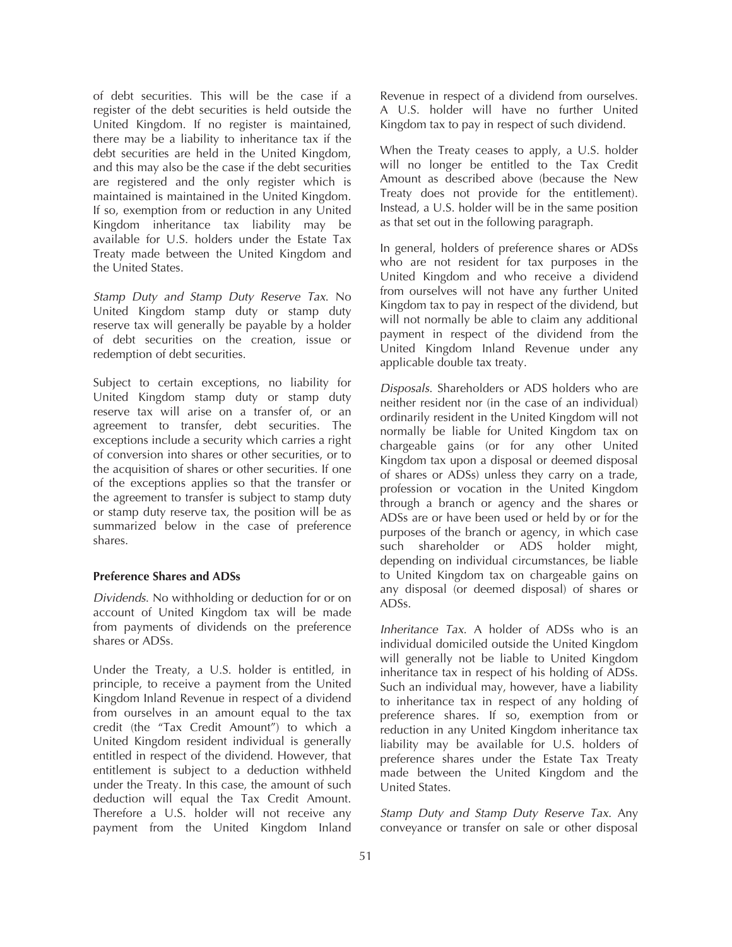of debt securities. This will be the case if a register of the debt securities is held outside the United Kingdom. If no register is maintained, there may be a liability to inheritance tax if the debt securities are held in the United Kingdom, and this may also be the case if the debt securities are registered and the only register which is maintained is maintained in the United Kingdom. If so, exemption from or reduction in any United Kingdom inheritance tax liability may be available for U.S. holders under the Estate Tax Treaty made between the United Kingdom and the United States.

*Stamp Duty and Stamp Duty Reserve Tax*. No United Kingdom stamp duty or stamp duty reserve tax will generally be payable by a holder of debt securities on the creation, issue or redemption of debt securities.

Subject to certain exceptions, no liability for United Kingdom stamp duty or stamp duty reserve tax will arise on a transfer of, or an agreement to transfer, debt securities. The exceptions include a security which carries a right of conversion into shares or other securities, or to the acquisition of shares or other securities. If one of the exceptions applies so that the transfer or the agreement to transfer is subject to stamp duty or stamp duty reserve tax, the position will be as summarized below in the case of preference shares.

### **Preference Shares and ADSs**

*Dividends*. No withholding or deduction for or on account of United Kingdom tax will be made from payments of dividends on the preference shares or ADSs.

Under the Treaty, a U.S. holder is entitled, in principle, to receive a payment from the United Kingdom Inland Revenue in respect of a dividend from ourselves in an amount equal to the tax credit (the "Tax Credit Amount") to which a United Kingdom resident individual is generally entitled in respect of the dividend. However, that entitlement is subject to a deduction withheld under the Treaty. In this case, the amount of such deduction will equal the Tax Credit Amount. Therefore a U.S. holder will not receive any payment from the United Kingdom Inland

Revenue in respect of a dividend from ourselves. A U.S. holder will have no further United Kingdom tax to pay in respect of such dividend.

When the Treaty ceases to apply, a U.S. holder will no longer be entitled to the Tax Credit Amount as described above (because the New Treaty does not provide for the entitlement). Instead, a U.S. holder will be in the same position as that set out in the following paragraph.

In general, holders of preference shares or ADSs who are not resident for tax purposes in the United Kingdom and who receive a dividend from ourselves will not have any further United Kingdom tax to pay in respect of the dividend, but will not normally be able to claim any additional payment in respect of the dividend from the United Kingdom Inland Revenue under any applicable double tax treaty.

*Disposals*. Shareholders or ADS holders who are neither resident nor (in the case of an individual) ordinarily resident in the United Kingdom will not normally be liable for United Kingdom tax on chargeable gains (or for any other United Kingdom tax upon a disposal or deemed disposal of shares or ADSs) unless they carry on a trade, profession or vocation in the United Kingdom through a branch or agency and the shares or ADSs are or have been used or held by or for the purposes of the branch or agency, in which case such shareholder or ADS holder might, depending on individual circumstances, be liable to United Kingdom tax on chargeable gains on any disposal (or deemed disposal) of shares or ADSs.

*Inheritance Tax*. A holder of ADSs who is an individual domiciled outside the United Kingdom will generally not be liable to United Kingdom inheritance tax in respect of his holding of ADSs. Such an individual may, however, have a liability to inheritance tax in respect of any holding of preference shares. If so, exemption from or reduction in any United Kingdom inheritance tax liability may be available for U.S. holders of preference shares under the Estate Tax Treaty made between the United Kingdom and the United States.

*Stamp Duty and Stamp Duty Reserve Tax*. Any conveyance or transfer on sale or other disposal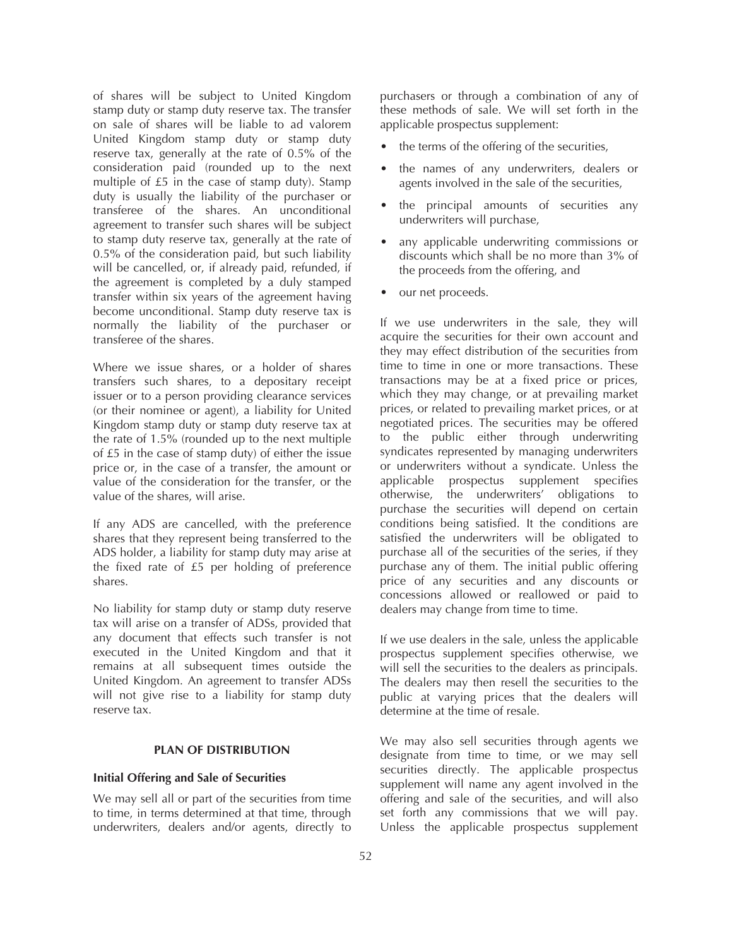of shares will be subject to United Kingdom stamp duty or stamp duty reserve tax. The transfer on sale of shares will be liable to ad valorem United Kingdom stamp duty or stamp duty reserve tax, generally at the rate of 0.5% of the consideration paid (rounded up to the next multiple of £5 in the case of stamp duty). Stamp duty is usually the liability of the purchaser or transferee of the shares. An unconditional agreement to transfer such shares will be subject to stamp duty reserve tax, generally at the rate of 0.5% of the consideration paid, but such liability will be cancelled, or, if already paid, refunded, if the agreement is completed by a duly stamped transfer within six years of the agreement having become unconditional. Stamp duty reserve tax is normally the liability of the purchaser or transferee of the shares.

Where we issue shares, or a holder of shares transfers such shares, to a depositary receipt issuer or to a person providing clearance services (or their nominee or agent), a liability for United Kingdom stamp duty or stamp duty reserve tax at the rate of 1.5% (rounded up to the next multiple of £5 in the case of stamp duty) of either the issue price or, in the case of a transfer, the amount or value of the consideration for the transfer, or the value of the shares, will arise.

If any ADS are cancelled, with the preference shares that they represent being transferred to the ADS holder, a liability for stamp duty may arise at the fixed rate of £5 per holding of preference shares.

No liability for stamp duty or stamp duty reserve tax will arise on a transfer of ADSs, provided that any document that effects such transfer is not executed in the United Kingdom and that it remains at all subsequent times outside the United Kingdom. An agreement to transfer ADSs will not give rise to a liability for stamp duty reserve tax.

# **PLAN OF DISTRIBUTION**

# **Initial Offering and Sale of Securities**

We may sell all or part of the securities from time to time, in terms determined at that time, through underwriters, dealers and/or agents, directly to purchasers or through a combination of any of these methods of sale. We will set forth in the applicable prospectus supplement:

- the terms of the offering of the securities,
- the names of any underwriters, dealers or agents involved in the sale of the securities,
- the principal amounts of securities any underwriters will purchase,
- any applicable underwriting commissions or discounts which shall be no more than 3% of the proceeds from the offering, and
- our net proceeds.

If we use underwriters in the sale, they will acquire the securities for their own account and they may effect distribution of the securities from time to time in one or more transactions. These transactions may be at a fixed price or prices, which they may change, or at prevailing market prices, or related to prevailing market prices, or at negotiated prices. The securities may be offered to the public either through underwriting syndicates represented by managing underwriters or underwriters without a syndicate. Unless the applicable prospectus supplement specifies otherwise, the underwriters' obligations to purchase the securities will depend on certain conditions being satisfied. It the conditions are satisfied the underwriters will be obligated to purchase all of the securities of the series, if they purchase any of them. The initial public offering price of any securities and any discounts or concessions allowed or reallowed or paid to dealers may change from time to time.

If we use dealers in the sale, unless the applicable prospectus supplement specifies otherwise, we will sell the securities to the dealers as principals. The dealers may then resell the securities to the public at varying prices that the dealers will determine at the time of resale.

We may also sell securities through agents we designate from time to time, or we may sell securities directly. The applicable prospectus supplement will name any agent involved in the offering and sale of the securities, and will also set forth any commissions that we will pay. Unless the applicable prospectus supplement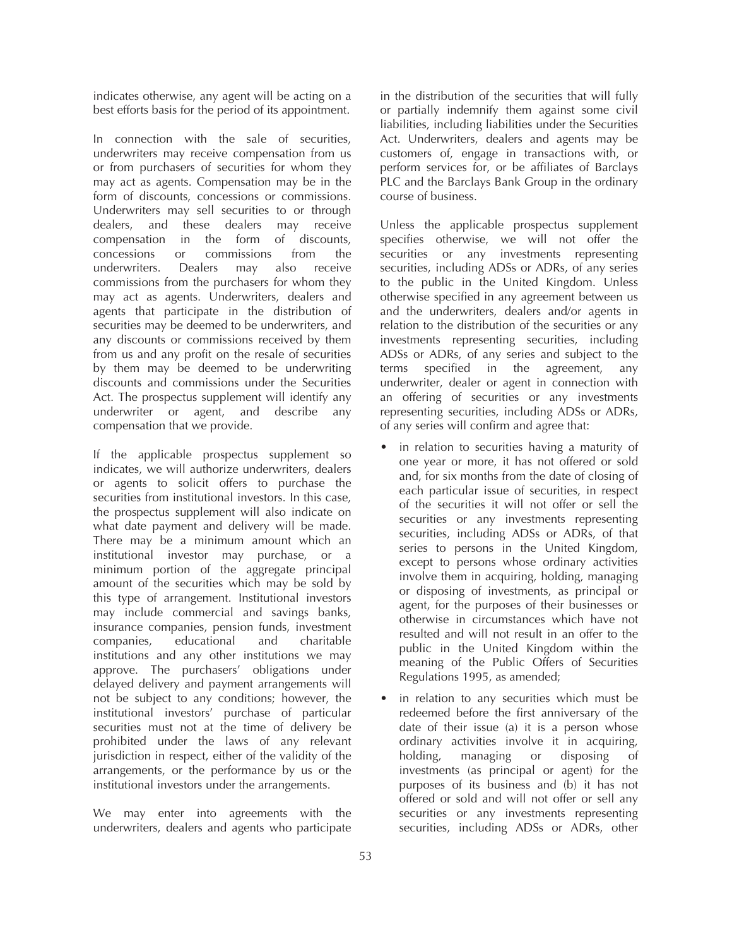indicates otherwise, any agent will be acting on a best efforts basis for the period of its appointment.

In connection with the sale of securities, underwriters may receive compensation from us or from purchasers of securities for whom they may act as agents. Compensation may be in the form of discounts, concessions or commissions. Underwriters may sell securities to or through dealers, and these dealers may receive compensation in the form of discounts, concessions or commissions from the underwriters. Dealers may also receive commissions from the purchasers for whom they may act as agents. Underwriters, dealers and agents that participate in the distribution of securities may be deemed to be underwriters, and any discounts or commissions received by them from us and any profit on the resale of securities by them may be deemed to be underwriting discounts and commissions under the Securities Act. The prospectus supplement will identify any underwriter or agent, and describe any compensation that we provide.

If the applicable prospectus supplement so indicates, we will authorize underwriters, dealers or agents to solicit offers to purchase the securities from institutional investors. In this case, the prospectus supplement will also indicate on what date payment and delivery will be made. There may be a minimum amount which an institutional investor may purchase, or a minimum portion of the aggregate principal amount of the securities which may be sold by this type of arrangement. Institutional investors may include commercial and savings banks, insurance companies, pension funds, investment companies, educational and charitable institutions and any other institutions we may approve. The purchasers' obligations under delayed delivery and payment arrangements will not be subject to any conditions; however, the institutional investors' purchase of particular securities must not at the time of delivery be prohibited under the laws of any relevant jurisdiction in respect, either of the validity of the arrangements, or the performance by us or the institutional investors under the arrangements.

We may enter into agreements with the underwriters, dealers and agents who participate

in the distribution of the securities that will fully or partially indemnify them against some civil liabilities, including liabilities under the Securities Act. Underwriters, dealers and agents may be customers of, engage in transactions with, or perform services for, or be affiliates of Barclays PLC and the Barclays Bank Group in the ordinary course of business.

Unless the applicable prospectus supplement specifies otherwise, we will not offer the securities or any investments representing securities, including ADSs or ADRs, of any series to the public in the United Kingdom. Unless otherwise specified in any agreement between us and the underwriters, dealers and/or agents in relation to the distribution of the securities or any investments representing securities, including ADSs or ADRs, of any series and subject to the terms specified in the agreement, any underwriter, dealer or agent in connection with an offering of securities or any investments representing securities, including ADSs or ADRs, of any series will confirm and agree that:

- in relation to securities having a maturity of one year or more, it has not offered or sold and, for six months from the date of closing of each particular issue of securities, in respect of the securities it will not offer or sell the securities or any investments representing securities, including ADSs or ADRs, of that series to persons in the United Kingdom, except to persons whose ordinary activities involve them in acquiring, holding, managing or disposing of investments, as principal or agent, for the purposes of their businesses or otherwise in circumstances which have not resulted and will not result in an offer to the public in the United Kingdom within the meaning of the Public Offers of Securities Regulations 1995, as amended;
- in relation to any securities which must be redeemed before the first anniversary of the date of their issue (a) it is a person whose ordinary activities involve it in acquiring, holding, managing or disposing of investments (as principal or agent) for the purposes of its business and (b) it has not offered or sold and will not offer or sell any securities or any investments representing securities, including ADSs or ADRs, other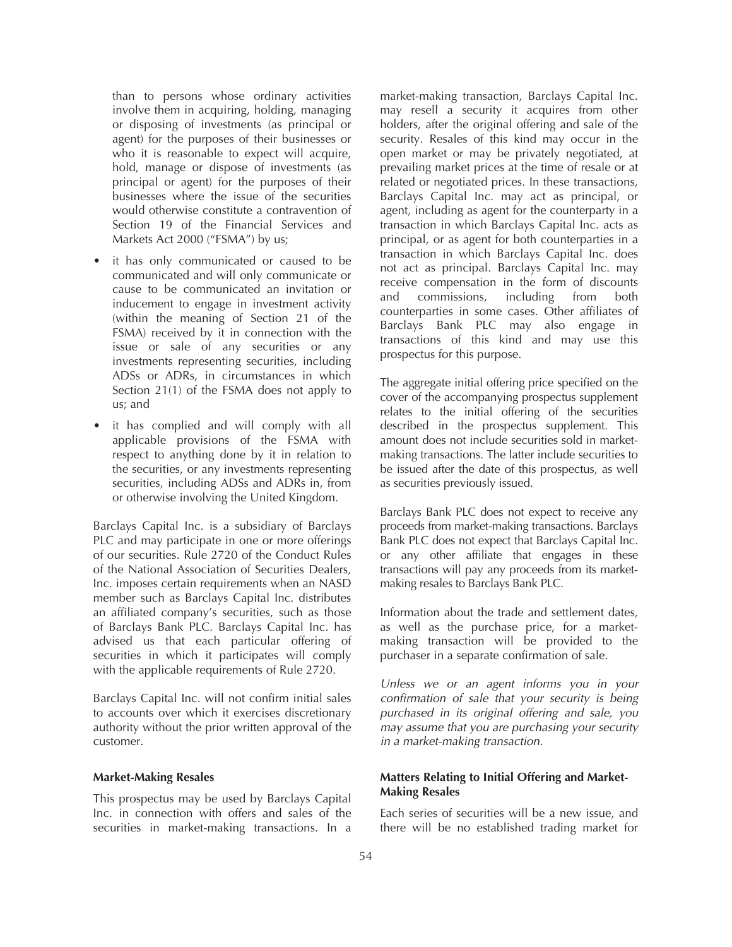than to persons whose ordinary activities involve them in acquiring, holding, managing or disposing of investments (as principal or agent) for the purposes of their businesses or who it is reasonable to expect will acquire, hold, manage or dispose of investments (as principal or agent) for the purposes of their businesses where the issue of the securities would otherwise constitute a contravention of Section 19 of the Financial Services and Markets Act 2000 ("FSMA") by us;

- it has only communicated or caused to be communicated and will only communicate or cause to be communicated an invitation or inducement to engage in investment activity (within the meaning of Section 21 of the FSMA) received by it in connection with the issue or sale of any securities or any investments representing securities, including ADSs or ADRs, in circumstances in which Section 21(1) of the FSMA does not apply to us; and
- it has complied and will comply with all applicable provisions of the FSMA with respect to anything done by it in relation to the securities, or any investments representing securities, including ADSs and ADRs in, from or otherwise involving the United Kingdom.

Barclays Capital Inc. is a subsidiary of Barclays PLC and may participate in one or more offerings of our securities. Rule 2720 of the Conduct Rules of the National Association of Securities Dealers, Inc. imposes certain requirements when an NASD member such as Barclays Capital Inc. distributes an affiliated company's securities, such as those of Barclays Bank PLC. Barclays Capital Inc. has advised us that each particular offering of securities in which it participates will comply with the applicable requirements of Rule 2720.

Barclays Capital Inc. will not confirm initial sales to accounts over which it exercises discretionary authority without the prior written approval of the customer.

# **Market-Making Resales**

This prospectus may be used by Barclays Capital Inc. in connection with offers and sales of the securities in market-making transactions. In a

market-making transaction, Barclays Capital Inc. may resell a security it acquires from other holders, after the original offering and sale of the security. Resales of this kind may occur in the open market or may be privately negotiated, at prevailing market prices at the time of resale or at related or negotiated prices. In these transactions, Barclays Capital Inc. may act as principal, or agent, including as agent for the counterparty in a transaction in which Barclays Capital Inc. acts as principal, or as agent for both counterparties in a transaction in which Barclays Capital Inc. does not act as principal. Barclays Capital Inc. may receive compensation in the form of discounts and commissions, including from both counterparties in some cases. Other affiliates of Barclays Bank PLC may also engage in transactions of this kind and may use this prospectus for this purpose.

The aggregate initial offering price specified on the cover of the accompanying prospectus supplement relates to the initial offering of the securities described in the prospectus supplement. This amount does not include securities sold in marketmaking transactions. The latter include securities to be issued after the date of this prospectus, as well as securities previously issued.

Barclays Bank PLC does not expect to receive any proceeds from market-making transactions. Barclays Bank PLC does not expect that Barclays Capital Inc. or any other affiliate that engages in these transactions will pay any proceeds from its marketmaking resales to Barclays Bank PLC.

Information about the trade and settlement dates, as well as the purchase price, for a marketmaking transaction will be provided to the purchaser in a separate confirmation of sale.

*Unless we or an agent informs you in your confirmation of sale that your security is being purchased in its original offering and sale, you may assume that you are purchasing your security in a market-making transaction.*

# **Matters Relating to Initial Offering and Market-Making Resales**

Each series of securities will be a new issue, and there will be no established trading market for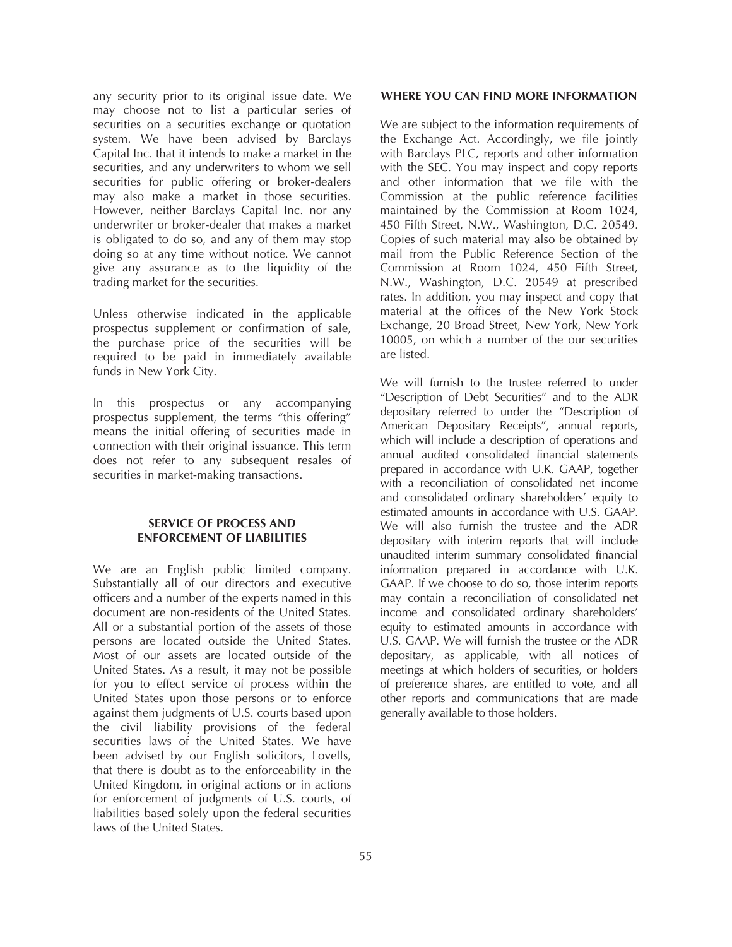any security prior to its original issue date. We may choose not to list a particular series of securities on a securities exchange or quotation system. We have been advised by Barclays Capital Inc. that it intends to make a market in the securities, and any underwriters to whom we sell securities for public offering or broker-dealers may also make a market in those securities. However, neither Barclays Capital Inc. nor any underwriter or broker-dealer that makes a market is obligated to do so, and any of them may stop doing so at any time without notice. We cannot give any assurance as to the liquidity of the trading market for the securities.

Unless otherwise indicated in the applicable prospectus supplement or confirmation of sale, the purchase price of the securities will be required to be paid in immediately available funds in New York City.

In this prospectus or any accompanying prospectus supplement, the terms "this offering" means the initial offering of securities made in connection with their original issuance. This term does not refer to any subsequent resales of securities in market-making transactions.

# **SERVICE OF PROCESS AND ENFORCEMENT OF LIABILITIES**

We are an English public limited company. Substantially all of our directors and executive officers and a number of the experts named in this document are non-residents of the United States. All or a substantial portion of the assets of those persons are located outside the United States. Most of our assets are located outside of the United States. As a result, it may not be possible for you to effect service of process within the United States upon those persons or to enforce against them judgments of U.S. courts based upon the civil liability provisions of the federal securities laws of the United States. We have been advised by our English solicitors, Lovells, that there is doubt as to the enforceability in the United Kingdom, in original actions or in actions for enforcement of judgments of U.S. courts, of liabilities based solely upon the federal securities laws of the United States.

### **WHERE YOU CAN FIND MORE INFORMATION**

We are subject to the information requirements of the Exchange Act. Accordingly, we file jointly with Barclays PLC, reports and other information with the SEC. You may inspect and copy reports and other information that we file with the Commission at the public reference facilities maintained by the Commission at Room 1024, 450 Fifth Street, N.W., Washington, D.C. 20549. Copies of such material may also be obtained by mail from the Public Reference Section of the Commission at Room 1024, 450 Fifth Street, N.W., Washington, D.C. 20549 at prescribed rates. In addition, you may inspect and copy that material at the offices of the New York Stock Exchange, 20 Broad Street, New York, New York 10005, on which a number of the our securities are listed.

We will furnish to the trustee referred to under "Description of Debt Securities" and to the ADR depositary referred to under the "Description of American Depositary Receipts", annual reports, which will include a description of operations and annual audited consolidated financial statements prepared in accordance with U.K. GAAP, together with a reconciliation of consolidated net income and consolidated ordinary shareholders' equity to estimated amounts in accordance with U.S. GAAP. We will also furnish the trustee and the ADR depositary with interim reports that will include unaudited interim summary consolidated financial information prepared in accordance with U.K. GAAP. If we choose to do so, those interim reports may contain a reconciliation of consolidated net income and consolidated ordinary shareholders' equity to estimated amounts in accordance with U.S. GAAP. We will furnish the trustee or the ADR depositary, as applicable, with all notices of meetings at which holders of securities, or holders of preference shares, are entitled to vote, and all other reports and communications that are made generally available to those holders.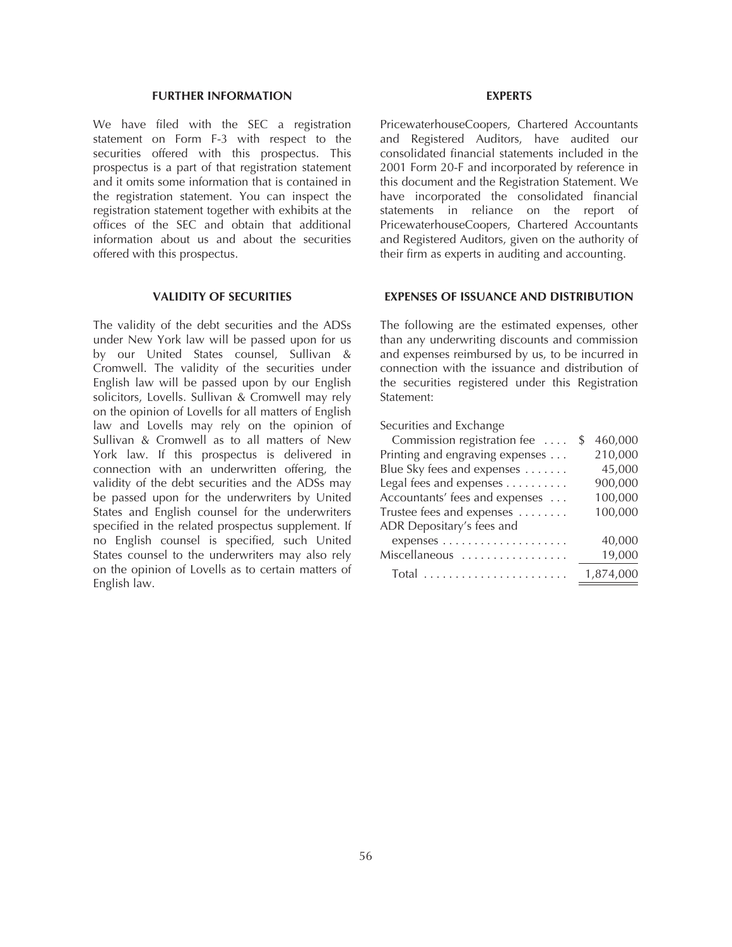#### **FURTHER INFORMATION**

We have filed with the SEC a registration statement on Form F-3 with respect to the securities offered with this prospectus. This prospectus is a part of that registration statement and it omits some information that is contained in the registration statement. You can inspect the registration statement together with exhibits at the offices of the SEC and obtain that additional information about us and about the securities offered with this prospectus.

# **VALIDITY OF SECURITIES**

The validity of the debt securities and the ADSs under New York law will be passed upon for us by our United States counsel, Sullivan & Cromwell. The validity of the securities under English law will be passed upon by our English solicitors, Lovells. Sullivan & Cromwell may rely on the opinion of Lovells for all matters of English law and Lovells may rely on the opinion of Sullivan & Cromwell as to all matters of New York law. If this prospectus is delivered in connection with an underwritten offering, the validity of the debt securities and the ADSs may be passed upon for the underwriters by United States and English counsel for the underwriters specified in the related prospectus supplement. If no English counsel is specified, such United States counsel to the underwriters may also rely on the opinion of Lovells as to certain matters of English law.

#### **EXPERTS**

PricewaterhouseCoopers, Chartered Accountants and Registered Auditors, have audited our consolidated financial statements included in the 2001 Form 20-F and incorporated by reference in this document and the Registration Statement. We have incorporated the consolidated financial statements in reliance on the report of PricewaterhouseCoopers, Chartered Accountants and Registered Auditors, given on the authority of their firm as experts in auditing and accounting.

### **EXPENSES OF ISSUANCE AND DISTRIBUTION**

The following are the estimated expenses, other than any underwriting discounts and commission and expenses reimbursed by us, to be incurred in connection with the issuance and distribution of the securities registered under this Registration Statement:

Securities and Exchange

| Commission registration fee     | S | 460,000   |
|---------------------------------|---|-----------|
| Printing and engraving expenses |   | 210,000   |
| Blue Sky fees and expenses      |   | 45,000    |
| Legal fees and expenses         |   | 900,000   |
| Accountants' fees and expenses  |   | 100,000   |
| Trustee fees and expenses       |   | 100,000   |
| ADR Depositary's fees and       |   |           |
|                                 |   | 40,000    |
| Miscellaneous                   |   | 19,000    |
| $Total$                         |   | 1,874,000 |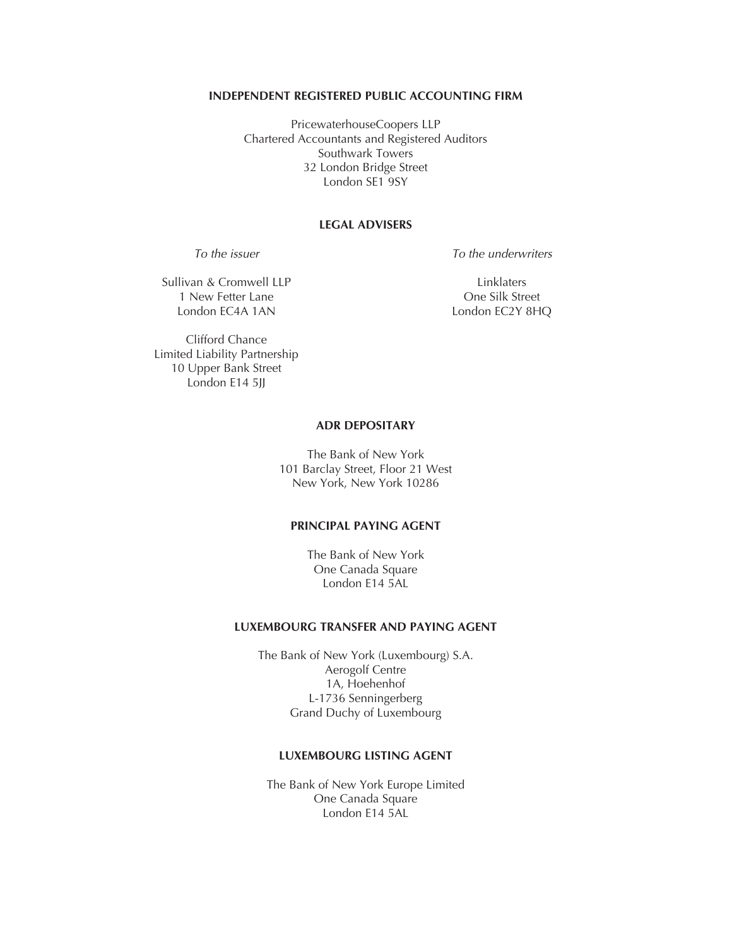# **INDEPENDENT REGISTERED PUBLIC ACCOUNTING FIRM**

PricewaterhouseCoopers LLP Chartered Accountants and Registered Auditors Southwark Towers 32 London Bridge Street London SE1 9SY

# **LEGAL ADVISERS**

*To the issuer*

*To the underwriters*

Sullivan & Cromwell LLP 1 New Fetter Lane London EC4A 1AN

Linklaters One Silk Street London EC2Y 8HQ

Clifford Chance Limited Liability Partnership 10 Upper Bank Street London E14 5JJ

# **ADR DEPOSITARY**

The Bank of New York 101 Barclay Street, Floor 21 West New York, New York 10286

# **PRINCIPAL PAYING AGENT**

The Bank of New York One Canada Square London E14 5AL

# **LUXEMBOURG TRANSFER AND PAYING AGENT**

The Bank of New York (Luxembourg) S.A. Aerogolf Centre 1A, Hoehenhof L-1736 Senningerberg Grand Duchy of Luxembourg

# **LUXEMBOURG LISTING AGENT**

The Bank of New York Europe Limited One Canada Square London E14 5AL